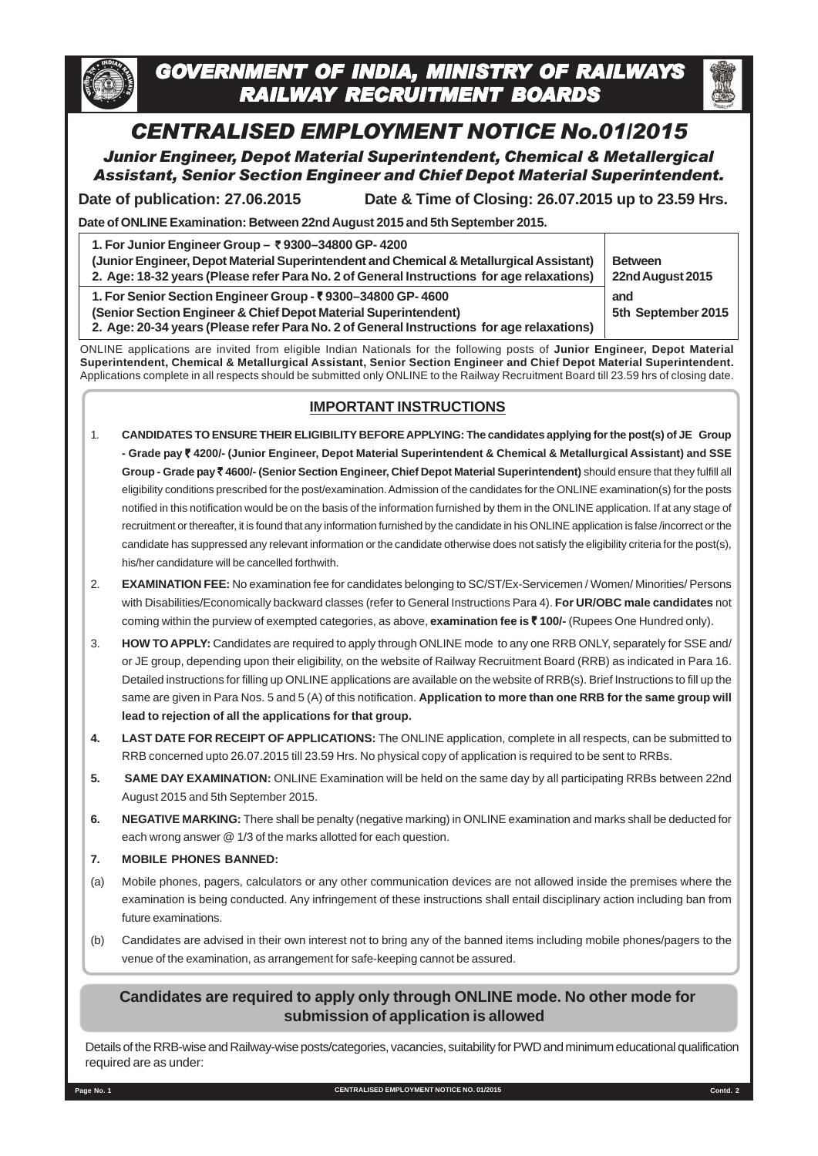# CENTRALISED EMPLOYMENT NOTICE No.01/2015

Junior Engineer, Depot Material Superintendent, Chemical & Metallergical Assistant, Senior Section Engineer and Chief Depot Material Superintendent.

**Date of publication: 27.06.2015 Date & Time of Closing: 26.07.2015 up to 23.59 Hrs.**

**Date of ONLINE Examination: Between 22nd August 2015 and 5th September 2015.**

| 1. For Junior Engineer Group - ₹9300-34800 GP-4200<br>(Junior Engineer, Depot Material Superintendent and Chemical & Metallurgical Assistant)<br>2. Age: 18-32 years (Please refer Para No. 2 of General Instructions for age relaxations) | <b>Between</b><br>22nd August 2015 |
|--------------------------------------------------------------------------------------------------------------------------------------------------------------------------------------------------------------------------------------------|------------------------------------|
| 1. For Senior Section Engineer Group - ₹9300-34800 GP-4600<br>(Senior Section Engineer & Chief Depot Material Superintendent)<br>2. Age: 20-34 years (Please refer Para No. 2 of General Instructions for age relaxations)                 | and<br>5th September 2015          |

ONLINE applications are invited from eligible Indian Nationals for the following posts of **Junior Engineer, Depot Material Superintendent, Chemical & Metallurgical Assistant, Senior Section Engineer and Chief Depot Material Superintendent.** Applications complete in all respects should be submitted only ONLINE to the Railway Recruitment Board till 23.59 hrs of closing date.

## **Candidates are required to apply only through ONLINE mode. No other mode for submission of application is allowed**

**Page No. 1 CENTRALISED EMPLOYMENT NOTICE NO. 01/2015 Contd. 2**

## **IMPORTANT INSTRUCTIONS**

- 1. **CANDIDATES TO ENSURE THEIR ELIGIBILITY BEFORE APPLYING: The candidates applying for the post(s) of JE Group - Grade pay** ` **4200/- (Junior Engineer, Depot Material Superintendent & Chemical & Metallurgical Assistant) and SSE Group - Grade pay** ` **4600/- (Senior Section Engineer, Chief Depot Material Superintendent)** should ensure that they fulfill all eligibility conditions prescribed for the post/examination. Admission of the candidates for the ONLINE examination(s) for the posts notified in this notification would be on the basis of the information furnished by them in the ONLINE application. If at any stage of recruitment or thereafter, it is found that any information furnished by the candidate in his ONLINE application is false /incorrect or the candidate has suppressed any relevant information or the candidate otherwise does not satisfy the eligibility criteria for the post(s), his/her candidature will be cancelled forthwith.
- 2. **EXAMINATION FEE:** No examination fee for candidates belonging to SC/ST/Ex-Servicemen / Women/ Minorities/ Persons with Disabilities/Economically backward classes (refer to General Instructions Para 4). **For UR/OBC male candidates** not coming within the purview of exempted categories, as above, **examination fee is** ` **100/-** (Rupees One Hundred only).
- 3. **HOW TO APPLY:** Candidates are required to apply through ONLINE mode to any one RRB ONLY, separately for SSE and/ or JE group, depending upon their eligibility, on the website of Railway Recruitment Board (RRB) as indicated in Para 16. Detailed instructions for filling up ONLINE applications are available on the website of RRB(s). Brief Instructions to fill up the same are given in Para Nos. 5 and 5 (A) of this notification. **Application to more than one RRB for the same group will lead to rejection of all the applications for that group.**
- **4. LAST DATE FOR RECEIPT OF APPLICATIONS:** The ONLINE application, complete in all respects, can be submitted to RRB concerned upto 26.07.2015 till 23.59 Hrs. No physical copy of application is required to be sent to RRBs.
- **5.** SAME DAY EXAMINATION: ONLINE Examination will be held on the same day by all participating RRBs between 22nd August 2015 and 5th September 2015.
- **6. NEGATIVE MARKING:** There shall be penalty (negative marking) in ONLINE examination and marks shall be deducted for each wrong answer @ 1/3 of the marks allotted for each question.
- **7. MOBILE PHONES BANNED:**
- (a) Mobile phones, pagers, calculators or any other communication devices are not allowed inside the premises where the examination is being conducted. Any infringement of these instructions shall entail disciplinary action including ban from future examinations.
- (b) Candidates are advised in their own interest not to bring any of the banned items including mobile phones/pagers to the venue of the examination, as arrangement for safe-keeping cannot be assured.

Details of the RRB-wise and Railway-wise posts/categories, vacancies, suitability for PWD and minimum educational qualification required are as under:



# GOVERNMENT OF INDIA, MINISTRY OF RAILWAYS RAILWAY RECRUITMENT BOARDS

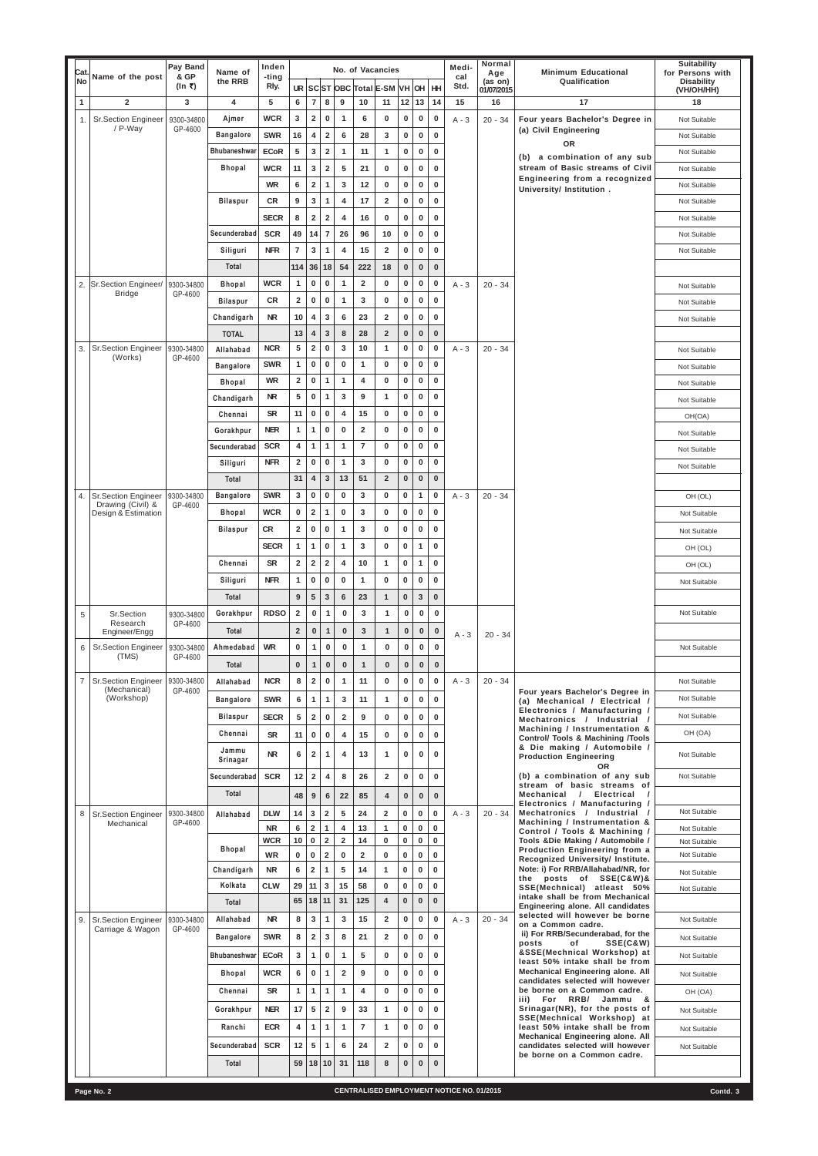|                   |                                                 | Pay Band                    |                    | Inden         |                         |                         |                         |                |                         | No. of Vacancies                      |              |              |              | Medi-       | Normal           |                                                                               | <b>Suitability</b>                    |
|-------------------|-------------------------------------------------|-----------------------------|--------------------|---------------|-------------------------|-------------------------|-------------------------|----------------|-------------------------|---------------------------------------|--------------|--------------|--------------|-------------|------------------|-------------------------------------------------------------------------------|---------------------------------------|
| Cat.<br><b>No</b> | Name of the post                                | & GP<br>$(ln \overline{x})$ | Name of<br>the RRB | -ting<br>Rly. |                         |                         |                         |                |                         |                                       |              |              |              | cal<br>Std. | Age<br>(as on)   | <b>Minimum Educational</b><br>Qualification                                   | for Persons with<br><b>Disability</b> |
| $\mathbf{1}$      | $\overline{2}$                                  | 3                           | $\overline{4}$     | 5             | 6                       | $\bf 7$                 | 8                       | 9              | 10 <sup>°</sup>         | UR SCST OBC Total E-SM VH OH HH<br>11 |              | 12 13        | 14           | 15          | 01/07/2015<br>16 | 17                                                                            | (VH/OH/HH)<br>18                      |
|                   |                                                 |                             | Ajmer              | <b>WCR</b>    | 3                       | $\overline{\mathbf{2}}$ | $\mathbf 0$             | $\mathbf{1}$   | 6                       | $\bf{0}$                              | 0            | $\mathbf 0$  | $\pmb{0}$    |             |                  |                                                                               |                                       |
| $\mathbf{1}$ .    | <b>Sr.Section Engineer</b><br>/ P-Way           | 9300-34800<br>GP-4600       |                    |               | 16                      |                         |                         |                |                         |                                       |              |              |              | $A - 3$     | $20 - 34$        | Four years Bachelor's Degree in<br>(a) Civil Engineering                      | Not Suitable                          |
|                   |                                                 |                             | <b>Bangalore</b>   | <b>SWR</b>    |                         | $\overline{\mathbf{4}}$ | $\mathbf{2}$            | 6              | 28                      | 3                                     | 0            | $\mathbf 0$  | $\bf{0}$     |             |                  | <b>OR</b>                                                                     | Not Suitable                          |
|                   |                                                 |                             | Bhubaneshwar       | <b>ECoR</b>   | 5                       | $\mathbf{3}$            | $\mathbf{2}$            | $\mathbf{1}$   | 11                      | 1                                     | 0            | $\mathbf 0$  | $\pmb{0}$    |             |                  | (b) a combination of any sub                                                  | Not Suitable                          |
|                   |                                                 |                             | Bhopal             | <b>WCR</b>    | 11                      | $\mathbf{3}$            | $\mathbf 2$             | 5              | 21                      | $\bf{0}$                              | 0            | $\mathbf 0$  | $\bf{0}$     |             |                  | stream of Basic streams of Civil<br>Engineering from a recognized             | Not Suitable                          |
|                   |                                                 |                             |                    | <b>WR</b>     | 6                       | $\overline{\mathbf{2}}$ | 1                       | 3              | 12                      | $\mathbf 0$                           | 0            | $\mathbf 0$  | $\bf{0}$     |             |                  | University/ Institution .                                                     | Not Suitable                          |
|                   |                                                 |                             | <b>Bilaspur</b>    | <b>CR</b>     | 9                       | $\mathbf{3}$            | $\mathbf{1}$            | 4              | 17                      | $\overline{2}$                        | 0            | $\mathbf 0$  | $\bf{0}$     |             |                  |                                                                               | Not Suitable                          |
|                   |                                                 |                             |                    | <b>SECR</b>   | 8                       | $\mathbf{2}$            | $\overline{2}$          | 4              | 16                      | 0                                     | 0            | $\mathbf 0$  | 0            |             |                  |                                                                               | Not Suitable                          |
|                   |                                                 |                             | Secunderabad       | <b>SCR</b>    | 49                      | 14                      | $\overline{7}$          | 26             | 96                      | 10                                    | 0            | $\mathbf 0$  | $\bf{0}$     |             |                  |                                                                               | Not Suitable                          |
|                   |                                                 |                             | Siliguri           | <b>NFR</b>    | $\overline{7}$          | $\mathbf{3}$            | $\mathbf{1}$            | $\overline{4}$ | 15                      | $\overline{2}$                        | 0            | $\mathbf 0$  | $\mathbf 0$  |             |                  |                                                                               | Not Suitable                          |
|                   |                                                 |                             | Total              |               | 114                     | 36                      | 18                      | 54             | 222                     | 18                                    | $\pmb{0}$    | $\bf{0}$     | $\mathbf{0}$ |             |                  |                                                                               |                                       |
|                   | 2. Sr. Section Engineer/                        | 9300-34800                  | Bhopal             | <b>WCR</b>    | $\mathbf{1}$            | 0                       | $\mathbf 0$             | $\mathbf{1}$   | $\overline{2}$          | $\mathbf 0$                           | 0            | $\bf{0}$     | $\bf{0}$     | $A - 3$     | $20 - 34$        |                                                                               | Not Suitable                          |
|                   | <b>Bridge</b>                                   | GP-4600                     | <b>Bilaspur</b>    | <b>CR</b>     | $\overline{\mathbf{2}}$ | $\mathbf 0$             | 0                       | $\mathbf{1}$   | 3                       | 0                                     | 0            | $\mathbf 0$  | $\mathbf 0$  |             |                  |                                                                               | Not Suitable                          |
|                   |                                                 |                             | Chandigarh         | <b>NR</b>     | $10$                    | 4                       | 3                       | 6              | 23                      | $\overline{2}$                        | 0            | $\mathbf 0$  | $\bf{0}$     |             |                  |                                                                               | Not Suitable                          |
|                   |                                                 |                             | <b>TOTAL</b>       |               | 13                      | 4                       | $\mathbf{3}$            | 8              | 28                      | $\overline{2}$                        | $\pmb{0}$    | $\bf{0}$     | $\pmb{0}$    |             |                  |                                                                               |                                       |
| 3.                | <b>Sr.Section Engineer</b>                      | 9300-34800                  | Allahabad          | <b>NCR</b>    | $5\phantom{.0}$         | $\overline{\mathbf{2}}$ | $\mathbf 0$             | 3              | 10                      | $\mathbf{1}$                          | $\mathbf 0$  | $\bf{0}$     | $\mathbf 0$  | $A - 3$     | $20 - 34$        |                                                                               | Not Suitable                          |
|                   | (Works)                                         | GP-4600                     | <b>Bangalore</b>   | <b>SWR</b>    | $\mathbf{1}$            | $\mathbf 0$             | $\mathbf 0$             | $\mathbf 0$    | $\mathbf{1}$            | $\mathbf 0$                           | 0            | $\mathbf 0$  | $\mathbf 0$  |             |                  |                                                                               | Not Suitable                          |
|                   |                                                 |                             | Bhopal             | <b>WR</b>     | $\mathbf{2}$            | $\mathbf 0$             | $\mathbf{1}$            | 1              | $\overline{\mathbf{4}}$ | 0                                     | 0            | $\mathbf 0$  | $\mathbf 0$  |             |                  |                                                                               | Not Suitable                          |
|                   |                                                 |                             | Chandigarh         | <b>NR</b>     | 5                       | 0                       | $\mathbf{1}$            | 3              | 9                       | 1                                     | 0            | $\mathbf{0}$ | $\mathbf{0}$ |             |                  |                                                                               |                                       |
|                   |                                                 |                             | Chennai            | <b>SR</b>     | 11                      | $\mathbf 0$             | $\mathbf 0$             | $\overline{4}$ | 15                      | $\mathbf{0}$                          | 0            | $\bf{0}$     | $\mathbf 0$  |             |                  |                                                                               | Not Suitable                          |
|                   |                                                 |                             |                    | <b>NER</b>    | $\mathbf{1}$            | $\mathbf{1}$            | $\pmb{0}$               | $\bf{0}$       | $\mathbf{2}$            | 0                                     | 0            | $\bf{0}$     | $\mathbf 0$  |             |                  |                                                                               | OH(OA)                                |
|                   |                                                 |                             | Gorakhpur          | <b>SCR</b>    | $\overline{4}$          | $\mathbf{1}$            | $\mathbf{1}$            | $\mathbf{1}$   | $\overline{7}$          | $\mathbf 0$                           | 0            | $\bf{0}$     | $\bf{0}$     |             |                  |                                                                               | Not Suitable                          |
|                   |                                                 |                             | Secunderabad       |               |                         |                         |                         |                |                         |                                       |              |              |              |             |                  |                                                                               | <b>Not Suitable</b>                   |
|                   |                                                 |                             | Siliguri           | <b>NFR</b>    | $\overline{2}$          | 0                       | 0                       | $\mathbf{1}$   | 3                       | 0                                     | 0            | 0            | $\bf{0}$     |             |                  |                                                                               | Not Suitable                          |
|                   |                                                 |                             | Total              |               | 31                      | $\overline{4}$          | $\mathbf{3}$            | 13             | 51                      | $\overline{2}$                        | $\mathbf{0}$ | $\mathbf{0}$ | $\bf{0}$     |             |                  |                                                                               |                                       |
| 4.                | <b>Sr.Section Engineer</b><br>Drawing (Civil) & | 9300-34800<br>GP-4600       | <b>Bangalore</b>   | <b>SWR</b>    | 3                       | 0                       | 0                       | 0              | 3                       | 0                                     | 0            | $\mathbf{1}$ | $\bf{0}$     | $A - 3$     | 20 - 34          |                                                                               | OH (OL)                               |
|                   | Design & Estimation                             |                             | Bhopal             | <b>WCR</b>    | $\mathbf 0$             | $\mathbf{2}$            | $\mathbf{1}$            | $\mathbf 0$    | 3                       | 0                                     | $\pmb{0}$    | 0            | $\mathbf 0$  |             |                  |                                                                               | Not Suitable                          |
|                   |                                                 |                             | <b>Bilaspur</b>    | <b>CR</b>     | $\overline{\mathbf{2}}$ | $\mathbf 0$             | 0                       | $\mathbf{1}$   | 3                       | 0                                     | $\pmb{0}$    | 0            | $\mathbf 0$  |             |                  |                                                                               | Not Suitable                          |
|                   |                                                 |                             |                    | <b>SECR</b>   | $\mathbf{1}$            | $\mathbf{1}$            | $\mathbf 0$             | $\mathbf{1}$   | 3                       | $\mathbf{0}$                          | 0            | $\mathbf{1}$ | $\mathbf 0$  |             |                  |                                                                               | OH (OL)                               |
|                   |                                                 |                             | Chennai            | <b>SR</b>     | $\overline{\mathbf{2}}$ | $\mathbf{2}$            | $\overline{\mathbf{2}}$ | 4              | 10                      | 1                                     | 0            | $\mathbf{1}$ | $\mathbf 0$  |             |                  |                                                                               | OH (OL)                               |
|                   |                                                 |                             | Siliguri           | <b>NFR</b>    | $\mathbf{1}$            | $\mathbf 0$             | $\mathbf 0$             | $\mathbf 0$    | $\mathbf{1}$            | 0                                     | 0            | $\mathbf 0$  | $\mathbf{0}$ |             |                  |                                                                               | Not Suitable                          |
|                   |                                                 |                             | Total              |               | 9                       | 5                       | 3                       | 6              | 23                      | $\mathbf{1}$                          | $\pmb{0}$    | $\mathbf{3}$ | $\bf{0}$     |             |                  |                                                                               |                                       |
| 5                 | Sr.Section                                      | 9300-34800                  | Gorakhpur          | <b>RDSO</b>   | $\overline{2}$          | $\bf{0}$                | $\mathbf{1}$            | 0              | 3                       | 1                                     | 0            | $\mathbf 0$  | $\mathbf 0$  |             |                  |                                                                               | Not Suitable                          |
|                   | Research<br>Engineer/Engg                       | GP-4600                     | Total              |               | $\mathbf 2$             | $\bf{0}$                | $\mathbf{1}$            | $\bf{0}$       | $\mathbf{3}$            | $\mathbf{1}$                          | $\mathbf 0$  | $\bf{0}$     | $\bf{0}$     |             |                  |                                                                               |                                       |
| 6                 | Sr.Section Engineer                             | 9300-34800                  | Ahmedabad          | <b>WR</b>     | $\mathbf 0$             | $\mathbf{1}$            | $\bf{0}$                | $\mathbf 0$    | $\mathbf{1}$            | $\mathbf{0}$                          | 0            | $\mathbf 0$  | $\bf{0}$     | $A - 3$     | $20 - 34$        |                                                                               | Not Suitable                          |
|                   | (TMS)                                           | GP-4600                     |                    |               |                         |                         |                         |                |                         |                                       |              |              |              |             |                  |                                                                               |                                       |
|                   |                                                 |                             | Total              |               | $\bf{0}$                | $\mathbf{1}$            | $\bf{0}$                | $\mathbf 0$    | $\mathbf{1}$            | $\mathbf{0}$                          | $\bf{0}$     | $\bf{0}$     | $\mathbf{0}$ |             |                  |                                                                               |                                       |
| $\overline{7}$    | <b>Sr.Section Engineer</b><br>(Mechanical)      | 9300-34800<br>GP-4600       | Allahabad          | <b>NCR</b>    | 8                       | $\mathbf{2}$            | $\bf{0}$                | $\mathbf{1}$   | 11                      | $\mathbf{0}$                          | 0            | $\mathbf 0$  | $\pmb{0}$    | $A - 3$     | $20 - 34$        | Four years Bachelor's Degree in                                               | Not Suitable                          |
|                   | (Workshop)                                      |                             | <b>Bangalore</b>   | <b>SWR</b>    | 6                       | $\mathbf{1}$            | $\mathbf{1}$            | 3              | 11                      | 1                                     | 0            | $\mathbf 0$  | $\mathbf 0$  |             |                  | (a) Mechanical / Electrical /                                                 | Not Suitable                          |
|                   |                                                 |                             | Bilaspur           | <b>SECR</b>   | 5                       | $\overline{\mathbf{2}}$ | $\mathbf 0$             | $\overline{2}$ | 9                       | $\mathbf{0}$                          | 0            | $\mathbf 0$  | $\bf{0}$     |             |                  | Electronics / Manufacturing /<br>Mechatronics / Industrial /                  | Not Suitable                          |
|                   |                                                 |                             | Chennai            | <b>SR</b>     | 11                      | 0                       | $\mathbf 0$             | 4              | 15                      | $\mathbf 0$                           | 0            | $\mathbf 0$  | $\bf{0}$     |             |                  | Machining / Instrumentation &<br><b>Control/ Tools &amp; Machining /Tools</b> | OH (OA)                               |
|                   |                                                 |                             | Jammu              | <b>NR</b>     | 6                       | $\mathbf{2}$            | 1                       | 4              | 13                      |                                       | $\mathbf 0$  | $\mathbf{0}$ | $\Omega$     |             |                  | & Die making / Automobile /                                                   | Not Suitable                          |
|                   |                                                 |                             | Srinagar           |               |                         |                         |                         |                |                         |                                       |              |              |              |             |                  | <b>Production Engineering</b><br><b>OR</b>                                    |                                       |
|                   |                                                 |                             | Secunderabad       | <b>SCR</b>    | $12$                    | $\mathbf{2}$            | 4                       | 8              | 26                      | $\overline{2}$                        | 0            | $\mathbf 0$  | $\bf{0}$     |             |                  | (b) a combination of any sub<br>stream of basic streams of                    | Not Suitable                          |
|                   |                                                 |                             | Total              |               | 48                      | 9                       | 6                       | 22             | 85                      | $\overline{4}$                        | $\bf{0}$     | $\bf{0}$     | $\mathbf{0}$ |             |                  | Mechanical / Electrical<br>Electronics / Manufacturing /                      |                                       |
| 8                 | <b>Sr.Section Engineer</b>                      | 9300-34800                  | Allahabad          | <b>DLW</b>    | 14                      | $\mathbf{3}$            | $\mathbf{2}$            | 5              | 24                      | $\overline{2}$                        | $\pmb{0}$    | $\mathbf 0$  | $\bf{0}$     | $A - 3$     | $20 - 34$        | Mechatronics / Industrial /                                                   | Not Suitable                          |
|                   | Mechanical                                      | GP-4600                     |                    | <b>NR</b>     | 6                       | $\mathbf 2$             | $\mathbf{1}$            | 4              | 13                      |                                       | 0            | 0            | $\mathbf 0$  |             |                  | Machining / Instrumentation &<br>Control / Tools & Machining /                | Not Suitable                          |
|                   |                                                 |                             | <b>Bhopal</b>      | <b>WCR</b>    | 10                      | $\mathbf 0$             | $\mathbf 2$             | $\overline{2}$ | 14                      | 0                                     | $\pmb{0}$    | 0            | $\mathbf 0$  |             |                  | Tools & Die Making / Automobile /<br>Production Engineering from a            | Not Suitable                          |
|                   |                                                 |                             |                    | <b>WR</b>     | 0                       | $\mathbf 0$             | $\mathbf{2}$            | $\mathbf 0$    | $\overline{\mathbf{2}}$ | 0                                     | 0            | 0            | $\mathbf 0$  |             |                  | Recognized University/ Institute.                                             | Not Suitable                          |
|                   |                                                 |                             | Chandigarh         | <b>NR</b>     | 6                       | $\mathbf{2}$            | $\mathbf{1}$            | 5              | 14                      | 1                                     | 0            | 0            | 0            |             |                  | Note: i) For RRB/Allahabad/NR, for<br>posts of SSE(C&W)&<br>the               | Not Suitable                          |
|                   |                                                 |                             | Kolkata            | <b>CLW</b>    | 29                      | 11                      | $\mathbf{3}$            | 15             | 58                      | $\mathbf{0}$                          | $\mathbf 0$  | 0            | 0            |             |                  | SSE(Mechnical) atleast 50%<br>intake shall be from Mechanical                 | Not Suitable                          |
|                   |                                                 |                             | Total              |               | 65                      | 18 11                   |                         | 31             | 125                     | 4                                     | $\pmb{0}$    | $\bf{0}$     | $\mathbf 0$  |             |                  | Engineering alone. All candidates                                             |                                       |
| 9.                | Sr.Section Engineer   9300-34800                |                             | Allahabad          | <b>NR</b>     | 8                       | $\mathbf{3}$            | $\mathbf{1}$            | 3              | 15                      | $\overline{2}$                        | 0            | $\bf{0}$     | $\bf{0}$     | $A - 3$     | $20 - 34$        | selected will however be borne<br>on a Common cadre.                          | Not Suitable                          |
|                   | Carriage & Wagon                                | GP-4600                     | <b>Bangalore</b>   | <b>SWR</b>    | 8                       | $\mathbf{2}$            | $\mathbf{3}$            | 8              | 21                      | $\overline{2}$                        | 0            | $\mathbf 0$  | $\mathbf 0$  |             |                  | ii) For RRB/Secunderabad, for the<br>posts<br>of<br>SSE(C&W)                  | Not Suitable                          |
|                   |                                                 |                             | Bhubaneshwar ECoR  |               | $\mathbf{3}$            | $\mathbf{1}$            | $\mathbf 0$             | $\mathbf{1}$   | ${\bf 5}$               | $\mathbf 0$                           | $\mathbf 0$  | $\mathbf 0$  | $\mathbf 0$  |             |                  | &SSE(Mechnical Workshop) at                                                   | Not Suitable                          |
|                   |                                                 |                             | Bhopal             | <b>WCR</b>    | 6                       | $\mathbf 0$             | $\mathbf{1}$            | $\overline{2}$ | 9                       | $\mathbf{0}$                          | $\mathbf 0$  | $\mathbf 0$  | $\mathbf{0}$ |             |                  | least 50% intake shall be from<br>Mechanical Engineering alone. All           |                                       |
|                   |                                                 |                             |                    |               |                         |                         |                         |                |                         |                                       |              |              |              |             |                  | candidates selected will however                                              | Not Suitable                          |
|                   |                                                 |                             | Chennai            | <b>SR</b>     | $\mathbf{1}$            | $\mathbf{1}$            | $\mathbf{1}$            | $\mathbf{1}$   | $\overline{4}$          | 0                                     | 0            | $\bf{0}$     | $\mathbf{0}$ |             |                  | be borne on a Common cadre.<br>iii) For RRB/ Jammu &                          | OH (OA)                               |
|                   |                                                 |                             | Gorakhpur          | <b>NER</b>    | 17                      | 5                       | $\overline{2}$          | 9              | 33                      |                                       | 0            | $\bf{0}$     | $\mathbf{0}$ |             |                  | Srinagar(NR), for the posts of<br>SSE(Mechnical Workshop) at                  | Not Suitable                          |
|                   |                                                 |                             | Ranchi             | <b>ECR</b>    | 4                       | $\mathbf{1}$            | $\mathbf{1}$            | $\mathbf{1}$   | $\overline{7}$          | $\mathbf{1}$                          | 0            | $\mathbf{0}$ | $\mathbf{0}$ |             |                  | least 50% intake shall be from                                                | Not Suitable                          |
|                   |                                                 |                             | Secunderabad       | <b>SCR</b>    | 12                      | $5\phantom{.0}$         | $\mathbf{1}$            | 6              | 24                      | $\mathbf{2}$                          | $\mathbf 0$  | $\mathbf 0$  | $\mathbf 0$  |             |                  | Mechanical Engineering alone. All<br>candidates selected will however         | Not Suitable                          |
|                   |                                                 |                             | Total              |               |                         |                         | 59 18 10                | 31             | 118                     | 8                                     | $\mathbf 0$  | $\mathbf{0}$ | $\mathbf{0}$ |             |                  | be borne on a Common cadre.                                                   |                                       |
|                   |                                                 |                             |                    |               |                         |                         |                         |                |                         |                                       |              |              |              |             |                  |                                                                               |                                       |

**Page No. 2 CENTRALISED EMPLOYMENT NOTICE NO. 01/2015 Contd. 3**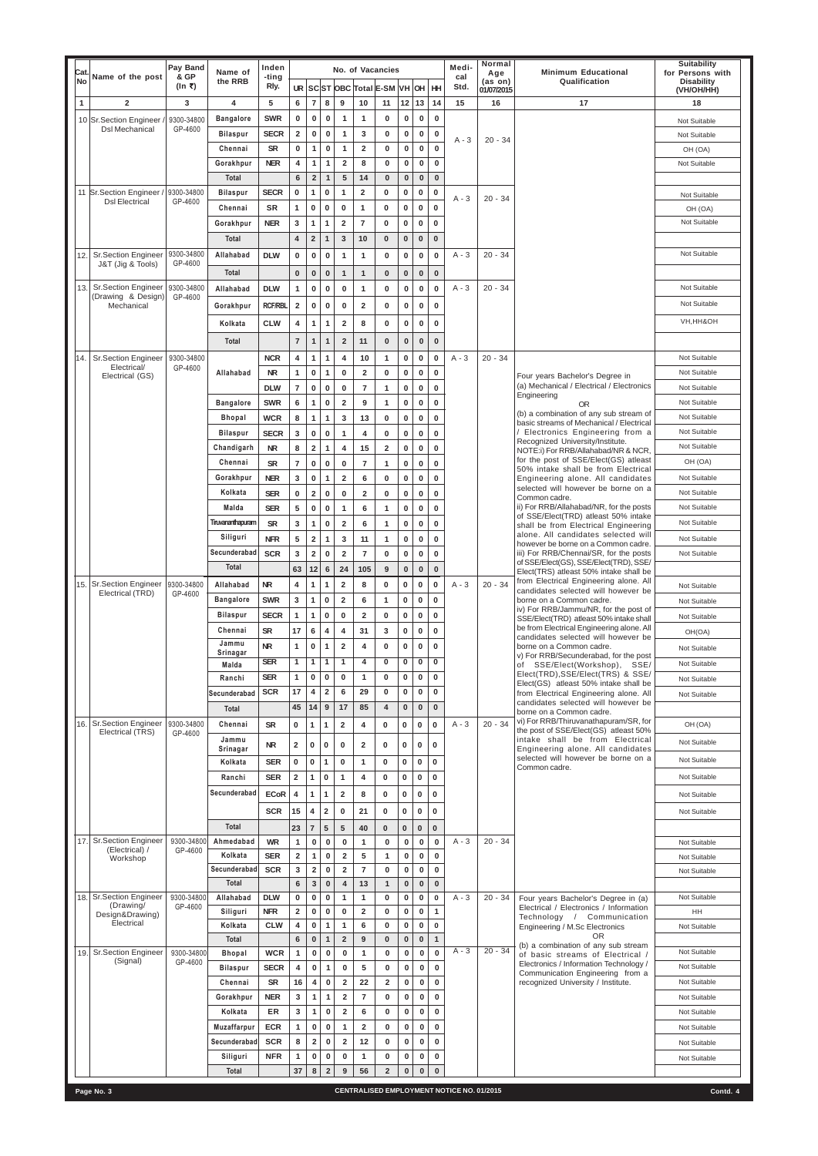| Cat          |                                                       | Pay Band<br>& GP         | Name of                | Inden                    |                                         |                              |                                |                              |                              | No. of Vacancies                  |                      |                            |                             | Medi-                                            | Normal<br>Age         | <b>Minimum Educational</b>                                                           | <b>Suitability</b><br>for Persons with |
|--------------|-------------------------------------------------------|--------------------------|------------------------|--------------------------|-----------------------------------------|------------------------------|--------------------------------|------------------------------|------------------------------|-----------------------------------|----------------------|----------------------------|-----------------------------|--------------------------------------------------|-----------------------|--------------------------------------------------------------------------------------|----------------------------------------|
| <b>No</b>    | Name of the post                                      | $(\ln \overline{\zeta})$ | the RRB                | -ting<br>Rly.            |                                         |                              |                                |                              |                              | UR SCST OBC Total E-SM VH OH   HH |                      |                            |                             | cal<br>Std.                                      | (as on)<br>01/07/2015 | Qualification                                                                        | <b>Disability</b><br>(VH/OH/HH)        |
| $\mathbf{1}$ | $\overline{2}$                                        | 3                        | $\overline{4}$         | 5                        | 6                                       | $\bf 7$                      | 8                              | 9                            | 10                           | 11                                | 12                   | 13                         | 14                          | 15                                               | 16                    | 17                                                                                   | 18                                     |
|              | 10 Sr. Section Engineer /<br><b>Dsl Mechanical</b>    | 9300-34800<br>GP-4600    | <b>Bangalore</b>       | <b>SWR</b>               | $\mathbf 0$                             | 0                            | $\bf{0}$                       | $\mathbf{1}$                 | -1                           | 0                                 | $\mathbf 0$          | $\mathbf 0$                | $\mathbf 0$                 |                                                  |                       |                                                                                      | Not Suitable                           |
|              |                                                       |                          | <b>Bilaspur</b>        | <b>SECR</b>              | $\overline{\mathbf{2}}$                 | 0                            | $\pmb{0}$                      | $\overline{1}$               | 3                            | 0                                 | $\bf{0}$             | $\bf{0}$                   | $\bf{0}$                    | $A - 3$                                          | $20 - 34$             |                                                                                      | Not Suitable                           |
|              |                                                       |                          | Chennai<br>Gorakhpur   | <b>SR</b><br><b>NER</b>  | $\bf{0}$<br>4                           | 1<br>$\mathbf{1}$            | $\bf{0}$<br>$\mathbf{1}$       | 1<br>$\overline{\mathbf{2}}$ | $\overline{\mathbf{2}}$<br>8 | 0<br>$\mathbf{0}$                 | 0<br>$\mathbf 0$     | $\mathbf 0$<br>$\pmb{0}$   | $\mathbf 0$<br>$\mathbf 0$  |                                                  |                       |                                                                                      | OH (OA)<br>Not Suitable                |
|              |                                                       |                          | Total                  |                          | 6                                       | $\mathbf 2$                  | $\mathbf{1}$                   | $5\phantom{1}$               | 14                           | $\mathbf{0}$                      | $\bf{0}$             | $\bf{0}$                   | $\mathbf 0$                 |                                                  |                       |                                                                                      |                                        |
|              | 11 Sr. Section Engineer /                             | 9300-34800               | <b>Bilaspur</b>        | <b>SECR</b>              | $\pmb{0}$                               | $\mathbf{1}$                 | $\mathbf 0$                    | $\mathbf{1}$                 | $\overline{2}$               | $\bf{0}$                          | 0                    | $\bf{0}$                   | $\mathbf 0$                 |                                                  |                       |                                                                                      | Not Suitable                           |
|              | <b>DsI</b> Electrical                                 | GP-4600                  | Chennai                | <b>SR</b>                | $\mathbf{1}$                            | $\pmb{0}$                    | $\mathbf 0$                    | $\mathbf 0$                  | $\mathbf{1}$                 | $\mathbf 0$                       | 0                    | $\mathbf 0$                | $\mathbf 0$                 | $A - 3$                                          | $20 - 34$             |                                                                                      | OH (OA)                                |
|              |                                                       |                          | Gorakhpur              | <b>NER</b>               | 3                                       | $\mathbf{1}$                 | $\mathbf{1}$                   | $\overline{2}$               | $\overline{7}$               | $\bf{0}$                          | $\mathbf 0$          | $\bf{0}$                   | $\bf{0}$                    |                                                  |                       |                                                                                      | Not Suitable                           |
|              |                                                       |                          | Total                  |                          | $\overline{\mathbf{4}}$                 | $\overline{\mathbf{2}}$      | $\mathbf{1}$                   | $\overline{3}$               | $10$                         | $\mathbf{0}$                      | $\pmb{0}$            | $\pmb{0}$                  | $\mathbf{0}$                |                                                  |                       |                                                                                      |                                        |
| 12.          | Sr.Section Engineer   9300-34800<br>J&T (Jig & Tools) | GP-4600                  | Allahabad              | <b>DLW</b>               | $\mathbf 0$                             | $\mathbf 0$                  | $\mathbf 0$                    | $\mathbf{1}$                 | $\mathbf{1}$                 | 0                                 | $\mathbf 0$          | $\bf{0}$                   | $\mathbf 0$                 | $A - 3$                                          | $20 - 34$             |                                                                                      | Not Suitable                           |
|              |                                                       |                          | Total                  |                          | $\bf{0}$                                | $\bf{0}$                     | $\mathbf 0$                    | $\mathbf{1}$                 | $\mathbf{1}$                 | $\mathbf{0}$                      | $\bf{0}$             | $\bf{0}$                   | $\mathbf 0$                 |                                                  |                       |                                                                                      |                                        |
| 13.          | <b>Sr.Section Engineer</b><br>(Drawing & Design)      | 9300-34800<br>GP-4600    | Allahabad              | <b>DLW</b>               | $\mathbf{1}$                            | 0                            | $\mathbf 0$                    | $\bf{0}$                     | $\mathbf{1}$                 | 0                                 | $\mathbf 0$          | $\bf{0}$                   | $\mathbf 0$                 | $A - 3$                                          | $20 - 34$             |                                                                                      | Not Suitable                           |
|              | Mechanical                                            |                          | Gorakhpur              | <b>RCF/RBL</b>           | $\overline{2}$                          | 0                            | $\mathbf 0$                    | $\bf{0}$                     | $\overline{2}$               | 0                                 | 0                    | $\bf{0}$                   | $\bf{0}$                    |                                                  |                       |                                                                                      | Not Suitable                           |
|              |                                                       |                          | Kolkata                | <b>CLW</b>               | 4                                       | 1                            | $\mathbf{1}$                   | $\overline{2}$               | 8                            | 0                                 | $\bf{0}$             | $\mathbf 0$                | $\mathbf 0$                 |                                                  |                       |                                                                                      | VH, HH&OH                              |
|              |                                                       |                          | Total                  |                          | $\overline{7}$                          | 1                            | $\mathbf{1}$                   | $\overline{2}$               | 11                           | $\bf{0}$                          | $\mathbf{0}$         | $\bf{0}$                   | $\mathbf 0$                 |                                                  |                       |                                                                                      |                                        |
| 14.          | <b>Sr.Section Engineer</b><br>Electrical/             | 9300-34800<br>GP-4600    |                        | <b>NCR</b>               | $\overline{\mathbf{4}}$                 | $\mathbf{1}$                 | 1                              | 4                            | 10                           | 1                                 | $\mathbf 0$          | 0                          | $\mathbf 0$                 | $A - 3$                                          | $20 - 34$             |                                                                                      | Not Suitable                           |
|              | Electrical (GS)                                       |                          | Allahabad              | <b>NR</b>                | $\mathbf{1}$                            | $\mathbf 0$                  | $\mathbf{1}$                   | $\bf{0}$                     | $\overline{2}$               | 0                                 | $\mathbf 0$          | $\pmb{0}$                  | $\mathbf 0$                 |                                                  |                       | Four years Bachelor's Degree in                                                      | Not Suitable                           |
|              |                                                       |                          |                        | <b>DLW</b>               | $\overline{7}$                          | $\mathbf 0$                  | $\mathbf 0$                    | 0                            | $\overline{7}$               | 1                                 | $\mathbf 0$          | $\bf{0}$                   | 0                           |                                                  |                       | (a) Mechanical / Electrical / Electronics<br>Engineering                             | Not Suitable                           |
|              |                                                       |                          | <b>Bangalore</b>       | <b>SWR</b>               | 6                                       | $\mathbf{1}$                 | $\bf{0}$                       | $\overline{2}$               | 9                            | 1                                 | 0                    | 0                          | 0                           |                                                  |                       | <b>OR</b><br>(b) a combination of any sub stream of                                  | Not Suitable<br>Not Suitable           |
|              |                                                       |                          | Bhopal                 | <b>WCR</b>               | 8                                       | $\mathbf{1}$                 | $\mathbf{1}$                   | 3                            | 13                           | 0                                 | $\mathbf 0$          | $\bf{0}$                   | 0                           |                                                  |                       | basic streams of Mechanical / Electrical<br>/ Electronics Engineering from a         | Not Suitable                           |
|              |                                                       |                          | Bilaspur<br>Chandigarh | <b>SECR</b><br><b>NR</b> | 3<br>8                                  | 0<br>$\overline{\mathbf{2}}$ | $\bf{0}$<br>1                  | 1<br>4                       | 4<br>15                      | 0<br>$\overline{\mathbf{2}}$      | 0<br>0               | $\mathbf 0$<br>$\pmb{0}$   | 0<br>0                      |                                                  |                       | Recognized University/Institute.                                                     | Not Suitable                           |
|              |                                                       |                          | Chennai                | <b>SR</b>                | $\overline{7}$                          | 0                            | $\mathbf 0$                    | 0                            | 7                            | 1                                 | 0                    | $\mathbf 0$                | 0                           |                                                  |                       | NOTE:i) For RRB/Allahabad/NR & NCR,<br>for the post of SSE/Elect(GS) atleast         | OH (OA)                                |
|              |                                                       |                          | Gorakhpur              | <b>NER</b>               | 3                                       | 0                            | 1                              | $\overline{2}$               | 6                            | 0                                 | $\mathbf 0$          | $\bf{0}$                   | 0                           |                                                  |                       | 50% intake shall be from Electrical<br>Engineering alone. All candidates             | Not Suitable                           |
|              |                                                       |                          | Kolkata                | <b>SER</b>               | 0                                       | $\mathbf{2}$                 | 0                              | 0                            | $\overline{2}$               | 0                                 | 0                    | 0                          | $\mathbf 0$                 |                                                  |                       | selected will however be borne on a<br>Common cadre.                                 | Not Suitable                           |
|              |                                                       |                          | Malda                  | <b>SER</b>               | 5                                       | $\mathbf 0$                  | $\mathbf 0$                    | 1                            | 6                            |                                   | $\mathbf 0$          | $\mathbf 0$                | $\bf{0}$                    |                                                  |                       | ii) For RRB/Allahabad/NR, for the posts                                              | Not Suitable                           |
|              |                                                       |                          | Tiruvananthapuram      | <b>SR</b>                | 3                                       | $\mathbf{1}$                 | $\mathbf 0$                    | $\overline{2}$               | 6                            | 1                                 | $\pmb{0}$            | $\pmb{0}$                  | $\mathbf 0$                 |                                                  |                       | of SSE/Elect(TRD) atleast 50% intake<br>shall be from Electrical Engineering         | Not Suitable                           |
|              |                                                       |                          | Siliguri               | <b>NFR</b>               | 5                                       | $\overline{\mathbf{2}}$      | 1                              | 3                            | 11                           | 1                                 | 0                    | $\bf{0}$                   | $\bf{0}$                    |                                                  |                       | alone. All candidates selected will<br>however be borne on a Common cadre.           | Not Suitable                           |
|              |                                                       |                          | Secunderabad           | <b>SCR</b>               | 3                                       | $\mathbf 2$                  | $\mathbf 0$                    | $\overline{2}$               | $\overline{7}$               | $\mathbf{0}$                      | $\mathbf 0$          | $\mathbf 0$                | $\bf{0}$                    |                                                  |                       | iii) For RRB/Chennai/SR, for the posts<br>of SSE/Elect(GS), SSE/Elect(TRD), SSE/     | Not Suitable                           |
|              |                                                       |                          | Total                  |                          | 63                                      | 12                           | $6\phantom{1}6$                | 24                           | 105                          | 9                                 | $\bf{0}$             | $\mathbf 0$                | $\bf{0}$                    |                                                  |                       | Elect(TRS) atleast 50% intake shall be                                               |                                        |
|              | 15. Sr. Section Engineer<br>Electrical (TRD)          | 9300-34800<br>GP-4600    | Allahabad              | <b>NR</b>                | 4                                       | 1                            | 1                              | $\overline{2}$               | 8                            | 0                                 | 0                    | $\mathbf 0$                | $\mathbf 0$                 | $A - 3$                                          | $20 - 34$             | from Electrical Engineering alone. All<br>candidates selected will however be        | Not Suitable                           |
|              |                                                       |                          | <b>Bangalore</b>       | <b>SWR</b>               | 3                                       | $\mathbf{1}$                 | $\bf{0}$                       | $\mathbf 2$                  | 6                            | $\mathbf 1$                       | 0                    | $\mathbf 0$                | $\mathbf 0$                 |                                                  |                       | borne on a Common cadre.<br>iv) For RRB/Jammu/NR, for the post of                    | Not Suitable                           |
|              |                                                       |                          | <b>Bilaspur</b>        | <b>SECR</b>              | $\mathbf{1}$                            | $\mathbf{1}$                 | $\mathbf 0$                    | $\mathbf 0$                  | $\overline{\mathbf{2}}$      | 0                                 | 0                    | $\mathbf 0$                | $\mathbf 0$                 |                                                  |                       | SSE/Elect(TRD) atleast 50% intake shall<br>be from Electrical Engineering alone. All | Not Suitable                           |
|              |                                                       |                          | Chennai<br>Jammu       | <b>SR</b><br><b>NR</b>   | 17<br>$\mathbf{1}$                      | 6<br>$\mathbf 0$             | $\overline{4}$<br>1            | 4<br>$\overline{2}$          | 31<br>4                      | 3<br>$\bf{0}$                     | 0<br>0               | $\mathbf 0$<br>$\mathbf 0$ | $\mathbf{0}$<br>$\mathbf 0$ |                                                  |                       | candidates selected will however be<br>borne on a Common cadre.                      | OH(OA)                                 |
|              |                                                       |                          | Srinagar               | <b>SER</b>               | $\mathbf{1}$                            | $\mathbf{1}$                 | 1                              | $\mathbf{1}$                 | 4                            | 0                                 | 0                    | $\mathbf 0$                | $\bf{0}$                    |                                                  |                       | v) For RRB/Secunderabad, for the post                                                | Not Suitable                           |
|              |                                                       |                          | Malda<br>Ranchi        | <b>SER</b>               | $\mathbf{1}$                            | $\mathbf 0$                  | $\mathbf 0$                    | $\mathbf 0$                  | $\mathbf{1}$                 | $\mathbf 0$                       | 0                    | $\mathbf 0$                | $\bf{0}$                    |                                                  |                       | of SSE/Elect(Workshop), SSE/<br>Elect(TRD), SSE/Elect(TRS) & SSE/                    | Not Suitable                           |
|              |                                                       |                          | Secunderabad           | <b>SCR</b>               | 17                                      | 4                            | $\overline{2}$                 | 6                            | 29                           | $\mathbf 0$                       | 0                    | $\mathbf 0$                | $\bf{0}$                    |                                                  |                       | Elect(GS) atleast 50% intake shall be<br>from Electrical Engineering alone. All      | Not Suitable<br>Not Suitable           |
|              |                                                       |                          | Total                  |                          | 45                                      | 14                           | 9                              | 17                           | 85                           | 4                                 | $\mathbf{0}$         | $\mathbf 0$                | $\mathbf{0}$                |                                                  |                       | candidates selected will however be                                                  |                                        |
|              | 16. Sr. Section Engineer                              | 9300-34800               | Chennai                | <b>SR</b>                | 0                                       | 1                            | 1                              | $\overline{2}$               | 4                            | 0                                 | $\mathbf 0$          | $\mathbf 0$                | $\mathbf 0$                 | $A - 3$                                          | $20 - 34$             | borne on a Common cadre.<br>vi) For RRB/Thiruvanathapuram/SR, for                    | OH (OA)                                |
|              | Electrical (TRS)                                      | GP-4600                  | Jammu                  |                          |                                         |                              |                                |                              |                              |                                   |                      |                            |                             |                                                  |                       | the post of SSE/Elect(GS) atleast 50%<br>intake shall be from Electrical             | Not Suitable                           |
|              |                                                       |                          | Srinagar               | <b>NR</b>                | $\mathbf{2}$                            | 0                            | 0                              | $\mathbf 0$                  | $\overline{2}$               | 0                                 | 0                    | $\mathbf 0$                | $\mathbf 0$                 |                                                  |                       | Engineering alone. All candidates<br>selected will however be borne on a             |                                        |
|              |                                                       |                          | Kolkata                | <b>SER</b>               | $\mathbf 0$                             | 0                            | 1                              | $\mathbf 0$                  | $\mathbf{1}$                 | $\mathbf{0}$                      | 0                    | $\mathbf 0$                | $\bf{0}$                    |                                                  |                       | Common cadre.                                                                        | Not Suitable                           |
|              |                                                       |                          | Ranchi                 | <b>SER</b>               | $\overline{2}$                          | 1                            | 0                              | $\mathbf{1}$                 | 4                            | $\bf{0}$                          | $\mathbf 0$          | $\mathbf{0}$               | $\bf{0}$                    |                                                  |                       |                                                                                      | Not Suitable                           |
|              |                                                       |                          | Secunderabad           | <b>ECoR</b>              | 4                                       | 1                            | 1                              | $\overline{2}$               | 8                            | 0                                 | $\mathbf 0$          | $\mathbf{0}$               | $\mathbf{0}$                |                                                  |                       |                                                                                      | <b>Not Suitable</b>                    |
|              |                                                       |                          |                        | <b>SCR</b>               | 15                                      | 4                            | $\overline{2}$                 | $\mathbf 0$                  | 21                           | $\mathbf{0}$                      | $\mathbf 0$          | $\mathbf{0}$               | $\bf{0}$                    |                                                  |                       |                                                                                      | Not Suitable                           |
| 17.          | <b>Sr.Section Engineer</b>                            | 9300-34800               | Total<br>Ahmedabad     |                          | 23                                      | $\overline{7}$               | 5                              | 5                            | 40                           | $\mathbf{0}$                      | 0                    | $\mathbf{0}$               | $\mathbf{0}$                | $A - 3$                                          | $20 - 34$             |                                                                                      |                                        |
|              | (Electrical) /                                        | GP-4600                  | Kolkata                | <b>WR</b><br><b>SER</b>  | $\mathbf{1}$<br>$\overline{\mathbf{2}}$ | 0<br>$\mathbf{1}$            | $\mathbf 0$<br>$\mathbf 0$     | $\bf{0}$<br>$\mathbf{2}$     | $\mathbf{1}$<br>5            | 0<br>$\mathbf{1}$                 | 0<br>$\mathbf 0$     | $\bf{0}$<br>$\bf{0}$       | $\mathbf 0$<br>$\mathbf 0$  |                                                  |                       |                                                                                      | Not Suitable<br>Not Suitable           |
|              | Workshop                                              |                          | Secunderabad           | <b>SCR</b>               | 3                                       | $\mathbf{2}$                 | $\bf{0}$                       | $\mathbf{2}$                 | $\overline{7}$               | 0                                 | $\bf{0}$             | $\mathbf 0$                | $\mathbf 0$                 |                                                  |                       |                                                                                      | Not Suitable                           |
|              |                                                       |                          | Total                  |                          | 6                                       | $\mathbf{3}$                 | $\bf{0}$                       | 4                            | 13                           | $\mathbf{1}$                      | $\mathbf{0}$         | $\pmb{0}$                  | $\bf{0}$                    |                                                  |                       |                                                                                      |                                        |
| 18.          | <b>Sr.Section Engineer</b><br>(Drawing/               | 9300-34800<br>GP-4600    | Allahabad              | <b>DLW</b>               | $\mathbf 0$                             | $\mathbf 0$                  | $\mathbf 0$                    | $\mathbf{1}$                 | $\overline{1}$               | $\mathbf{0}$                      | $\mathbf 0$          | $\mathbf 0$                | $\pmb{0}$                   | $A - 3$                                          | $20 - 34$             | Four years Bachelor's Degree in (a)                                                  | Not Suitable                           |
|              | Design&Drawing)                                       |                          | Siliguri               | <b>NFR</b>               | $\overline{2}$                          | 0                            | $\mathbf 0$                    | 0                            | $\overline{2}$               | 0                                 | $\mathbf 0$          | $\mathbf 0$                | $\mathbf{1}$                |                                                  |                       | Electrical / Electronics / Information<br>Technology / Communication                 | HH                                     |
|              | Electrical                                            |                          | Kolkata                | <b>CLW</b>               | 4<br>$6\phantom{1}$                     | $\mathbf{0}$                 | $\mathbf{1}$<br>$\overline{1}$ | 1                            | 6<br>9                       | $\mathbf{0}$<br>$\mathbf{0}$      | $\mathbf 0$          | $\mathbf 0$                | $\pmb{0}$<br>$\overline{1}$ |                                                  |                       | Engineering / M.Sc Electronics<br>OR.                                                | Not Suitable                           |
| 19.1         | <b>Sr.Section Engineer</b>                            | 9300-34800               | Total<br><b>Bhopal</b> | <b>WCR</b>               | $\mathbf{1}$                            | $\bf{0}$<br>$\mathbf{0}$     | $\mathbf 0$                    | $\overline{2}$<br>$\bf{0}$   | $\mathbf{1}$                 | 0                                 | $\bf{0}$<br>$\bf{0}$ | $\bf{0}$<br>$\bf{0}$       | $\mathbf 0$                 | $A - 3$                                          | $20 - 34$             | (b) a combination of any sub stream<br>of basic streams of Electrical /              | Not Suitable                           |
|              | (Signal)                                              | GP-4600                  | <b>Bilaspur</b>        | <b>SECR</b>              | $\overline{\mathbf{4}}$                 | $\mathbf{0}$                 | $\mathbf{1}$                   | $\mathbf 0$                  | 5                            | $\mathbf 0$                       | $\mathbf 0$          | 0                          | $\mathbf 0$                 |                                                  |                       | Electronics / Information Technology /                                               | Not Suitable                           |
|              |                                                       |                          | Chennai                | <b>SR</b>                | 16                                      | 4                            | $\bf{0}$                       | $\overline{\mathbf{2}}$      | ${\bf 22}$                   | $\overline{2}$                    | $\mathbf 0$          | $\mathbf 0$                | $\bf{0}$                    |                                                  |                       | Communication Engineering from a<br>recognized University / Institute.               | Not Suitable                           |
|              |                                                       |                          | Gorakhpur              | <b>NER</b>               | 3                                       | 1                            | $\mathbf{1}$                   | $\mathbf 2$                  | $\overline{7}$               | $\mathbf 0$                       | $\mathbf 0$          | 0                          | $\mathbf 0$                 |                                                  |                       |                                                                                      | Not Suitable                           |
|              |                                                       |                          | Kolkata                | ER                       | 3                                       | 1                            | $\bf{0}$                       | $\overline{2}$               | 6                            | 0                                 | $\mathbf 0$          | 0                          | $\mathbf 0$                 |                                                  |                       |                                                                                      | Not Suitable                           |
|              |                                                       |                          | Muzaffarpur            | <b>ECR</b>               | $\mathbf{1}$                            | 0                            | $\mathbf 0$                    | 1                            | $\overline{2}$               | 0                                 | $\bf{0}$             | 0                          | 0                           |                                                  |                       |                                                                                      | Not Suitable                           |
|              |                                                       |                          | Secunderabad           | <b>SCR</b>               | 8                                       | 2                            | $\mathbf 0$                    | $\overline{2}$               | 12                           | 0                                 | 0                    | $\bf{0}$                   | $\bf{0}$                    |                                                  |                       |                                                                                      | Not Suitable                           |
|              |                                                       |                          | Siliguri               | <b>NFR</b>               | $\mathbf{1}$                            | $\mathbf 0$                  | 0                              | 0                            | $\mathbf 1$                  | 0                                 | $\bf{0}$             | 0                          | 0                           |                                                  |                       |                                                                                      | Not Suitable                           |
|              |                                                       |                          | Total                  |                          | 37                                      | 8 <sup>1</sup>               | $\overline{\mathbf{2}}$        | 9                            | 56                           | $\overline{2}$                    | $\bf{0}$             | $\bf{0}$                   | $\bf{0}$                    |                                                  |                       |                                                                                      |                                        |
|              | Page No. 3                                            |                          |                        |                          |                                         |                              |                                |                              |                              |                                   |                      |                            |                             | <b>CENTRALISED EMPLOYMENT NOTICE NO. 01/2015</b> |                       |                                                                                      | Contd. 4                               |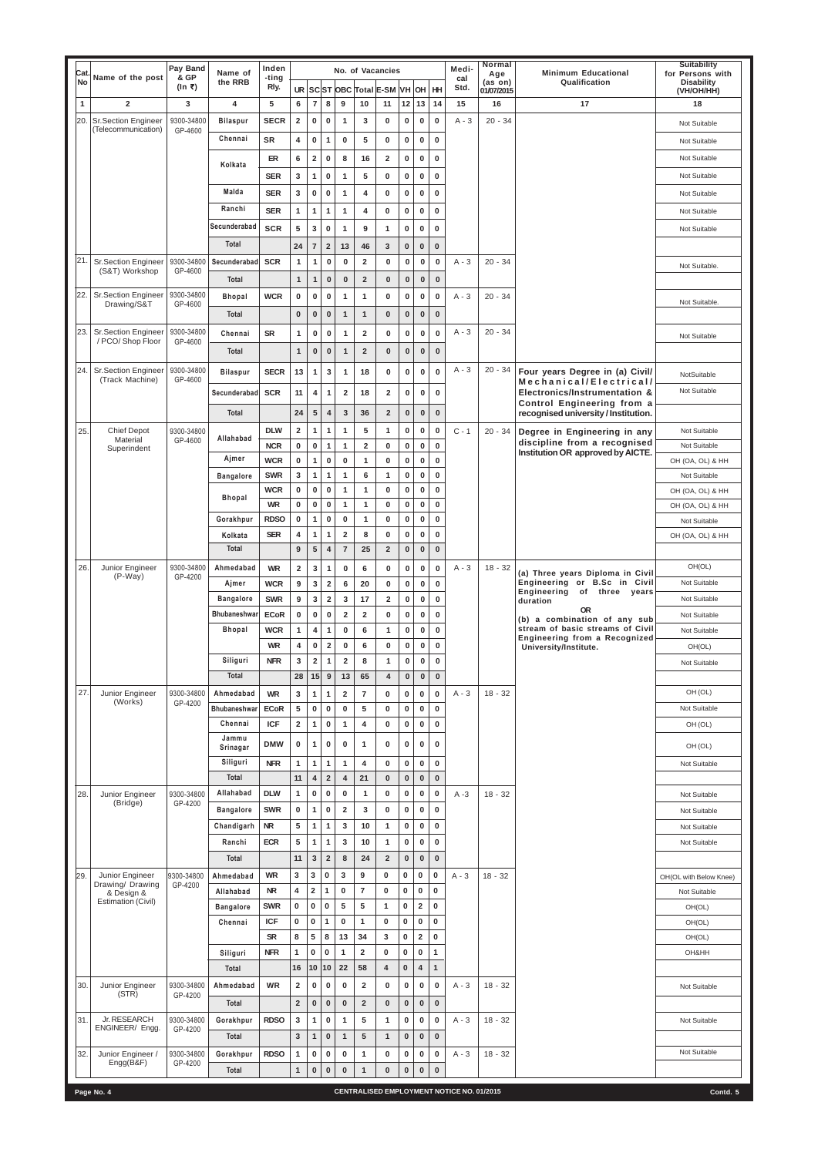| Cat       |                                                   | Pay Band<br>& GP      | Name of              | Inden                    |                                |                               |                         |                                     |                               | No. of Vacancies               |                          |                             |                            | Medi-                                            | Normal<br>Age         | <b>Minimum Educational</b>                                        | <b>Suitability</b><br>for Persons with |
|-----------|---------------------------------------------------|-----------------------|----------------------|--------------------------|--------------------------------|-------------------------------|-------------------------|-------------------------------------|-------------------------------|--------------------------------|--------------------------|-----------------------------|----------------------------|--------------------------------------------------|-----------------------|-------------------------------------------------------------------|----------------------------------------|
| <b>No</b> | Name of the post                                  | $(ln \bar{z})$        | the RRB              | -ting<br>Rly.            | <b>UR</b>                      |                               |                         |                                     |                               | SCST OBC Total E-SM VH OH      |                          |                             | HH                         | cal<br>Std.                                      | (as on)<br>01/07/2015 | Qualification                                                     | <b>Disability</b><br>(VH/OH/HH)        |
| 1         | $\overline{2}$                                    | 3                     | 4                    | 5                        | 6                              | $\overline{7}$                | 8                       | 9                                   | 10                            | 11                             | $12$ 13                  |                             | 14                         | 15                                               | 16                    | 17                                                                | 18                                     |
| 20.       | <b>Sr.Section Engineer</b><br>(Telecommunication) | 9300-34800<br>GP-4600 | <b>Bilaspur</b>      | <b>SECR</b>              | $\overline{2}$                 | 0                             | 0                       | $\mathbf{1}$                        | 3                             | $\mathbf 0$                    | $\bf{0}$                 | $\bf{0}$                    | $\mathbf 0$                | $A - 3$                                          | $20 - 34$             |                                                                   | Not Suitable                           |
|           |                                                   |                       | Chennai              | <b>SR</b>                | 4                              | 0                             | 1                       | $\mathbf 0$                         | 5                             | $\mathbf 0$                    | $\mathbf 0$              | $\bf{0}$                    | $\bf{0}$                   |                                                  |                       |                                                                   | Not Suitable                           |
|           |                                                   |                       | Kolkata              | ER                       | 6                              | $\mathbf 2$                   | $\pmb{0}$               | 8                                   | 16                            | $\overline{2}$                 | $\mathbf 0$              | $\bf{0}$                    | $\bf{0}$                   |                                                  |                       |                                                                   | Not Suitable                           |
|           |                                                   |                       |                      | <b>SER</b>               | 3                              | 1                             | $\pmb{0}$               | $\mathbf{1}$                        | 5                             | $\mathbf 0$                    | $\mathbf 0$              | $\bf{0}$                    | 0                          |                                                  |                       |                                                                   | Not Suitable                           |
|           |                                                   |                       | Malda                | <b>SER</b>               | 3                              | 0                             | $\mathbf 0$             | $\mathbf{1}$                        | 4                             | $\mathbf 0$                    | $\mathbf 0$              | $\bf{0}$                    | 0                          |                                                  |                       |                                                                   | Not Suitable                           |
|           |                                                   |                       | Ranchi               | <b>SER</b>               | $\mathbf{1}$                   | 1                             | 1                       | $\mathbf{1}$                        | 4                             | 0                              | $\mathbf 0$              | $\bf{0}$                    | 0                          |                                                  |                       |                                                                   | Not Suitable                           |
|           |                                                   |                       | Secunderabad         | <b>SCR</b>               | $5\phantom{.0}$                | 3                             | $\mathbf 0$             | $\mathbf{1}$                        | 9                             | $\mathbf{1}$                   | $\mathbf 0$              | $\bf{0}$                    | 0                          |                                                  |                       |                                                                   | Not Suitable                           |
|           |                                                   |                       | Total                |                          | 24                             | $\overline{7}$                | $\mathbf 2$             | 13                                  | 46                            | 3                              | $\bf{0}$                 | $\bf{0}$                    | $\bf{0}$                   |                                                  |                       |                                                                   |                                        |
| 21.       | <b>Sr.Section Engineer</b>                        | 9300-34800            | Secunderabad         | <b>SCR</b>               | $\mathbf{1}$                   | 1                             | $\bf{0}$                | $\mathbf 0$                         | $\mathbf{2}$                  | $\mathbf 0$                    | $\pmb{0}$                | $\pmb{0}$                   | $\bf{0}$                   | $A - 3$                                          | $20 - 34$             |                                                                   | Not Suitable.                          |
|           | (S&T) Workshop                                    | GP-4600               | Total                |                          | $\mathbf{1}$                   | $\mathbf{1}$                  | $\bf{0}$                | $\mathbf{0}$                        | $\overline{2}$                | $\mathbf{0}$                   | $\bf{0}$                 | $\bf{0}$                    | $\mathbf 0$                |                                                  |                       |                                                                   |                                        |
| 22.       | <b>Sr.Section Engineer</b><br>Drawing/S&T         | 9300-34800<br>GP-4600 | <b>Bhopal</b>        | <b>WCR</b>               | $\mathbf 0$                    | $\pmb{0}$                     | $\bf{0}$                | $\mathbf{1}$                        | $\mathbf{1}$                  | $\mathbf 0$                    | $\mathbf 0$              | $\pmb{0}$                   | $\mathbf 0$                | $A - 3$                                          | $20 - 34$             |                                                                   | Not Suitable.                          |
|           |                                                   |                       | Total                |                          | $\bf{0}$                       | $\pmb{0}$                     | $\bf{0}$                | $\mathbf{1}$                        | $\mathbf{1}$                  | $\mathbf{0}$                   | $\bf{0}$                 | $\bf{0}$                    | $\bf{0}$                   |                                                  |                       |                                                                   |                                        |
| 23.       | <b>Sr.Section Engineer</b>                        | 9300-34800            | Chennai              | <b>SR</b>                | $\mathbf{1}$                   | 0                             | $\mathbf 0$             | $\overline{1}$                      | $\overline{2}$                | $\mathbf 0$                    | $\mathbf 0$              | $\bf{0}$                    | $\mathbf 0$                | $A - 3$                                          | $20 - 34$             |                                                                   | Not Suitable                           |
|           | / PCO/ Shop Floor                                 | GP-4600               | Total                |                          | $\mathbf{1}$                   | $\pmb{0}$                     | $\mathbf{0}$            | $\overline{1}$                      | $\overline{2}$                | $\mathbf{0}$                   | $\bf{0}$                 | $\mathbf{0}$                | $\mathbf{0}$               |                                                  |                       |                                                                   |                                        |
| 24.       | <b>Sr.Section Engineer</b>                        | 9300-34800            |                      |                          |                                |                               |                         |                                     |                               |                                |                          |                             |                            | $A - 3$                                          | $20 - 34$             | Four years Degree in (a) Civil/                                   |                                        |
|           | (Track Machine)                                   | GP-4600               | <b>Bilaspur</b>      | <b>SECR</b>              | 13                             | $\mathbf{1}$                  | $\mathbf 3$             | $\overline{1}$                      | 18                            | $\mathbf 0$                    | $\mathbf 0$              | $\bf{0}$                    | $\mathbf 0$                |                                                  |                       | Mechanical/Electrical/                                            | NotSuitable                            |
|           |                                                   |                       | Secunderabad         | <b>SCR</b>               | 11                             | 4                             | $\mathbf{1}$            | $\overline{2}$                      | 18                            | $\overline{2}$                 | $\mathbf 0$              | $\bf{0}$                    | $\mathbf 0$                |                                                  |                       | Electronics/Instrumentation &<br>Control Engineering from a       | Not Suitable                           |
|           |                                                   |                       | Total                |                          | 24                             | 5                             | $\overline{4}$          | $\mathbf{3}$                        | 36                            | $\overline{2}$                 | $\bf{0}$                 | $\pmb{0}$                   | $\bf{0}$                   |                                                  |                       | recognised university / Institution.                              |                                        |
| 25.       | <b>Chief Depot</b><br>Material                    | 9300-34800            | Allahabad            | <b>DLW</b>               | $\mathbf{2}$                   | 1                             | $\mathbf{1}$            | $\mathbf{1}$                        | 5                             | $\mathbf{1}$                   | $\mathbf 0$              | $\pmb{0}$                   | $\bf{0}$                   | $C - 1$                                          | $20 - 34$             | Degree in Engineering in any                                      | Not Suitable                           |
|           | Superindent                                       | GP-4600               |                      | <b>NCR</b>               | 0                              | 0                             | $\mathbf{1}$            | 1                                   | $\overline{2}$                | 0                              | $\mathbf 0$              | $\bf{0}$                    | $\bf{0}$                   |                                                  |                       | discipline from a recognised<br>Institution OR approved by AICTE. | Not Suitable                           |
|           |                                                   |                       | Ajmer                | <b>WCR</b>               | $\mathbf 0$                    | 1                             | $\bf{0}$                | $\mathbf 0$                         | $\mathbf{1}$                  | $\mathbf 0$                    | $\mathbf 0$              | $\bf{0}$                    | 0                          |                                                  |                       |                                                                   | OH (OA, OL) & HH                       |
|           |                                                   |                       | <b>Bangalore</b>     | <b>SWR</b><br><b>WCR</b> | 3<br>0                         | 1<br>$\pmb{0}$                | 1<br>$\mathbf{0}$       | $\mathbf{1}$<br>$\ddot{\mathbf{1}}$ | 6<br>$\mathbf{1}$             | 1<br>$\mathbf 0$               | $\mathbf 0$<br>$\pmb{0}$ | $\bf{0}$<br>$\pmb{0}$       | 0<br>$\pmb{0}$             |                                                  |                       |                                                                   | Not Suitable                           |
|           |                                                   |                       | Bhopal               | <b>WR</b>                | $\mathbf 0$                    | 0                             | $\mathbf 0$             | $\mathbf{1}$                        | $\mathbf{1}$                  | $\mathbf 0$                    | $\mathbf 0$              | $\bf{0}$                    | $\bf{0}$                   |                                                  |                       |                                                                   | OH (OA, OL) & HH<br>OH (OA, OL) & HH   |
|           |                                                   |                       | Gorakhpur            | <b>RDSO</b>              | $\pmb{0}$                      | 1                             | $\bf{0}$                | $\bf{0}$                            | 1                             | $\mathbf 0$                    | $\mathbf 0$              | $\bf{0}$                    | $\bf{0}$                   |                                                  |                       |                                                                   | Not Suitable                           |
|           |                                                   |                       | Kolkata              | <b>SER</b>               | 4                              | 1                             | 1                       | $\overline{2}$                      | 8                             | $\mathbf 0$                    | $\pmb{0}$                | $\bf{0}$                    | $\bf{0}$                   |                                                  |                       |                                                                   | OH (OA, OL) & HH                       |
|           |                                                   |                       | Total                |                          | 9                              | $\sqrt{5}$                    | $\overline{\mathbf{4}}$ | $\overline{7}$                      | 25                            | $\overline{2}$                 | $\mathbf 0$              | $\mathbf{0}$                | $\mathbf{0}$               |                                                  |                       |                                                                   |                                        |
| 26.       | Junior Engineer                                   | 9300-34800            | Ahmedabad            | <b>WR</b>                | $\mathbf{2}$                   | 3                             | $\mathbf{1}$            | $\bf{0}$                            | 6                             | $\mathbf 0$                    | $\bf{0}$                 | $\bf{0}$                    | $\bf{0}$                   | $A - 3$                                          | $18 - 32$             | (a) Three years Diploma in Civil                                  | OH(OL)                                 |
|           | $(P-Way)$                                         | GP-4200               | Ajmer                | <b>WCR</b>               | 9                              | 3                             | $\overline{2}$          | 6                                   | 20                            | $\mathbf 0$                    | $\mathbf 0$              | $\bf{0}$                    | $\bf{0}$                   |                                                  |                       | Engineering or B.Sc in Civil<br>Engineering<br>of three years     | Not Suitable                           |
|           |                                                   |                       | <b>Bangalore</b>     | <b>SWR</b>               | 9                              | 3                             | $\mathbf{2}$            | 3                                   | 17                            | $\overline{2}$                 | $\pmb{0}$                | $\bf{0}$                    | $\bf{0}$                   |                                                  |                       | duration                                                          | Not Suitable                           |
|           |                                                   |                       | Bhubaneshwar         | <b>ECoR</b>              | $\mathbf 0$                    | 0                             | $\mathbf 0$             | $\overline{2}$                      | $\overline{2}$                | $\mathbf 0$                    | $\bf{0}$                 | $\mathbf 0$                 | $\bf{0}$                   |                                                  |                       | <b>OR</b><br>(b) a combination of any sub                         | Not Suitable                           |
|           |                                                   |                       | <b>Bhopal</b>        | <b>WCR</b>               | $\mathbf{1}$                   | 4                             | 1                       | $\bf{0}$                            | 6                             | $\mathbf{1}$                   | $\pmb{0}$                | $\bf{0}$                    | $\bf{0}$                   |                                                  |                       | stream of basic streams of Civil<br>Engineering from a Recognized | Not Suitable                           |
|           |                                                   |                       | Siliguri             | <b>WR</b>                | 4                              | 0                             | $\overline{\mathbf{2}}$ | $\bf{0}$                            | 6                             | $\mathbf 0$                    | $\bf{0}$                 | $\bf{0}$                    | $\mathbf 0$                |                                                  |                       | University/Institute.                                             | OH(OL)                                 |
|           |                                                   |                       | Total                | <b>NFR</b>               | 3<br>28                        | $\overline{\mathbf{2}}$<br>15 | $\mathbf{1}$<br>9       | $\overline{2}$<br>13                | 8<br>65                       | $\mathbf{1}$<br>$\overline{4}$ | $\bf{0}$<br>$\mathbf 0$  | $\mathbf 0$<br>$\bf{0}$     | $\mathbf 0$<br>$\bf{0}$    |                                                  |                       |                                                                   | Not Suitable                           |
| 27.       | Junior Engineer                                   | 9300-34800            | Ahmedabad            | <b>WR</b>                | 3                              | 1                             | 1                       | $\overline{2}$                      | $\overline{7}$                | 0                              | $\mathbf 0$              | 0                           | $\bf{0}$                   | $A - 3$                                          | $18 - 32$             |                                                                   | OH (OL)                                |
|           | (Works)                                           | GP-4200               | Bhubaneshwar         | <b>ECoR</b>              | 5                              | 0                             | $\mathbf 0$             | $\mathbf 0$                         | 5                             | 0                              | 0                        | 0                           | $\bf{0}$                   |                                                  |                       |                                                                   | Not Suitable                           |
|           |                                                   |                       | Chennai              | <b>ICF</b>               | $\mathbf{2}$                   | 1                             | $\bf{0}$                | $\mathbf{1}$                        | 4                             | $\mathbf 0$                    | $\mathbf 0$              | $\mathbf 0$                 | 0                          |                                                  |                       |                                                                   | OH (OL)                                |
|           |                                                   |                       | Jammu                | <b>DMW</b>               | $\bf{0}$                       | $\mathbf{1}$                  | 0                       | $\mathbf 0$                         | $\mathbf{1}$                  | $\mathbf 0$                    | 0                        | $\mathbf 0$                 | 0                          |                                                  |                       |                                                                   | OH (OL)                                |
|           |                                                   |                       | Srinagar<br>Siliguri | <b>NFR</b>               | $\mathbf{1}$                   | $\mathbf{1}$                  | 1                       | $\mathbf{1}$                        | 4                             | $\bf{0}$                       | $\mathbf 0$              | $\bf{0}$                    | 0                          |                                                  |                       |                                                                   | Not Suitable                           |
|           |                                                   |                       | Total                |                          | 11                             | 4                             | $\mathbf 2$             | 4                                   | 21                            | $\bf{0}$                       | $\bf{0}$                 | $\bf{0}$                    | $\mathbf 0$                |                                                  |                       |                                                                   |                                        |
| 28.       | Junior Engineer                                   | 9300-34800            | Allahabad            | <b>DLW</b>               | $\mathbf{1}$                   | 0                             | $\bf{0}$                | $\mathbf 0$                         | 1                             | $\mathbf 0$                    | $\bf{0}$                 | $\bf{0}$                    | $\bf{0}$                   | $A - 3$                                          | $18 - 32$             |                                                                   | Not Suitable                           |
|           | (Bridge)                                          | GP-4200               | <b>Bangalore</b>     | <b>SWR</b>               | $\mathbf 0$                    | 1                             | $\pmb{0}$               | $\overline{2}$                      | 3                             | $\mathbf 0$                    | $\mathbf 0$              | $\bf{0}$                    | $\bf{0}$                   |                                                  |                       |                                                                   | Not Suitable                           |
|           |                                                   |                       | Chandigarh           | <b>NR</b>                | 5                              | 1                             | $\mathbf{1}$            | $\mathbf{3}$                        | 10                            | $\mathbf{1}$                   | $\mathbf 0$              | $\mathbf 0$                 | $\mathbf 0$                |                                                  |                       |                                                                   | Not Suitable                           |
|           |                                                   |                       | Ranchi               | <b>ECR</b>               | 5                              | 1                             | 1                       | 3                                   | 10                            | 1                              | $\bf{0}$                 | $\mathbf 0$                 | $\mathbf 0$                |                                                  |                       |                                                                   | Not Suitable                           |
|           |                                                   |                       | Total                |                          | 11                             | 3                             | $\overline{2}$          | 8                                   | 24                            | $\overline{2}$                 | $\mathbf{0}$             | $\mathbf{0}$                | $\mathbf{0}$               |                                                  |                       |                                                                   |                                        |
| 29.       | Junior Engineer                                   | 9300-34800            | Ahmedabad            | <b>WR</b>                | 3                              | 3                             | $\mathbf 0$             | $\mathbf{3}$                        | 9                             | $\mathbf 0$                    | $\mathbf 0$              | $\mathbf 0$                 | $\mathbf 0$                | $A - 3$                                          | $18 - 32$             |                                                                   | OH(OL with Below Knee)                 |
|           | Drawing/ Drawing<br>& Design &                    | GP-4200               | Allahabad            | <b>NR</b>                | 4                              | $\mathbf{2}$                  | $\mathbf{1}$            | $\mathbf 0$                         | $\overline{7}$                | $\bf{0}$                       | $\mathbf 0$              | $\bf{0}$                    | $\mathbf 0$                |                                                  |                       |                                                                   | Not Suitable                           |
|           | <b>Estimation (Civil)</b>                         |                       | <b>Bangalore</b>     | <b>SWR</b>               | $\mathbf 0$                    | 0                             | $\bf{0}$                | 5                                   | 5                             | $\mathbf{1}$                   | 0                        | $\overline{\mathbf{2}}$     | 0                          |                                                  |                       |                                                                   | OH(OL)                                 |
|           |                                                   |                       | Chennai              | <b>ICF</b>               | 0                              | 0                             | 1                       | $\bf{0}$                            | $\mathbf{1}$                  | $\bf{0}$                       | $\bf{0}$                 | 0                           | $\mathbf 0$                |                                                  |                       |                                                                   | OH(OL)                                 |
|           |                                                   |                       |                      | <b>SR</b><br><b>NFR</b>  | 8<br>$\mathbf{1}$              | 5                             | 8                       | 13                                  | 34                            | 3                              | 0<br>$\mathbf 0$         | $\mathbf{2}$<br>$\mathbf 0$ | $\bf{0}$                   |                                                  |                       |                                                                   | OH(OL)                                 |
|           |                                                   |                       | Siliguri<br>Total    |                          | 16                             | 0<br>10 10                    | 0                       | $\mathbf{1}$<br>22                  | $\overline{\mathbf{2}}$<br>58 | $\mathbf 0$<br>$\overline{4}$  | $\bf{0}$                 | $\overline{4}$              | 1<br>$\mathbf{1}$          |                                                  |                       |                                                                   | OH&HH                                  |
| 30.       | Junior Engineer                                   | 9300-34800            |                      | <b>WR</b>                | $\overline{2}$                 | $\bf{0}$                      | $\bf{0}$                | $\mathbf 0$                         | $\overline{2}$                | $\mathbf 0$                    | $\mathbf 0$              | $\mathbf 0$                 |                            | $A - 3$                                          | $18 - 32$             |                                                                   |                                        |
|           | (STR)                                             | GP-4200               | Ahmedabad            |                          |                                |                               |                         |                                     |                               |                                |                          |                             | $\bf{0}$                   |                                                  |                       |                                                                   | Not Suitable                           |
| 31.       | Jr. RESEARCH                                      | 9300-34800            | Total                | <b>RDSO</b>              | $\overline{2}$<br>$\mathbf{3}$ | $\bf{0}$                      | $\bf{0}$<br>$\pmb{0}$   | $\bf{0}$<br>$\mathbf{1}$            | $\overline{2}$<br>5           | $\bf{0}$<br>$\mathbf{1}$       | $\bf{0}$<br>$\mathbf 0$  | $\bf{0}$<br>$\mathbf 0$     | $\bf{0}$                   | $A - 3$                                          | $18 - 32$             |                                                                   |                                        |
|           | ENGINEER/ Engg.                                   | GP-4200               | Gorakhpur<br>Total   |                          | $\mathbf{3}$                   | 1<br>$\mathbf{1}$             | $\pmb{0}$               | $\mathbf{1}$                        | $5\phantom{1}$                | $\mathbf{1}$                   | $\bf{0}$                 | $\bf{0}$                    | $\mathbf 0$<br>$\mathbf 0$ |                                                  |                       |                                                                   | Not Suitable                           |
|           |                                                   |                       |                      |                          |                                |                               |                         |                                     |                               |                                |                          |                             |                            |                                                  |                       |                                                                   | Not Suitable                           |
| 32.       | Junior Engineer /<br>Engg(B&F)                    | 9300-34800<br>GP-4200 | Gorakhpur            | <b>RDSO</b>              | $\mathbf{1}$                   | 0                             | $\pmb{0}$               | $\mathbf 0$                         | $\mathbf{1}$                  | 0                              | $\mathbf 0$              | 0                           | $\bf{0}$                   | $A - 3$                                          | $18 - 32$             |                                                                   |                                        |
|           |                                                   |                       | Total                |                          | $\mathbf{1}$                   | 0                             | $\bf{0}$                | $\bf{0}$                            | $\overline{1}$                | $\bf{0}$                       | $\bf{0}$                 | $\bf{0}$                    | $\bf{0}$                   |                                                  |                       |                                                                   |                                        |
|           | Page No. 4                                        |                       |                      |                          |                                |                               |                         |                                     |                               |                                |                          |                             |                            | <b>CENTRALISED EMPLOYMENT NOTICE NO. 01/2015</b> |                       |                                                                   | Contd. 5                               |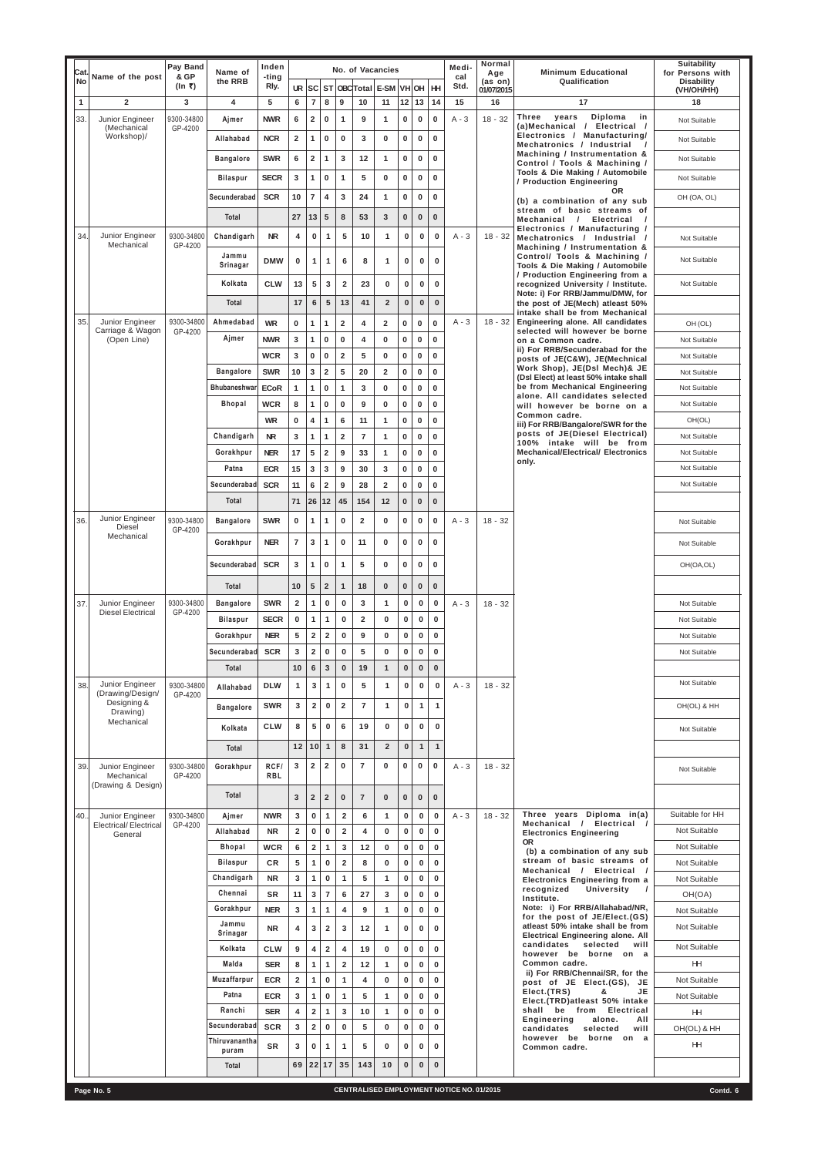|                   |                                                     | Pay Band                         | Name of                | Inden                    |                         |                                         |                  |                             |                | No. of Vacancies             |              |                            |                      | Medi-       | Normal                       | <b>Minimum Educational</b>                                                                             | <b>Suitability</b>                                  |
|-------------------|-----------------------------------------------------|----------------------------------|------------------------|--------------------------|-------------------------|-----------------------------------------|------------------|-----------------------------|----------------|------------------------------|--------------|----------------------------|----------------------|-------------|------------------------------|--------------------------------------------------------------------------------------------------------|-----------------------------------------------------|
| Cat.<br><b>No</b> | Name of the post                                    | & GP<br>$(ln \space \bar{\tau})$ | the RRB                | -ting<br>Rly.            |                         |                                         |                  |                             |                | UR SC ST OBC Total E-SM VHOH |              |                            | HH                   | cal<br>Std. | Age<br>(as on)<br>01/07/2015 | Qualification                                                                                          | for Persons with<br><b>Disability</b><br>(VH/OH/HH) |
| $\mathbf{1}$      | $\overline{2}$                                      | 3                                | 4                      | 5                        | 6                       | $\overline{7}$                          | 8                | 9                           | 10             | 11                           | 12           | 13                         | 14                   | 15          | 16                           | 17                                                                                                     | 18                                                  |
| 33.               | Junior Engineer<br>(Mechanical<br>Workshop)/        | 9300-34800<br>GP-4200            | Ajmer<br>Allahabad     | <b>NWR</b><br><b>NCR</b> | 6<br>$\mathbf{2}$       | $\overline{\mathbf{2}}$<br>$\mathbf{1}$ | 0<br>0           | $\mathbf{1}$<br>$\mathbf 0$ | 9<br>3         | 1<br>0                       | 0<br>0       | $\mathbf 0$<br>$\mathbf 0$ | $\bf{0}$<br>$\bf{0}$ | $A - 3$     | $18 - 32$                    | <b>Three</b><br>years<br>Diploma<br>in<br>(a)Mechanical / Electrical /<br>Electronics / Manufacturing/ | Not Suitable                                        |
|                   |                                                     |                                  |                        |                          |                         |                                         |                  |                             |                |                              |              |                            |                      |             |                              | Mechatronics / Industrial<br>$\prime$<br>Machining / Instrumentation &                                 | Not Suitable                                        |
|                   |                                                     |                                  | <b>Bangalore</b>       | <b>SWR</b>               | 6                       | $\mathbf{2}$                            | $\mathbf{1}$     | 3                           | 12             | $\mathbf{1}$                 | 0            | $\mathbf 0$                | $\bf{0}$             |             |                              | Control / Tools & Machining /<br>Tools & Die Making / Automobile                                       | Not Suitable                                        |
|                   |                                                     |                                  | <b>Bilaspur</b>        | <b>SECR</b>              | 3                       | 1                                       | $\bf{0}$         | $\mathbf{1}$                | 5              | 0                            | 0            | $\bf{0}$                   | $\bf{0}$             |             |                              | / Production Engineering                                                                               | Not Suitable                                        |
|                   |                                                     |                                  | Secunderabad           | <b>SCR</b>               | 10                      | $\overline{7}$                          | 4                | 3                           | 24             | $\mathbf{1}$                 | 0            | $\mathbf 0$                | $\mathbf 0$          |             |                              | <b>OR</b><br>(b) a combination of any sub                                                              | OH (OA, OL)                                         |
|                   |                                                     |                                  | Total                  |                          | 27                      | 13                                      | $5\phantom{1}$   | 8                           | 53             | $\mathbf{3}$                 | $\bf{0}$     | $\bf{0}$                   | $\mathbf{0}$         |             |                              | stream of basic streams of<br>Mechanical /<br><b>Electrical</b><br>$\prime$                            |                                                     |
| 34.               | Junior Engineer<br>Mechanical                       | 9300-34800<br>GP-4200            | Chandigarh             | <b>NR</b>                | 4                       | 0                                       | $\mathbf{1}$     | 5                           | 10             | $\mathbf{1}$                 | 0            | $\mathbf 0$                | $\bf{0}$             | $A - 3$     | $18 - 32$                    | Electronics / Manufacturing /<br>Mechatronics / Industrial /<br>Machining / Instrumentation &          | Not Suitable                                        |
|                   |                                                     |                                  | Jammu<br>Srinagar      | <b>DMW</b>               | $\mathbf 0$             | $\mathbf{1}$                            | 1                | 6                           | 8              | 1                            | 0            | $\mathbf 0$                | 0                    |             |                              | Control/ Tools & Machining /<br>Tools & Die Making / Automobile                                        | Not Suitable                                        |
|                   |                                                     |                                  | Kolkata                | <b>CLW</b>               | 13                      | 5                                       | 3                | $\overline{\mathbf{2}}$     | 23             | $\mathbf 0$                  | 0            | $\mathbf 0$                | 0                    |             |                              | / Production Engineering from a<br>recognized University / Institute.                                  | Not Suitable                                        |
|                   |                                                     |                                  | Total                  |                          | 17                      | 6                                       | ${\bf 5}$        | 13                          | 41             | $\overline{2}$               | $\mathbf{0}$ | $\mathbf{0}$               | $\mathbf 0$          |             |                              | Note: i) For RRB/Jammu/DMW, for<br>the post of JE(Mech) atleast 50%<br>intake shall be from Mechanical |                                                     |
| 35.               | Junior Engineer                                     | 9300-34800                       | Ahmedabad              | <b>WR</b>                | 0                       | $\mathbf{1}$                            | $\mathbf{1}$     | $\overline{\mathbf{2}}$     | 4              | $\overline{\mathbf{2}}$      | 0            | $\mathbf 0$                | $\mathbf 0$          | $A - 3$     | $18 - 32$                    | Engineering alone. All candidates                                                                      | OH (OL)                                             |
|                   | Carriage & Wagon<br>(Open Line)                     | GP-4200                          | Ajmer                  | <b>NWR</b>               | 3                       | $\mathbf{1}$                            | $\mathbf 0$      | $\bf{0}$                    | 4              | $\mathbf 0$                  | $\mathbf 0$  | $\mathbf 0$                | $\mathbf 0$          |             |                              | selected will however be borne<br>on a Common cadre.                                                   | Not Suitable                                        |
|                   |                                                     |                                  |                        | <b>WCR</b>               | $\mathbf{3}$            | $\pmb{0}$                               | $\bf{0}$         | $\mathbf 2$                 | 5              | $\mathbf 0$                  | 0            | $\mathbf 0$                | $\mathbf 0$          |             |                              | ii) For RRB/Secunderabad for the<br>posts of JE(C&W), JE(Mechnical                                     | Not Suitable                                        |
|                   |                                                     |                                  | <b>Bangalore</b>       | <b>SWR</b>               | 10                      | $\mathbf{3}$                            | $\overline{2}$   | 5                           | 20             | $\overline{2}$               | 0            | $\mathbf 0$                | $\mathbf 0$          |             |                              | Work Shop), JE(DsI Mech)& JE                                                                           | Not Suitable                                        |
|                   |                                                     |                                  | <b>Bhubaneshwar</b>    | <b>ECoR</b>              | $\mathbf{1}$            | $\mathbf{1}$                            | $\mathbf 0$      | $\mathbf{1}$                | 3              | $\mathbf 0$                  | 0            | $\bf{0}$                   | $\mathbf 0$          |             |                              | (DsI Elect) at least 50% intake shall<br>be from Mechanical Engineering                                | Not Suitable                                        |
|                   |                                                     |                                  | Bhopal                 | <b>WCR</b>               | 8                       | $\mathbf{1}$                            | $\bf{0}$         | $\mathbf 0$                 | 9              | 0                            | 0            | $\mathbf 0$                | $\mathbf 0$          |             |                              | alone. All candidates selected<br>will however be borne on a                                           | Not Suitable                                        |
|                   |                                                     |                                  |                        | <b>WR</b>                | 0                       | 4                                       | $\mathbf{1}$     | $\bf 6$                     | 11             | 1                            | 0            | $\mathbf 0$                | $\bf{0}$             |             |                              | Common cadre.<br>iii) For RRB/Bangalore/SWR for the                                                    | OH(OL)                                              |
|                   |                                                     |                                  | Chandigarh             | <b>NR</b>                | 3                       | $\mathbf{1}$                            | $\mathbf{1}$     | $\mathbf 2$                 | $\overline{7}$ | 1                            | $\mathbf 0$  | $\mathbf 0$                | 0                    |             |                              | posts of JE(Diesel Electrical)                                                                         | Not Suitable                                        |
|                   |                                                     |                                  | Gorakhpur              | <b>NER</b>               | 17                      | 5                                       | $\overline{2}$   | 9                           | 33             | 1                            | $\mathbf 0$  | $\mathbf 0$                | $\mathbf 0$          |             |                              | 100% intake will be from<br><b>Mechanical/Electrical/ Electronics</b>                                  | Not Suitable                                        |
|                   |                                                     |                                  | Patna                  | <b>ECR</b>               | 15                      | 3                                       | 3                | 9                           | 30             | 3                            | 0            | $\mathbf{0}$               | $\mathbf 0$          |             |                              | only.                                                                                                  | Not Suitable                                        |
|                   |                                                     |                                  | Secunderabad           | <b>SCR</b>               | 11                      | 6                                       | $\overline{2}$   | 9                           | 28             | $\overline{2}$               | $\mathbf 0$  | $\mathbf 0$                | $\mathbf 0$          |             |                              |                                                                                                        | Not Suitable                                        |
|                   |                                                     |                                  | Total                  |                          | 71                      | 26 12                                   |                  | 45                          | 154            | 12                           | $\bf{0}$     | $\mathbf{0}$               | $\bf{0}$             |             |                              |                                                                                                        |                                                     |
| 36.               | Junior Engineer<br><b>Diesel</b>                    | 9300-34800                       | <b>Bangalore</b>       | <b>SWR</b>               | 0                       | 1                                       | 1                | 0                           | $\overline{2}$ | 0                            | 0            | $\mathbf 0$                | $\mathbf 0$          | $A - 3$     | $18 - 32$                    |                                                                                                        | Not Suitable                                        |
|                   | Mechanical                                          | GP-4200                          | Gorakhpur              | <b>NER</b>               | $\overline{7}$          | 3                                       | -1               | $\mathbf 0$                 | 11             | 0                            | 0            | $\mathbf 0$                | $\mathbf 0$          |             |                              |                                                                                                        | <b>Not Suitable</b>                                 |
|                   |                                                     |                                  | Secunderabad           | <b>SCR</b>               | 3                       | $\mathbf{1}$                            | $\bf{0}$         | $\overline{1}$              | 5              | 0                            | 0            | 0                          | $\mathbf 0$          |             |                              |                                                                                                        | OH(OA,OL)                                           |
|                   |                                                     |                                  | Total                  |                          | 10                      | 5                                       | $\overline{2}$   | $\mathbf{1}$                | 18             | $\mathbf{0}$                 | 0            | $\mathbf{0}$               | $\mathbf{0}$         |             |                              |                                                                                                        |                                                     |
| 37.               | Junior Engineer                                     | 9300-34800                       | <b>Bangalore</b>       | <b>SWR</b>               | $\mathbf{2}$            | 1                                       | $\bf{0}$         | $\mathbf 0$                 | 3              | $\mathbf{1}$                 | 0            | $\mathbf 0$                | $\bf{0}$             | $A - 3$     | $18 - 32$                    |                                                                                                        | Not Suitable                                        |
|                   | <b>Diesel Electrical</b>                            | GP-4200                          | <b>Bilaspur</b>        | <b>SECR</b>              | $\mathbf{0}$            | $\mathbf{1}$                            | $\mathbf{1}$     | $\mathbf 0$                 | $\overline{2}$ | 0                            | $\mathbf 0$  | $\mathbf 0$                | 0                    |             |                              |                                                                                                        | Not Suitable                                        |
|                   |                                                     |                                  | Gorakhpur              | <b>NER</b>               | 5                       | $\overline{\mathbf{2}}$                 | $\boldsymbol{2}$ | $\bf{0}$                    | 9              | $\bf{0}$                     | 0            | $\pmb{0}$                  | $\mathbf 0$          |             |                              |                                                                                                        | Not Suitable                                        |
|                   |                                                     |                                  | Secunderabad           | <b>SCR</b>               | 3                       | $\overline{\mathbf{2}}$                 | $\bf{0}$         | $\mathbf 0$                 | 5              | $\mathbf 0$                  | $\mathbf 0$  | $\mathbf 0$                | 0                    |             |                              |                                                                                                        | Not Suitable                                        |
|                   |                                                     |                                  | Total                  |                          | 10                      | 6                                       | $\mathbf{3}$     | $\bf{0}$                    | 19             | $\mathbf{1}$                 | $\bf{0}$     | $\bf{0}$                   | $\bf{0}$             |             |                              |                                                                                                        |                                                     |
| 38.               | Junior Engineer                                     | 9300-34800                       | Allahabad              | <b>DLW</b>               | $\mathbf{1}$            | $\mathbf{3}$                            | 1                | $\mathbf 0$                 | 5              | $\mathbf{1}$                 | $\bf{0}$     | $\mathbf 0$                | $\mathbf 0$          | $A - 3$     | $18 - 32$                    |                                                                                                        | Not Suitable                                        |
|                   | (Drawing/Design/<br>Designing &                     | GP-4200                          | <b>Bangalore</b>       | <b>SWR</b>               | $\overline{3}$          | $\overline{2}$                          | $\bf{0}$         | $\overline{2}$              | $\overline{7}$ | $\mathbf{1}$                 | $\mathbf 0$  | $\mathbf{1}$               | $\mathbf{1}$         |             |                              |                                                                                                        | OH(OL) & HH                                         |
|                   | Drawing)<br>Mechanical                              |                                  | Kolkata                | <b>CLW</b>               | 8                       | 5                                       | 0                | 6                           | 19             | $\mathbf 0$                  | $\mathbf 0$  | $\mathbf 0$                | $\bf{0}$             |             |                              |                                                                                                        | Not Suitable                                        |
|                   |                                                     |                                  | Total                  |                          | 12                      | 10                                      | $\mathbf{1}$     | 8                           | 31             | $\overline{2}$               | $\mathbf{0}$ | $\mathbf{1}$               | $\mathbf{1}$         |             |                              |                                                                                                        |                                                     |
|                   |                                                     |                                  |                        |                          |                         |                                         |                  |                             |                |                              |              |                            |                      |             |                              |                                                                                                        |                                                     |
| 39.               | Junior Engineer<br>Mechanical<br>(Drawing & Design) | 9300-34800<br>GP-4200            | Gorakhpur              | RCF/<br>RBL              | 3                       | $\mathbf 2$                             | $\overline{2}$   | $\bf{0}$                    | $\overline{7}$ | 0                            | 0            | 0                          | $\mathbf 0$          | $A - 3$     | $18 - 32$                    |                                                                                                        | Not Suitable                                        |
|                   |                                                     |                                  | <b>Total</b>           |                          | $\mathbf{3}$            | $\overline{2}$                          | $\overline{2}$   | $\mathbf 0$                 | $\overline{7}$ | $\mathbf{0}$                 | $\mathbf 0$  | $\bf{0}$                   | $\mathbf{0}$         |             |                              |                                                                                                        |                                                     |
| 40.               | Junior Engineer<br><b>Electrical/Electrical</b>     | 9300-34800<br>GP-4200            | Ajmer                  | <b>NWR</b>               | 3                       | 0                                       | 1                | $\mathbf{2}$                | 6              | $\mathbf{1}$                 | $\mathbf 0$  | $\mathbf 0$                | $\mathbf 0$          | $A - 3$     | $18 - 32$                    | Three years Diploma in(a)<br>Mechanical / Electrical /                                                 | Suitable for HH                                     |
|                   | General                                             |                                  | Allahabad              | <b>NR</b>                | $\overline{\mathbf{2}}$ | 0                                       | $\bf{0}$         | $\overline{2}$              | 4              | 0                            | $\mathbf 0$  | $\mathbf 0$                | $\mathbf 0$          |             |                              | <b>Electronics Engineering</b>                                                                         | Not Suitable                                        |
|                   |                                                     |                                  | Bhopal                 | <b>WCR</b>               | 6                       | $\overline{2}$                          | 1                | 3                           | $12$           | 0                            | 0            | $\mathbf 0$                | 0                    |             |                              | <b>OR</b><br>(b) a combination of any sub                                                              | <b>Not Suitable</b>                                 |
|                   |                                                     |                                  | Bilaspur               | <b>CR</b>                | 5                       | 1                                       | $\bf{0}$         | $\overline{2}$              | 8              | 0                            | $\mathbf 0$  | $\bf{0}$                   | 0                    |             |                              | stream of basic streams of<br>Mechanical /<br>Electrical /                                             | Not Suitable                                        |
|                   |                                                     |                                  | Chandigarh             | <b>NR</b>                | 3                       | 1                                       | $\bf{0}$         | $\mathbf{1}$                | 5              | $\mathbf{1}$                 | 0            | $\mathbf 0$                | 0                    |             |                              | <b>Electronics Engineering from a</b>                                                                  | <b>Not Suitable</b>                                 |
|                   |                                                     |                                  | Chennai                | <b>SR</b>                | 11                      | 3                                       | $\overline{7}$   | 6                           | 27             | 3                            | 0            | $\mathbf 0$                | 0                    |             |                              | recognized<br><b>University</b><br>$\prime$<br>Institute.                                              | OH(OA)                                              |
|                   |                                                     |                                  | Gorakhpur              | <b>NER</b>               | 3                       | 1                                       | 1                | 4                           | 9              | 1                            | 0            | 0                          | 0                    |             |                              | Note: i) For RRB/Allahabad/NR,<br>for the post of JE/Elect.(GS)                                        | <b>Not Suitable</b>                                 |
|                   |                                                     |                                  | Jammu<br>Srinagar      | NR.                      | 4                       | 3 <sup>1</sup>                          | $\overline{2}$   | 3 <sup>1</sup>              | 12             | $\mathbf{1}$                 |              | $0 \mid 0 \mid 0$          |                      |             |                              | atleast 50% intake shall be from<br>Electrical Engineering alone. All                                  | Not Suitable                                        |
|                   |                                                     |                                  | Kolkata                | <b>CLW</b>               | 9                       | 4                                       | $\overline{2}$   | $\overline{4}$              | 19             | $\mathbf 0$                  | $\mathbf{0}$ | $\mathbf 0$                | $\mathbf 0$          |             |                              | candidates selected will<br>however be borne on a                                                      | <b>Not Suitable</b>                                 |
|                   |                                                     |                                  | Malda                  | <b>SER</b>               | 8                       | $\mathbf{1}$                            | $\mathbf{1}$     | $\overline{2}$              | $12$           | $\mathbf{1}$                 | $\mathbf 0$  | $\mathbf 0$                | $\mathbf{0}$         |             |                              | Common cadre.<br>ii) For RRB/Chennai/SR, for the                                                       | HH.                                                 |
|                   |                                                     |                                  | Muzaffarpur            | <b>ECR</b>               | $\overline{2}$          | 1                                       | $\mathbf 0$      | $\mathbf{1}$                | 4              | 0                            | $\mathbf{0}$ | $\mathbf 0$                | $\mathbf{0}$         |             |                              | post of JE Elect.(GS), JE                                                                              | Not Suitable                                        |
|                   |                                                     |                                  | Patna                  | <b>ECR</b>               | 3                       | 1 <sup>1</sup>                          | $\mathbf 0$      | $\blacktriangleleft$        | 5              | $\mathbf{1}$                 | $\mathbf 0$  | $\mathbf 0$                | $\mathbf{0}$         |             |                              | Elect.(TRS)<br>&<br>JE<br>Elect.(TRD) atleast 50% intake                                               | Not Suitable                                        |
|                   |                                                     |                                  | Ranchi                 | <b>SER</b>               | 4                       | 2 <sub>1</sub>                          | $\mathbf{1}$     | 3                           | 10             | $\mathbf{1}$                 | $\mathbf 0$  | $\mathbf 0$                | $\mathbf 0$          |             |                              | shall be from Electrical<br>Engineering<br>alone.<br>All                                               | HH                                                  |
|                   |                                                     |                                  | Secunderabad           | <b>SCR</b>               | 3                       | 2 <sup>1</sup>                          | $\bf{0}$         | $\mathbf 0$                 | 5              | $\mathbf{0}$                 | $\mathbf{0}$ | $\mathbf 0$                | $\bf{0}$             |             |                              | candidates selected<br>will<br>however be borne on a                                                   | OH(OL) & HH                                         |
|                   |                                                     |                                  | Thiruvanantha<br>puram | SR                       | $\mathbf{3}$            | $\mathbf{0}$                            | $\mathbf{1}$     | $\blacktriangleleft$        | 5              | $\mathbf{0}$                 | $\mathbf{0}$ | $\bf{0}$                   | $\mathbf{0}$         |             |                              | Common cadre.                                                                                          | ΗH                                                  |
|                   |                                                     |                                  | Total                  |                          |                         |                                         |                  | 69 22 17 35                 | 143            | 10                           | $\mathbf{0}$ | $\mathbf 0$                | $\mathbf{0}$         |             |                              |                                                                                                        |                                                     |

**Page No. 5 CENTRALISED EMPLOYMENT NOTICE NO. 01/2015 CONTRALISED EMPLOYMENT NOTICE NO. 01/2015**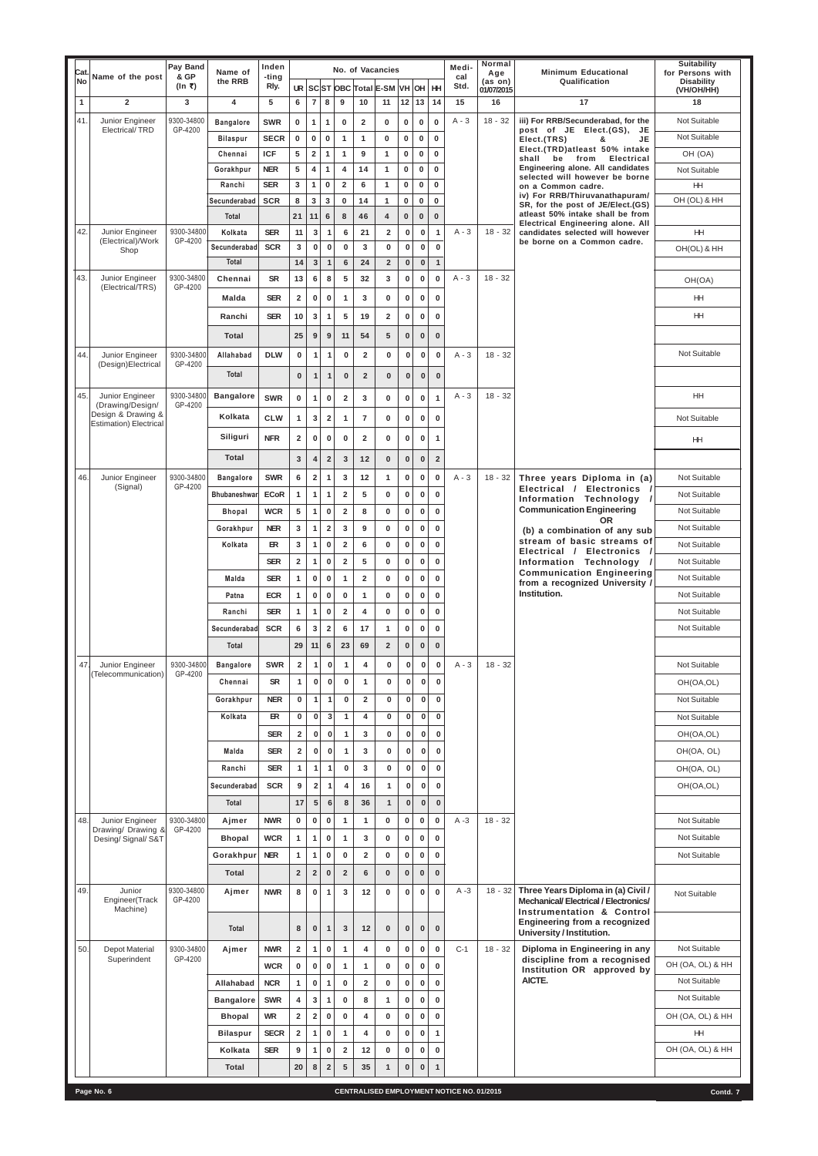| Cat.         |                                                                          | Pay Band                      | Name of                | Inden                    |                           |                         |                          |                                  |                         | No. of Vacancies             |                            |                       |                            | Medi-                                            | Normal<br>Age         | <b>Minimum Educational</b>                                                   | <b>Suitability</b><br>for Persons with |
|--------------|--------------------------------------------------------------------------|-------------------------------|------------------------|--------------------------|---------------------------|-------------------------|--------------------------|----------------------------------|-------------------------|------------------------------|----------------------------|-----------------------|----------------------------|--------------------------------------------------|-----------------------|------------------------------------------------------------------------------|----------------------------------------|
| <b>No</b>    | Name of the post                                                         | & GP<br>$(ln \space \bar{x})$ | the RRB                | -ting<br>Rly.            |                           |                         |                          |                                  |                         | UR SCST OBC Total E-SM VH OH |                            |                       | HH                         | cal<br>Std.                                      | (as on)<br>01/07/2015 | Qualification                                                                | <b>Disability</b><br>(VH/OH/HH)        |
| $\mathbf{1}$ | $\overline{2}$                                                           | 3                             | 4                      | 5                        | 6                         | $\overline{\mathbf{7}}$ | 8                        | $\boldsymbol{9}$                 | 10                      | 11                           | $12$ 13                    |                       | 14                         | 15                                               | 16                    | 17                                                                           | 18                                     |
| 41.          | Junior Engineer<br>Electrical/TRD                                        | 9300-34800<br>GP-4200         | <b>Bangalore</b>       | <b>SWR</b>               | 0                         | $\mathbf{1}$            | 1                        | $\bf{0}$                         | $\overline{2}$          | 0                            | $\mathbf 0$                | $\bf{0}$              | $\mathbf 0$                | $A - 3$                                          | $18 - 32$             | iii) For RRB/Secunderabad, for the<br>post of JE Elect.(GS), JE              | Not Suitable                           |
|              |                                                                          |                               | <b>Bilaspur</b>        | <b>SECR</b>              | $\mathbf 0$               | $\mathbf 0$             | $\bf{0}$                 | $\mathbf{1}$                     | $\mathbf{1}$            | $\mathbf 0$                  | $\pmb{0}$                  | $\bf{0}$              | $\mathbf 0$                |                                                  |                       | <b>JE</b><br>Elect.(TRS)<br>&<br>Elect.(TRD)atleast 50% intake               | Not Suitable                           |
|              |                                                                          |                               | Chennai                | <b>ICF</b>               | 5                         | $\overline{\mathbf{2}}$ | 1                        | $\mathbf{1}$                     | 9                       | 1                            | $\mathbf 0$                | $\bf{0}$              | $\bf{0}$                   |                                                  |                       | from<br>shall<br>be<br><b>Electrical</b>                                     | OH (OA)                                |
|              |                                                                          |                               | Gorakhpur              | <b>NER</b>               | 5                         | 4                       | 1                        | 4                                | 14                      | 1                            | $\mathbf 0$                | $\bf{0}$              | $\bf{0}$                   |                                                  |                       | Engineering alone. All candidates<br>selected will however be borne          | Not Suitable                           |
|              |                                                                          |                               | Ranchi<br>Secunderabad | <b>SER</b><br><b>SCR</b> | $\overline{3}$<br>8       | 1<br>3                  | $\bf{0}$<br>3            | $\overline{2}$<br>$\mathbf 0$    | 6<br>14                 | $\mathbf{1}$<br>$\mathbf{1}$ | $\mathbf 0$<br>$\mathbf 0$ | $\bf{0}$<br>$\bf{0}$  | $\mathbf 0$<br>$\bf{0}$    |                                                  |                       | on a Common cadre.<br>iv) For RRB/Thiruvanathapuram/                         | HH.<br>OH (OL) & HH                    |
|              |                                                                          |                               | Total                  |                          | 21                        | 11                      | 6                        | 8                                | 46                      | 4                            | $\bf{0}$                   | $\bf{0}$              | $\bf{0}$                   |                                                  |                       | SR, for the post of JE/Elect.(GS)<br>atleast 50% intake shall be from        |                                        |
| 42.          | Junior Engineer                                                          | 9300-34800                    | Kolkata                | <b>SER</b>               | 11                        | 3 <sup>1</sup>          | $\overline{1}$           | 6                                | 21                      | $\mathbf{2}$                 | $\bf{0}$                   | $\pmb{0}$             | $\mathbf{1}$               | $A - 3$                                          | $18 - 32$             | <b>Electrical Engineering alone. All</b><br>candidates selected will however | H                                      |
|              | (Electrical)/Work<br>Shop                                                | GP-4200                       | Secunderabad           | <b>SCR</b>               | 3                         | $\mathbf 0$             | $\mathbf 0$              | $\mathbf 0$                      | 3                       | $\mathbf 0$                  | $\bf{0}$                   | $\pmb{0}$             | $\mathbf 0$                |                                                  |                       | be borne on a Common cadre.                                                  | OH(OL) & HH                            |
|              |                                                                          |                               | Total                  |                          | 14                        | $\mathbf{3}$            | $\overline{1}$           | 6                                | 24                      | $\overline{2}$               | $\bf{0}$                   | $\bf{0}$              | $\overline{1}$             |                                                  |                       |                                                                              |                                        |
| 43           | Junior Engineer<br>(Electrical/TRS)                                      | 9300-34800<br>GP-4200         | Chennai                | <b>SR</b>                | 13                        | 6                       | 8                        | 5                                | 32                      | 3                            | $\bf{0}$                   | $\mathbf 0$           | $\mathbf 0$                | $A - 3$                                          | $18 - 32$             |                                                                              | OH(OA)                                 |
|              |                                                                          |                               | Malda                  | <b>SER</b>               | $\overline{\mathbf{2}}$   | $\bf{0}$                | $\mathbf 0$              | $\overline{1}$                   | 3                       | $\bf{0}$                     | $\bf{0}$                   | $\mathbf 0$           | 0                          |                                                  |                       |                                                                              | HH                                     |
|              |                                                                          |                               | Ranchi                 | <b>SER</b>               | 10                        | 3                       | -1                       | 5                                | 19                      | $\overline{2}$               | $\mathbf 0$                | $\bf{0}$              | $\bf{0}$                   |                                                  |                       |                                                                              | HH                                     |
|              |                                                                          |                               | Total                  |                          | 25                        | 9                       | 9                        | 11                               | 54                      | $5\phantom{.0}$              | $\mathbf 0$                | $\bf{0}$              | $\bf{0}$                   |                                                  |                       |                                                                              |                                        |
| 44.          | Junior Engineer                                                          | 9300-34800                    | Allahabad              | <b>DLW</b>               | $\mathbf 0$               | $\overline{1}$          | $\overline{1}$           | $\mathbf 0$                      | $\overline{2}$          | 0                            | $\mathbf{0}$               | $\mathbf 0$           | $\mathbf{0}$               | $A - 3$                                          | $18 - 32$             |                                                                              | Not Suitable                           |
|              | (Design)Electrical                                                       | GP-4200                       | Total                  |                          | $\mathbf{0}$              | $\mathbf{1}$            | $\overline{1}$           | $\mathbf 0$                      | $\overline{2}$          | $\mathbf{0}$                 | $\bf{0}$                   | $\bf{0}$              | $\mathbf{0}$               |                                                  |                       |                                                                              |                                        |
| 45.          | Junior Engineer                                                          | 9300-34800                    | <b>Bangalore</b>       | <b>SWR</b>               | 0                         | $\mathbf{1}$            | $\bf{0}$                 | $\mathbf 2$                      | 3                       | $\mathbf 0$                  | 0                          | $\mathbf 0$           | $\mathbf{1}$               | $A - 3$                                          | $18 - 32$             |                                                                              | HH                                     |
|              | (Drawing/Design/<br>Design & Drawing &<br><b>Estimation</b> ) Electrical | GP-4200                       | Kolkata                | <b>CLW</b>               | $\mathbf{1}$              | $\mathbf{3}$            | $\boldsymbol{2}$         | $\mathbf{1}$                     | $\overline{7}$          | $\bf{0}$                     | $\bf{0}$                   | $\bf{0}$              | $\mathbf 0$                |                                                  |                       |                                                                              | Not Suitable                           |
|              |                                                                          |                               | Siliguri               | <b>NFR</b>               | $\overline{2}$            | $\bf{0}$                | $\mathbf 0$              | $\bf{0}$                         | $\overline{2}$          | $\mathbf 0$                  | $\bf{0}$                   | $\mathbf 0$           | $\mathbf{1}$               |                                                  |                       |                                                                              | HH                                     |
|              |                                                                          |                               | <b>Total</b>           |                          | $\mathbf{3}$              | $\overline{4}$          | $\boldsymbol{2}$         | $\mathbf{3}$                     | $12$                    | $\mathbf{0}$                 | $\bf{0}$                   | $\bf{0}$              | $\overline{2}$             |                                                  |                       |                                                                              |                                        |
| 46.          | Junior Engineer                                                          | 9300-34800                    | <b>Bangalore</b>       | <b>SWR</b>               | 6                         | $\overline{2}$          | $\mathbf{1}$             | 3                                | 12                      | $\mathbf{1}$                 | $\bf{0}$                   | $\bf{0}$              | $\mathbf 0$                | $A - 3$                                          | $18 - 32$             | Three years Diploma in (a)                                                   | Not Suitable                           |
|              | (Signal)                                                                 | GP-4200                       | <b>Bhubaneshwar</b>    | <b>ECoR</b>              | 1                         | $\mathbf{1}$            | 1                        | $\overline{2}$                   | 5                       | $\bf{0}$                     | 0                          | $\pmb{0}$             | $\bf{0}$                   |                                                  |                       | Electrical / Electronics /                                                   | Not Suitable                           |
|              |                                                                          |                               | <b>Bhopal</b>          | <b>WCR</b>               | 5                         | $\mathbf{1}$            | $\bf{0}$                 | $\overline{\mathbf{2}}$          | 8                       | $\bf{0}$                     | $\mathbf 0$                | $\mathbf 0$           | $\mathbf 0$                |                                                  |                       | Information Technology<br><b>Communication Engineering</b>                   | Not Suitable                           |
|              |                                                                          |                               | Gorakhpur              | <b>NER</b>               | 3                         | $\mathbf{1}$            | $\overline{\mathbf{2}}$  | $\mathbf{3}$                     | 9                       | $\mathbf 0$                  | $\mathbf 0$                | $\bf{0}$              | 0                          |                                                  |                       | OR.<br>(b) a combination of any sub                                          | <b>Not Suitable</b>                    |
|              |                                                                          |                               | Kolkata                | $\mathbb{R}$             | 3                         | 1                       | $\bf{0}$                 | $\overline{2}$                   | 6                       | $\mathbf 0$                  | $\mathbf 0$                | $\bf{0}$              | $\bf{0}$                   |                                                  |                       | stream of basic streams of<br>Electrical / Electronics /                     | Not Suitable                           |
|              |                                                                          |                               |                        | <b>SER</b>               | $\overline{\mathbf{2}}$   | 1                       | $\bf{0}$                 | $\overline{2}$                   | 5                       | $\mathbf 0$                  | $\pmb{0}$                  | $\bf{0}$              | $\bf{0}$                   |                                                  |                       | Information Technology                                                       | Not Suitable                           |
|              |                                                                          |                               | Malda                  | <b>SER</b>               | 1                         | 0                       | $\bf{0}$                 | $\overline{1}$                   | $\overline{2}$          | $\mathbf 0$                  | 0                          | $\bf{0}$              | $\bf{0}$                   |                                                  |                       | <b>Communication Engineering</b><br>from a recognized University /           | <b>Not Suitable</b>                    |
|              |                                                                          |                               | Patna                  | <b>ECR</b>               | 1                         | $\bf{0}$                | $\bf{0}$                 | $\bf{0}$                         | 1                       | $\mathbf 0$                  | $\mathbf 0$                | $\bf{0}$              | 0                          |                                                  |                       | Institution.                                                                 | Not Suitable                           |
|              |                                                                          |                               | Ranchi                 | <b>SER</b>               | 1                         | 1                       | $\bf{0}$                 | $\overline{2}$                   | 4                       | $\mathbf 0$                  | $\mathbf 0$                | $\bf{0}$              | $\mathbf 0$                |                                                  |                       |                                                                              | <b>Not Suitable</b>                    |
|              |                                                                          |                               | Secunderabad           | <b>SCR</b>               | 6                         | $\mathbf{3}$            | $\overline{\mathbf{2}}$  | 6                                | 17                      | $\mathbf{1}$                 | $\pmb{0}$                  | $\pmb{0}$             | $\mathbf 0$                |                                                  |                       |                                                                              | Not Suitable                           |
|              |                                                                          |                               | Total                  |                          | 29                        | 11                      | $6\phantom{1}$           | 23                               | 69                      | $\overline{2}$               | $\mathbf 0$                | $\mathbf 0$           | $\mathbf{0}$               |                                                  |                       |                                                                              |                                        |
| 47           | Junior Engineer<br>(Telecommunication)                                   | 9300-34800<br>GP-4200         | <b>Bangalore</b>       | <b>SWR</b>               | $\overline{\mathbf{2}}$   | -1                      | $\mathbf 0$              | $\mathbf{1}$                     | 4                       | 0                            | 0                          | $\bf{0}$              | $\bf{0}$                   | $A - 3$                                          | $18 - 32$             |                                                                              | Not Suitable                           |
|              |                                                                          |                               | Chennai                | <b>SR</b>                | $\mathbf{1}$              | $\mathbf 0$             | $\mathbf{0}$             | $\bf{0}$                         | 1                       | $\mathbf 0$                  | $\bf{0}$                   | $\bf{0}$              | $\bf{0}$                   |                                                  |                       |                                                                              | OH(OA,OL)                              |
|              |                                                                          |                               | Gorakhpur              | <b>NER</b>               | $\bf{0}$                  | $\mathbf 1$             | $\overline{1}$           | $\mathbf 0$                      | $\overline{2}$          | $\mathbf 0$                  | $\bf{0}$                   | $\bf{0}$              | $\bf{0}$                   |                                                  |                       |                                                                              | Not Suitable                           |
|              |                                                                          |                               | Kolkata                | E                        | $\mathbf 0$               | 0                       | $\mathbf{3}$             | $\mathbf{1}$                     | $\overline{\mathbf{4}}$ | $\mathbf 0$                  | $\mathbf{0}$               | $\mathbf 0$           | $\mathbf{0}$               |                                                  |                       |                                                                              | Not Suitable                           |
|              |                                                                          |                               |                        | <b>SER</b>               | $\overline{\mathbf{2}}$   | $\bf{0}$                | $\mathbf 0$              | $\overline{1}$                   | 3                       | $\mathbf 0$                  | $\mathbf{0}$               | $\bf{0}$              | $\mathbf 0$                |                                                  |                       |                                                                              | OH(OA,OL)                              |
|              |                                                                          |                               | Malda                  | <b>SER</b>               | $\overline{2}$            | 0                       | 0                        | $\overline{1}$                   | 3                       | $\mathbf 0$                  | $\mathbf{0}$               | $\bf{0}$              | $\bf{0}$                   |                                                  |                       |                                                                              | OH(OA, OL)                             |
|              |                                                                          |                               | Ranchi                 | <b>SER</b>               | $\mathbf{1}$              | $\mathbf{1}$            | $\overline{1}$           | $\bf{0}$                         | 3                       | $\mathbf 0$                  | $\mathbf{0}$               | $\bf{0}$              | $\mathbf 0$                |                                                  |                       |                                                                              | OH(OA, OL)                             |
|              |                                                                          |                               | Secunderabad           | <b>SCR</b>               | 9                         | $2 \overline{2}$        | $\mathbf{1}$             | 4                                | 16                      | $\mathbf{1}$                 | $\mathbf{0}$               | $\bf{0}$              | $\mathbf 0$                |                                                  |                       |                                                                              | OH(OA,OL)                              |
|              |                                                                          |                               | Total                  |                          | 17                        | 5 <sup>5</sup>          | 6 <sup>1</sup>           | 8                                | 36                      | $\mathbf{1}$                 | $\mathbf{0}$               | $\bf{0}$              | $\mathbf 0$                |                                                  |                       |                                                                              |                                        |
| 48.          | Junior Engineer<br>Drawing/ Drawing &                                    | 9300-34800<br>GP-4200         | Ajmer<br><b>Bhopal</b> | <b>NWR</b><br><b>WCR</b> | $\pmb{0}$<br>$\mathbf{1}$ | $\mathbf 0$<br>1        | $\pmb{0}$<br>$\mathbf 0$ | $\overline{1}$<br>$\overline{1}$ | $\mathbf{1}$<br>3       | $\mathbf 0$<br>$\bf{0}$      | $\bf{0}$<br>$\mathbf 0$    | $\pmb{0}$<br>$\bf{0}$ | $\mathbf 0$<br>$\mathbf 0$ | $A - 3$                                          | $18 - 32$             |                                                                              | Not Suitable<br>Not Suitable           |
|              | Desing/Signal/S&T                                                        |                               | Gorakhpur              | <b>NER</b>               | 1                         | $\mathbf{1}$            | $\pmb{0}$                | $\mathbf 0$                      | $\overline{2}$          | $\mathbf 0$                  | $\mathbf 0$                | $\bf{0}$              | $\bf{0}$                   |                                                  |                       |                                                                              | Not Suitable                           |
|              |                                                                          |                               | Total                  |                          | $\overline{2}$            | $\overline{2}$          | $\pmb{0}$                | $\overline{2}$                   | 6                       | $\mathbf{0}$                 | $\bf{0}$                   | $\bf{0}$              | $\bf{0}$                   |                                                  |                       |                                                                              |                                        |
| 49.          | Junior                                                                   | 9300-34800                    | Ajmer                  | <b>NWR</b>               | 8                         | $\bf{0}$                | $\mathbf{1}$             | 3                                | 12                      | $\bf{0}$                     | $\mathbf 0$                | $\mathbf 0$           | $\bf{0}$                   | $A - 3$                                          | $18 - 32$             | Three Years Diploma in (a) Civil /                                           | Not Suitable                           |
|              | Engineer(Track<br>Machine)                                               | GP-4200                       |                        |                          |                           |                         |                          |                                  |                         |                              |                            |                       |                            |                                                  |                       | <b>Mechanical/Electrical/Electronics/</b><br>Instrumentation & Control       |                                        |
|              |                                                                          |                               | Total                  |                          | $\bf 8$                   | 0                       | 1                        | $\mathbf{3}$                     | 12                      | $\bf{0}$                     | 0 <sup>1</sup>             | $\bf{0}$              | $\bf{0}$                   |                                                  |                       | <b>Engineering from a recognized</b><br>University / Institution.            |                                        |
| 50.          | Depot Material                                                           | 9300-34800                    | Ajmer                  | <b>NWR</b>               | $\overline{\mathbf{2}}$   | $\mathbf{1}$            | $\mathbf 0$              | $\mathbf{1}$                     | 4                       | $\mathbf 0$                  | $\mathbf 0$                | $\boldsymbol{0}$      | $\mathbf 0$                | $C-1$                                            | $18 - 32$             | Diploma in Engineering in any                                                | Not Suitable                           |
|              | Superindent                                                              | GP-4200                       |                        | <b>WCR</b>               | 0                         | $\mathbf{0}$            | 0                        | $\mathbf{1}$                     | 1                       | 0                            | 0                          | $\pmb{0}$             | 0                          |                                                  |                       | discipline from a recognised<br>Institution OR approved by                   | OH (OA, OL) & HH                       |
|              |                                                                          |                               | Allahabad              | <b>NCR</b>               | 1                         | $\mathbf{0}$            | $\mathbf{1}$             | $\mathbf 0$                      | $\overline{2}$          | $\mathbf 0$                  | $\mathbf 0$                | $\boldsymbol{0}$      | $\mathbf 0$                |                                                  |                       | AICTE.                                                                       | Not Suitable                           |
|              |                                                                          |                               | <b>Bangalore</b>       | <b>SWR</b>               | 4                         | $\mathbf{3}$            | 1                        | $\mathbf 0$                      | 8                       | $\mathbf{1}$                 | 0                          | $\bf{0}$              | 0                          |                                                  |                       |                                                                              | Not Suitable                           |
|              |                                                                          |                               | <b>Bhopal</b>          | <b>WR</b>                | $\mathbf{2}$              | 2 <sub>1</sub>          | $\mathbf 0$              | $\mathbf{0}$                     | 4                       | $\mathbf 0$                  | 0                          | $\bf{0}$              | $\mathbf{0}$               |                                                  |                       |                                                                              | OH (OA, OL) & HH                       |
|              |                                                                          |                               | <b>Bilaspur</b>        | <b>SECR</b>              | $\overline{\mathbf{2}}$   | $\mathbf{1}$            | $\bf{0}$                 | $\overline{1}$                   | 4                       | $\mathbf 0$                  | $\pmb{0}$                  | $\bf{0}$              | 1                          |                                                  |                       |                                                                              | HH                                     |
|              |                                                                          |                               | Kolkata                | <b>SER</b>               | 9                         | $\mathbf{1}$            | $\bf{0}$                 | $\overline{2}$                   | 12                      | $\mathbf 0$                  | $\mathbf 0$                | $\bf{0}$              | $\mathbf 0$                |                                                  |                       |                                                                              | OH (OA, OL) & HH                       |
|              |                                                                          |                               | Total                  |                          | 20                        | 8                       | $\overline{2}$           | $5\phantom{.0}$                  | 35                      | $\mathbf{1}$                 | $\bf{0}$                   | $\bf{0}$              | $\mathbf{1}$               |                                                  |                       |                                                                              |                                        |
|              | Page No. 6                                                               |                               |                        |                          |                           |                         |                          |                                  |                         |                              |                            |                       |                            | <b>CENTRALISED EMPLOYMENT NOTICE NO. 01/2015</b> |                       |                                                                              | Contd. 7                               |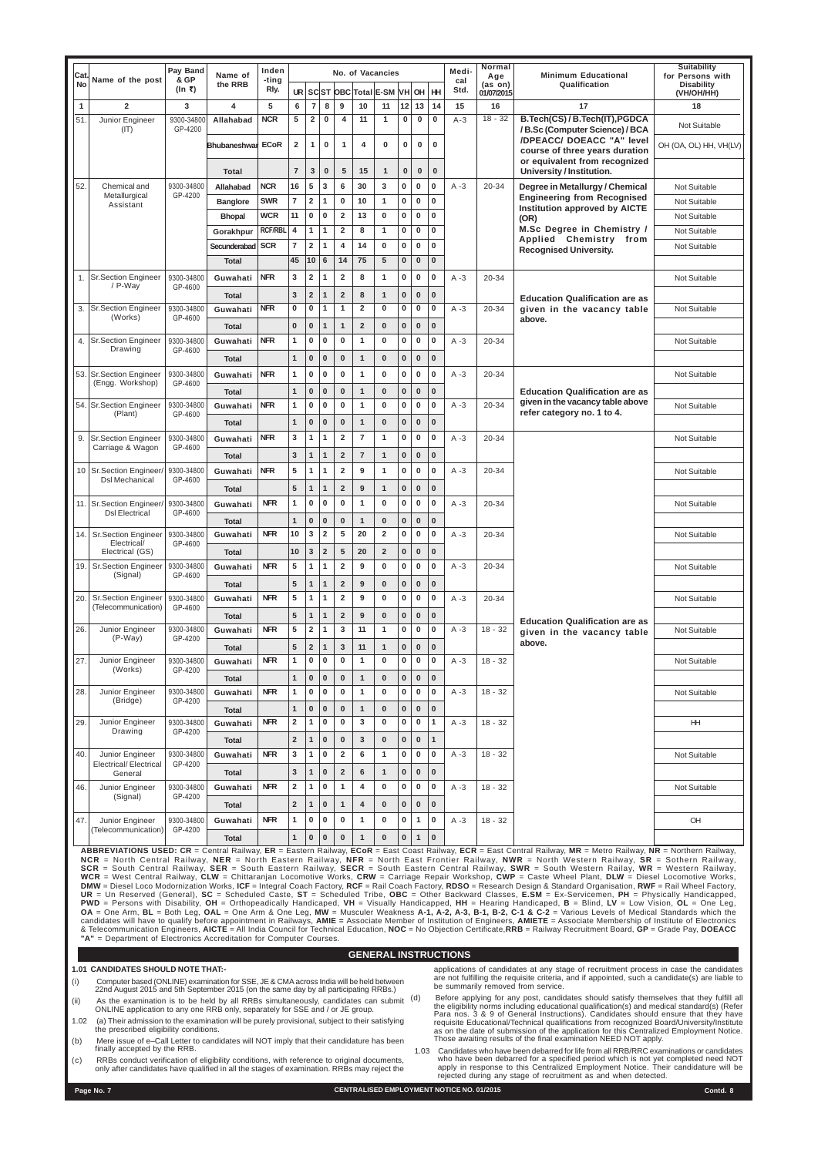**ABBREVIATIONS USED: CR** = Central Railway, **ER** = Eastern Railway, **ECoR** = East Coast Railway, **ECR** = East Central Railway, **MR** = Metro Railway, **NR** = Northern Railway, **NCR** = North Central Railway, **NER** = North Eastern Railway, **NFR** = North East Frontier Railway, **NWR** = North Western Railway, **SR** = Sothern Railway, **SCR** = South Central Railway, **SER** = South Eastern Railway, **SECR** = South Eastern Central Railway, **SWR** = South Western Railay, **WR** = Western Railway,

**WCR** = West Central Railway, **CLW** = Chittaranjan Locomotive Works, **CRW** = Carriage Repair Workshop, **CWP** = Caste Wheel Plant, **DLW** = Diesel Locomotive Works, **DMW** = Diesel Loco Modornization Works, **ICF** = Integral Coach Factory, **RCF** = Rail Coach Factory, **RDSO** = Research Design & Standard Organisation, **RWF** = Rail Wheel Factory, **UR** = Un Reserved (General), **SC** = Scheduled Caste, **ST** = Scheduled Tribe, **OBC** = Other Backward Classes, **E.SM** = Ex-Servicemen, **PH** = Physically Handicapped, **PWD** = Persons with Disability, **OH** = Orthopeadically Handicaped, **VH** = Visually Handicapped, **HH** = Hearing Handicaped, **B** = Blind, **LV** = Low Vision, **OL** = One Leg, **OA** = One Arm, **BL** = Both Leg, **OAL** = One Arm & One Leg, **MW** = Musculer Weakness **A-1, A-2, A-3, B-1, B-2, C-1 & C-2** = Various Levels of Medical Standards which the candidates will have to qualify before appointment in Railways, **AMIE =** Associate Member of Institution of Engineers, **AMIETE** = Associate Membership of Institute of Electronics & Telecommunication Engineers, **AICTE** = All India Council for Technical Education, **NOC** = No Objection Certificate,**RRB** = Railway Recruitment Board, **GP** = Grade Pay, **DOEACC "A"** = Department of Electronics Accreditation for Computer Courses.

- Before applying for any post, candidates should satisfy themselves that they fulfill all the eligibility norms including educational qualification(s) and medical standard(s) (Refer Para nos. 3 & 9 of General Instructions). Candidates should ensure that they have requisite Educational/Technical qualifications from recognized Board/University/Institute as on the date of submission of the application for this Centralized Employment Notice. Those awaiting results of the final examination NEED NOT apply.
- 1.03 Candidates who have been debarred for life from all RRB/RRC examinations or candidates who have been debarred for a specified period which is not yet completed need NOT apply in response to this Centralized Employment Notice. Their candidature will be rejected during any stage of recruitment as and when detected.

#### **Page No. 7 CENTRALISED EMPLOYMENT NOTICE NO. 01/2015 CONTRALISED EMPLOYMENT NOTICE NO. 01/2015**

#### **1.01 CANDIDATES SHOULD NOTE THAT:-**

- (i) Computer based (ONLINE) examination for SSE, JE & CMA across India will be held between 22nd August 2015 and 5th September 2015 (on the same day by all participating RRBs.)
- (ii) As the examination is to be held by all RRBs simultaneously, candidates can submit  $(d)$ ONLINE application to any one RRB only, separately for SSE and / or JE group.
- 1.02 (a) Their admission to the examination will be purely provisional, subject to their satisfying the prescribed eligibility conditions.
- (b) Mere issue of e–Call Letter to candidates will NOT imply that their candidature has been finally accepted by the RRB.
- (c) RRBs conduct verification of eligibility conditions, with reference to original documents, only after candidates have qualified in all the stages of examination. RRBs may reject the

applications of candidates at any stage of recruitment process in case the candidates are not fulfilling the requisite criteria, and if appointed, such a candidate(s) are liable to be summarily removed from service.

| Cat          |                                                     | Pay Band                         | Name of           | Inden          |                 |                              |                              |                         |                | No. of Vacancies             |                  |                      |                          | Medi-       | <b>Normal</b><br>Age  | <b>Minimum Educational</b>                                                 | <b>Suitability</b><br>for Persons with |
|--------------|-----------------------------------------------------|----------------------------------|-------------------|----------------|-----------------|------------------------------|------------------------------|-------------------------|----------------|------------------------------|------------------|----------------------|--------------------------|-------------|-----------------------|----------------------------------------------------------------------------|----------------------------------------|
| <b>No</b>    | Name of the post                                    | & GP<br>$(ln \space \bar{\tau})$ | the RRB           | -ting<br>Rly.  |                 |                              |                              |                         |                | UR SCST OBC Total E-SM VH OH |                  |                      | HH                       | cal<br>Std. | (as on)<br>01/07/2015 | Qualification                                                              | <b>Disability</b><br>(VH/OH/HH)        |
| $\mathbf{1}$ | $\overline{2}$                                      | 3                                | 4                 | 5              | 6               | $\overline{7}$               | 8                            | 9                       | 10             | 11                           |                  | $12$ 13              | 14                       | 15          | 16                    | 17                                                                         | 18                                     |
| 51           | Junior Engineer<br>(IT)                             | 9300-34800<br>GP-4200            | <b>Allahabad</b>  | <b>NCR</b>     | 5               | $\mathbf{2}$                 | $\mathbf 0$                  | $\overline{\mathbf{4}}$ | 11             | $\mathbf{1}$                 | $\mathbf 0$      | $\bf{0}$             | $\mathbf 0$              | $A-3$       | $18 - 32$             | B.Tech(CS)/B.Tech(IT),PGDCA<br>/B.Sc (Computer Science) / BCA              | Not Suitable                           |
|              |                                                     |                                  | Bhubaneshwar ECoR |                | $\overline{2}$  | $\mathbf{1}$                 | $\mathbf 0$                  | $\mathbf{1}$            | 4              | 0                            | $\pmb{0}$        | $\bf{0}$             | $\mathbf 0$              |             |                       | /DPEACC/ DOEACC "A" level<br>course of three years duration                | OH (OA, OL) HH, VH(LV)                 |
|              |                                                     |                                  | <b>Total</b>      |                | $\overline{7}$  | 3                            | $\bf{0}$                     | $5\phantom{.0}$         | 15             | 1                            | $\pmb{0}$        | 0                    | $\bf{0}$                 |             |                       | or equivalent from recognized<br>University / Institution.                 |                                        |
| 52.          | Chemical and                                        | 9300-34800                       | <b>Allahabad</b>  | <b>NCR</b>     | 16              | 5                            | $\overline{\mathbf{3}}$      | 6                       | 30             | 3                            | 0                | $\mathbf 0$          | $\mathbf 0$              | $A - 3$     | 20-34                 | Degree in Metallurgy / Chemical                                            | Not Suitable                           |
|              | Metallurgical<br>Assistant                          | GP-4200                          | <b>Banglore</b>   | <b>SWR</b>     | $\overline{7}$  | $\overline{\mathbf{2}}$      | $\mathbf{1}$                 | 0                       | 10             | 1                            | 0                | $\bf{0}$             | $\mathbf 0$              |             |                       | <b>Engineering from Recognised</b><br><b>Institution approved by AICTE</b> | <b>Not Suitable</b>                    |
|              |                                                     |                                  | <b>Bhopal</b>     | <b>WCR</b>     | 11              | $\mathbf 0$                  | $\mathbf 0$                  | $\overline{2}$          | 13             | $\bf{0}$                     | 0                | $\bf{0}$             | $\bf{0}$                 |             |                       | (OR)                                                                       | Not Suitable                           |
|              |                                                     |                                  | Gorakhpur         | <b>RCF/RBL</b> | $\overline{4}$  | $\mathbf{1}$                 | $\mathbf{1}$                 | $\mathbf{2}$            | 8              | $\mathbf{1}$                 | 0                | $\bf{0}$             | $\mathbf 0$              |             |                       | M.Sc Degree in Chemistry /                                                 | Not Suitable                           |
|              |                                                     |                                  | Secunderabad      | <b>SCR</b>     | $\overline{7}$  | $\overline{2}$               | $\mathbf{1}$                 | 4                       | 14             | $\bf{0}$                     | 0                | $\mathbf 0$          | $\bf{0}$                 |             |                       | Applied Chemistry from<br><b>Recognised University.</b>                    | Not Suitable                           |
|              |                                                     |                                  | <b>Total</b>      |                | 45              | $ 10\rangle$                 | 6                            | 14                      | 75             | 5                            | $\mathbf{0}$     | $\mathbf{0}$         | $\bf{0}$                 |             |                       |                                                                            |                                        |
| 1.           | <b>Sr.Section Engineer</b>                          | 9300-34800                       | Guwahati          | <b>NFR</b>     | 3               | $\overline{2}$               | $\mathbf{1}$                 | $\overline{2}$          | 8              | 1                            | 0                | $\bf{0}$             | $\bf{0}$                 | $A - 3$     | 20-34                 |                                                                            | Not Suitable                           |
|              | / P-Way                                             | GP-4600                          | <b>Total</b>      |                | 3               | $\overline{2}$               | $\mathbf{1}$                 | $\overline{2}$          | 8              | $\mathbf{1}$                 | $\mathbf 0$      | $\bf{0}$             | $\bf{0}$                 |             |                       |                                                                            |                                        |
| 3.           | <b>Sr.Section Engineer</b>                          | 9300-34800                       | Guwahati          | <b>NFR</b>     | 0               | $\mathbf 0$                  | $\mathbf{1}$                 | $\mathbf{1}$            | $\overline{2}$ | $\bf{0}$                     | 0                | $\mathbf 0$          | $\mathbf 0$              | $A - 3$     | 20-34                 | <b>Education Qualification are as</b><br>given in the vacancy table        | Not Suitable                           |
|              | (Works)                                             | GP-4600                          |                   |                |                 |                              |                              |                         |                |                              |                  |                      |                          |             |                       | above.                                                                     |                                        |
|              |                                                     |                                  | <b>Total</b>      |                | $\mathbf{0}$    | $\mathbf 0$                  | $\mathbf{1}$                 | $\mathbf{1}$            | $\overline{2}$ | $\mathbf 0$                  | $\mathbf{0}$     | $\bf{0}$             | $\pmb{0}$                |             |                       |                                                                            |                                        |
| 4.           | <b>Sr.Section Engineer</b><br>Drawing               | 9300-34800<br>GP-4600            | Guwahati          | <b>NFR</b>     | $\mathbf{1}$    | $\bf{0}$                     | $\mathbf 0$                  | $\mathbf 0$             | $\mathbf{1}$   | 0                            | 0                | $\mathbf 0$          | $\pmb{0}$                | $A - 3$     | 20-34                 |                                                                            | Not Suitable                           |
|              |                                                     |                                  | <b>Total</b>      |                | $\mathbf{1}$    | $\bf{0}$                     | $\mathbf{0}$                 | $\mathbf{0}$            | $\overline{1}$ | $\mathbf 0$                  | $\mathbf 0$      | $\bf{0}$             | $\pmb{0}$                |             |                       |                                                                            |                                        |
|              | 53. Sr. Section Engineer                            | 9300-34800                       | Guwahati          | <b>NFR</b>     | 1               | $\bf{0}$                     | $\mathbf 0$                  | $\mathbf 0$             | $\mathbf{1}$   | $\bf{0}$                     | 0                | $\mathbf 0$          | $\bf{0}$                 | $A - 3$     | 20-34                 |                                                                            | Not Suitable                           |
|              | (Engg. Workshop)                                    | GP-4600                          | <b>Total</b>      |                | $\mathbf{1}$    | $\bf{0}$                     | $\mathbf{0}$                 | $\bf{0}$                | $\mathbf{1}$   | $\bf{0}$                     | $\mathbf 0$      | $\bf{0}$             | $\pmb{0}$                |             |                       | <b>Education Qualification are as</b>                                      |                                        |
| 54.          | <b>Sr.Section Engineer</b>                          | 9300-34800                       | Guwahati          | <b>NFR</b>     | $\mathbf{1}$    | $\pmb{0}$                    | $\pmb{0}$                    | $\mathbf 0$             | $\mathbf{1}$   | $\mathbf 0$                  | 0                | $\mathbf 0$          | $\mathbf 0$              | $A - 3$     | $20 - 34$             | given in the vacancy table above                                           | Not Suitable                           |
|              | (Plant)                                             | GP-4600                          | <b>Total</b>      |                | $\mathbf{1}$    | $\bf{0}$                     | $\bf{0}$                     | $\bf{0}$                | $\mathbf{1}$   | $\mathbf 0$                  | $\mathbf{0}$     | $\bf{0}$             | $\mathbf{0}$             |             |                       | refer category no. 1 to 4.                                                 |                                        |
| 9.           | <b>Sr.Section Engineer</b>                          | 9300-34800                       | Guwahati          | <b>NFR</b>     | 3               | 1                            | $\mathbf{1}$                 | $\overline{2}$          | $\overline{7}$ | $\mathbf{1}$                 | 0                | $\mathbf 0$          | $\mathbf 0$              | $A - 3$     | 20-34                 |                                                                            | Not Suitable                           |
|              | Carriage & Wagon                                    | GP-4600                          |                   |                |                 |                              |                              |                         |                |                              |                  |                      |                          |             |                       |                                                                            |                                        |
|              |                                                     |                                  | <b>Total</b>      |                | 3               | $\mathbf{1}$                 | $\mathbf{1}$                 | $\overline{2}$          | $\overline{7}$ | $\overline{1}$               | $\mathbf{0}$     | $\bf{0}$             | $\mathbf{0}$             |             |                       |                                                                            |                                        |
|              | 10   Sr. Section Engineer/<br><b>Dsl Mechanical</b> | 9300-34800<br>GP-4600            | Guwahati          | <b>NFR</b>     | 5               | $\mathbf{1}$                 | $\mathbf{1}$                 | $\overline{\mathbf{2}}$ | 9              | $\mathbf{1}$                 | 0                | $\bf{0}$             | $\mathbf 0$              | $A - 3$     | 20-34                 |                                                                            | Not Suitable                           |
|              |                                                     |                                  | <b>Total</b>      |                | 5               | $\mathbf{1}$                 | $\mathbf{1}$                 | $\overline{2}$          | 9              | $\mathbf{1}$                 | $\bf{0}$         | $\bf{0}$             | $\bf{0}$                 |             |                       |                                                                            |                                        |
|              | 11. Sr.Section Engineer/                            | 9300-34800                       | Guwahati          | <b>NFR</b>     | $\mathbf 1$     | 0                            | 0                            | $\bf{0}$                | $\mathbf{1}$   | 0                            | 0                | 0                    | $\pmb{0}$                | $A - 3$     | 20-34                 |                                                                            | Not Suitable                           |
|              | <b>DsI Electrical</b>                               | GP-4600                          | <b>Total</b>      |                | $\mathbf{1}$    | $\mathbf 0$                  | $\bf{0}$                     | $\bf{0}$                | $\mathbf{1}$   | $\bf{0}$                     | $\mathbf 0$      | $\bf{0}$             | $\bf{0}$                 |             |                       |                                                                            |                                        |
| 14.          | <b>Sr.Section Engineer</b>                          | 9300-34800                       | Guwahati          | <b>NFR</b>     | 10              | $\mathbf{3}$                 | $\mathbf 2$                  | $5\phantom{.0}$         | 20             | $\overline{2}$               | $\pmb{0}$        | $\bf{0}$             | $\pmb{0}$                | $A - 3$     | 20-34                 |                                                                            | Not Suitable                           |
|              | Electrical/<br>Electrical (GS)                      | GP-4600                          | <b>Total</b>      |                | 10              | $\mathbf{3}$                 | $\mathbf 2$                  | $5\phantom{.0}$         | 20             | $\overline{2}$               | $\mathbf 0$      | $\bf{0}$             | $\pmb{0}$                |             |                       |                                                                            |                                        |
| 19.1         | <b>Sr.Section Engineer</b>                          | 9300-34800                       | Guwahati          | <b>NFR</b>     | 5               | 1                            | $\mathbf{1}$                 | $\mathbf{2}$            | 9              | $\mathbf 0$                  | 0                | $\bf{0}$             | $\pmb{0}$                | $A - 3$     | 20-34                 |                                                                            | Not Suitable                           |
|              | (Signal)                                            | GP-4600                          | <b>Total</b>      |                | 5 <sup>5</sup>  | $\mathbf{1}$                 | $\mathbf{1}$                 | $\overline{2}$          | 9              | $\bf{0}$                     | $\mathbf 0$      | $\bf{0}$             | $\pmb{0}$                |             |                       |                                                                            |                                        |
| 20.          | <b>Sr.Section Engineer</b>                          | 9300-34800                       | Guwahati          | <b>NFR</b>     | $5\phantom{.0}$ | $\mathbf{1}$                 | $\mathbf{1}$                 | $\overline{2}$          | 9              | $\mathbf 0$                  | 0                | $\bf{0}$             | $\pmb{0}$                | $A - 3$     | 20-34                 |                                                                            | Not Suitable                           |
|              | (Telecommunication)                                 | GP-4600                          |                   |                | 5               |                              |                              |                         |                |                              |                  |                      |                          |             |                       |                                                                            |                                        |
| 26.          | Junior Engineer                                     | 9300-34800                       | <b>Total</b>      | <b>NFR</b>     | 5               | $\mathbf{1}$<br>$\mathbf{2}$ | $\mathbf{1}$<br>$\mathbf{1}$ | $\overline{2}$<br>3     | 9<br>11        | $\bf{0}$<br>1                | $\mathbf 0$<br>0 | $\bf{0}$<br>$\bf{0}$ | $\pmb{0}$<br>$\mathbf 0$ | $A - 3$     | $18 - 32$             | <b>Education Qualification are as</b>                                      |                                        |
|              | $(P-Way)$                                           | GP-4200                          | Guwahati          |                |                 |                              |                              |                         |                |                              |                  |                      |                          |             |                       | given in the vacancy table<br>above.                                       | Not Suitable                           |
|              |                                                     |                                  | <b>Total</b>      |                | 5               | $\overline{2}$               | $\mathbf{1}$                 | $\mathbf{3}$            | 11             | $\mathbf{1}$                 | $\bf{0}$         | $\bf{0}$             | $\pmb{0}$                |             |                       |                                                                            |                                        |
| 27.          | Junior Engineer<br>(Works)                          | 9300-34800<br>GP-4200            | Guwahati          | <b>NFR</b>     | $\mathbf{1}$    | $\pmb{0}$                    | $\mathbf 0$                  | $\mathbf 0$             | $\mathbf{1}$   | $\bf{0}$                     | 0                | $\bf{0}$             | $\pmb{0}$                | $A - 3$     | $18 - 32$             |                                                                            | Not Suitable                           |
|              |                                                     |                                  | <b>Total</b>      |                | $\mathbf{1}$    | $\bf{0}$                     | $\bf{0}$                     | $\mathbf 0$             | $\mathbf{1}$   | $\bf{0}$                     | $\mathbf 0$      | $\bf{0}$             | $\bf{0}$                 |             |                       |                                                                            |                                        |
| 28.          | Junior Engineer<br>(Bridge)                         | 9300-34800<br>GP-4200            | Guwahati          | <b>NFR</b>     | $\mathbf{1}$    | $\mathbf 0$                  | $\pmb{0}$                    | $\bf{0}$                | $\mathbf{1}$   | $\mathbf 0$                  | 0                | $\mathbf 0$          | $\pmb{0}$                | $A - 3$     | $18 - 32$             |                                                                            | Not Suitable                           |
|              |                                                     |                                  | <b>Total</b>      |                | $\mathbf{1}$    | $\mathbf 0$                  | $\pmb{0}$                    | $\mathbf 0$             | $\mathbf{1}$   | $\bf{0}$                     | $\mathbf 0$      | $\bf{0}$             | $\pmb{0}$                |             |                       |                                                                            |                                        |
| 29.          | Junior Engineer                                     | 9300-34800                       | Guwahati          | <b>NFR</b>     | $\mathbf{2}$    | 1                            | $\mathbf 0$                  | $\mathbf 0$             | $\mathbf{3}$   | 0                            | 0                | $\mathbf 0$          | $\mathbf{1}$             | $A - 3$     | $18 - 32$             |                                                                            | <b>HH</b>                              |
|              | Drawing                                             | GP-4200                          | <b>Total</b>      |                | 2 <sup>2</sup>  | $\mathbf{1}$                 | $\mathbf{0}$                 | $\mathbf 0$             | 3              | $\mathbf 0$                  | $\mathbf 0$      | $\bf{0}$             | $\mathbf{1}$             |             |                       |                                                                            |                                        |
| 40.          | Junior Engineer                                     | 9300-34800                       | Guwahati          | <b>NFR</b>     | 3               | 1                            | $\pmb{0}$                    | $\overline{2}$          | 6              | 1                            | 0                | $\bf{0}$             | $\mathbf 0$              | $A - 3$     | $18 - 32$             |                                                                            | Not Suitable                           |
|              | <b>Electrical/ Electrical</b>                       | GP-4200                          | <b>Total</b>      |                | $\mathbf{3}$    | $\mathbf{1}$                 | $\mathbf{0}$                 | $\overline{2}$          | 6              | $\mathbf{1}$                 | $\mathbf 0$      | $\bf{0}$             | $\bf{0}$                 |             |                       |                                                                            |                                        |
| 46.          | General<br>Junior Engineer                          | 9300-34800                       |                   | <b>NFR</b>     | $\mathbf{2}$    | 1                            | $\mathbf 0$                  | 1                       | 4              | $\bf{0}$                     | 0                | $\bf{0}$             | $\mathbf 0$              | $A - 3$     | $18 - 32$             |                                                                            | Not Suitable                           |
|              | (Signal)                                            | GP-4200                          | Guwahati          |                |                 |                              |                              |                         |                |                              |                  |                      |                          |             |                       |                                                                            |                                        |
|              |                                                     |                                  | <b>Total</b>      |                | 2 <sup>2</sup>  | $\mathbf{1}$                 | $\pmb{0}$                    | $\mathbf{1}$            | $\overline{4}$ | $\bf{0}$                     | $\mathbf 0$      | $\bf{0}$             | $\pmb{0}$                |             |                       |                                                                            |                                        |
| 47.          | Junior Engineer<br>(Telecommunication)              | 9300-34800<br>GP-4200            | Guwahati          | <b>NFR</b>     | $\mathbf{1}$    | $\mathbf 0$                  | $\pmb{0}$                    | $\mathbf 0$             | $\mathbf{1}$   | $\mathbf 0$                  | 0                | $\mathbf{1}$         | $\pmb{0}$                | $A - 3$     | $18 - 32$             |                                                                            | OH                                     |
|              |                                                     |                                  | <b>Total</b>      |                | $\mathbf{1}$    | $\bf{0}$                     | $\bf{0}$                     | $\bf{0}$                | $\mathbf{1}$   | $\bf{0}$                     | $\mathbf 0$      | $\mathbf{1}$         | $\pmb{0}$                |             |                       |                                                                            |                                        |
|              | ADDDEVIATIONS HOED                                  |                                  |                   |                |                 |                              |                              |                         |                |                              |                  |                      |                          | FOP         |                       |                                                                            |                                        |

#### **GENERAL INSTRUCTIONS**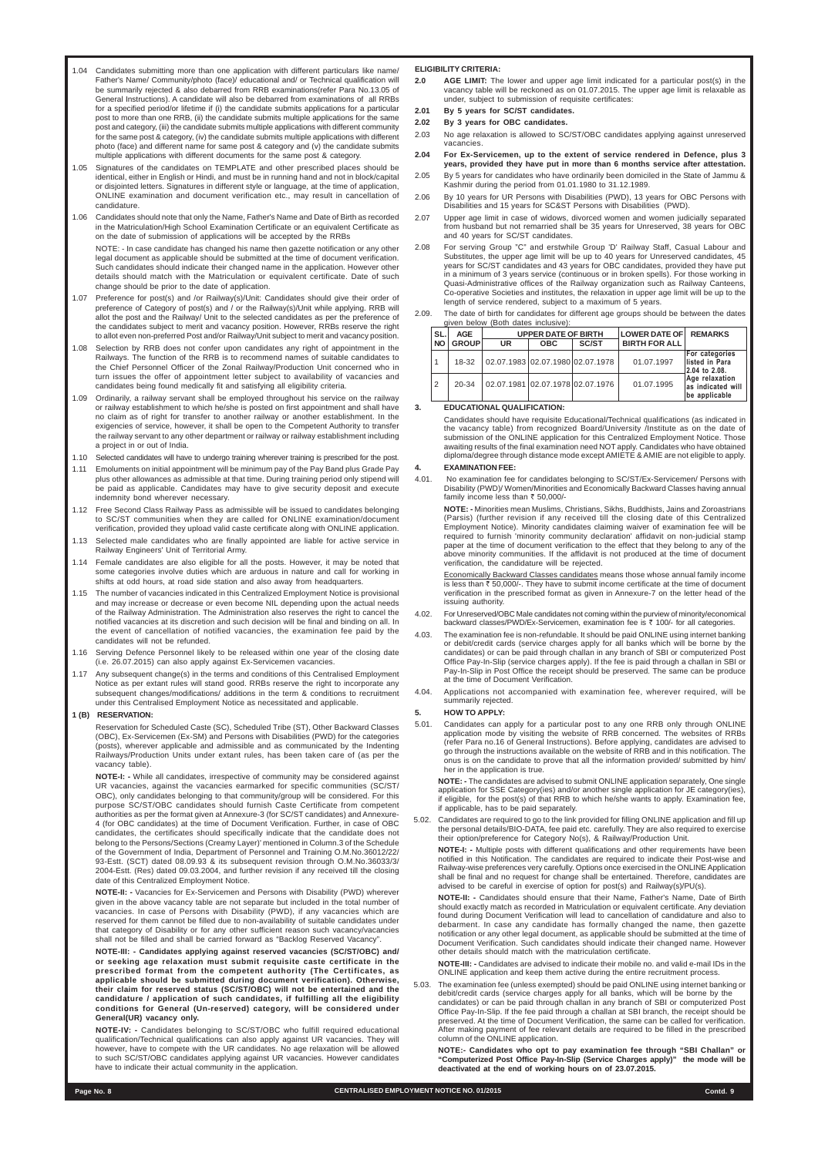**Page No. 8 CENTRALISED EMPLOYMENT NOTICE NO. 01/2015 Contd. 9**

- 1.04 Candidates submitting more than one application with different particulars like name/ Father's Name/ Community/photo (face)/ educational and/ or Technical qualification will be summarily rejected & also debarred from RRB examinations(refer Para No.13.05 of General Instructions). A candidate will also be debarred from examinations of all RRBs for a specified period/or lifetime if (i) the candidate submits applications for a particular post to more than one RRB, (ii) the candidate submits multiple applications for the same post and category, (iii) the candidate submits multiple applications with different community for the same post & category, (iv) the candidate submits multiple applications with different photo (face) and different name for same post & category and (v) the candidate submits multiple applications with different documents for the same post & category.
- 1.05 Signatures of the candidates on TEMPLATE and other prescribed places should be identical, either in English or Hindi, and must be in running hand and not in block/capital or disjointed letters. Signatures in different style or language, at the time of application, ONLINE examination and document verification etc., may result in cancellation of candidature.

1.06 Candidates should note that only the Name, Father's Name and Date of Birth as recorded in the Matriculation/High School Examination Certificate or an equivalent Certificate as on the date of submission of applications will be accepted by the RRBs NOTE: - In case candidate has changed his name then gazette notification or any other legal document as applicable should be submitted at the time of document verification.

Such candidates should indicate their changed name in the application. However other details should match with the Matriculation or equivalent certificate. Date of such change should be prior to the date of application.

- 1.07 Preference for post(s) and /or Railway(s)/Unit: Candidates should give their order of preference of Category of post(s) and / or the Railway(s)/Unit while applying. RRB will allot the post and the Railway/ Unit to the selected candidates as per the preference of the candidates subject to merit and vacancy position. However, RRBs reserve the right to allot even non-preferred Post and/or Railway/Unit subject to merit and vacancy position.
- 1.08 Selection by RRB does not confer upon candidates any right of appointment in the Railways. The function of the RRB is to recommend names of suitable candidates to the Chief Personnel Officer of the Zonal Railway/Production Unit concerned who in turn issues the offer of appointment letter subject to availability of vacancies and candidates being found medically fit and satisfying all eligibility criteria.
- 1.09 Ordinarily, a railway servant shall be employed throughout his service on the railway or railway establishment to which he/she is posted on first appointment and shall have no claim as of right for transfer to another railway or another establishment. In the exigencies of service, however, it shall be open to the Competent Authority to transfer the railway servant to any other department or railway or railway establishment including a project in or out of India.
- 1.10 Selected candidates will have to undergo training wherever training is prescribed for the post.
- 1.11 Emoluments on initial appointment will be minimum pay of the Pay Band plus Grade Pay plus other allowances as admissible at that time. During training period only stipend will be paid as applicable. Candidates may have to give security deposit and execute indemnity bond wherever necessary.
- 1.12 Free Second Class Railway Pass as admissible will be issued to candidates belonging to SC/ST communities when they are called for ONLINE examination/document verification, provided they upload valid caste certificate along with ONLINE application.
- 1.13 Selected male candidates who are finally appointed are liable for active service in Railway Engineers' Unit of Territorial Army.
- 1.14 Female candidates are also eligible for all the posts. However, it may be noted that some categories involve duties which are arduous in nature and call for working in shifts at odd hours, at road side station and also away from headquarters.
- 1.15 The number of vacancies indicated in this Centralized Employment Notice is provisional and may increase or decrease or even become NIL depending upon the actual needs of the Railway Administration. The Administration also reserves the right to cancel the notified vacancies at its discretion and such decision will be final and binding on all. In the event of cancellation of notified vacancies, the examination fee paid by the candidates will not be refunded.
- 1.16 Serving Defence Personnel likely to be released within one year of the closing date (i.e. 26.07.2015) can also apply against Ex-Servicemen vacancies.
- 1.17 Any subsequent change(s) in the terms and conditions of this Centralised Employment Notice as per extant rules will stand good. RRBs reserve the right to incorporate any subsequent changes/modifications/ additions in the term & conditions to recruitment under this Centralised Employment Notice as necessitated and applicable.

4.01. No examination fee for candidates belonging to SC/ST/Ex-Servicemen/ Persons with Disability (PWD)/ Women/Minorities and Economically Backward Classes having annual family income less than  $\bar{\tau}$  50,000/-

#### **1 (B) RESERVATION:**

Reservation for Scheduled Caste (SC), Scheduled Tribe (ST), Other Backward Classes (OBC), Ex-Servicemen (Ex-SM) and Persons with Disabilities (PWD) for the categories (posts), wherever applicable and admissible and as communicated by the Indenting Railways/Production Units under extant rules, has been taken care of (as per the vacancy table).

**NOTE-I: -** While all candidates, irrespective of community may be considered against UR vacancies, against the vacancies earmarked for specific communities (SC/ST/ OBC), only candidates belonging to that community/group will be considered. For this purpose SC/ST/OBC candidates should furnish Caste Certificate from competent authorities as per the format given at Annexure-3 (for SC/ST candidates) and Annexure-4 (for OBC candidates) at the time of Document Verification. Further, in case of OBC candidates, the certificates should specifically indicate that the candidate does not belong to the Persons/Sections (Creamy Layer)' mentioned in Column.3 of the Schedule of the Government of India, Department of Personnel and Training O.M.No.36012/22/ 93-Estt. (SCT) dated 08.09.93 & its subsequent revision through O.M.No.36033/3/ 2004-Estt. (Res) dated 09.03.2004, and further revision if any received till the closing

date of this Centralized Employment Notice.

**NOTE-II: -** Vacancies for Ex-Servicemen and Persons with Disability (PWD) wherever given in the above vacancy table are not separate but included in the total number of vacancies. In case of Persons with Disability (PWD), if any vacancies which are reserved for them cannot be filled due to non-availability of suitable candidates under that category of Disability or for any other sufficient reason such vacancy/vacancies shall not be filled and shall be carried forward as "Backlog Reserved Vacancy".

**NOTE-III: - Candidates applying against reserved vacancies (SC/ST/OBC) and/ or seeking age relaxation must submit requisite caste certificate in the prescribed format from the competent authority (The Certificates, as applicable should be submitted during document verification). Otherwise, their claim for reserved status (SC/ST/OBC) will not be entertained and the candidature / application of such candidates, if fulfilling all the eligibility conditions for General (Un-reserved) category, will be considered under General(UR) vacancy only.**

**NOTE-IV: -** Candidates belonging to SC/ST/OBC who fulfill required educational qualification/Technical qualifications can also apply against UR vacancies. They will however, have to compete with the UR candidates. No age relaxation will be allowed to such SC/ST/OBC candidates applying against UR vacancies. However candidates have to indicate their actual community in the application.

#### **ELIGIBILITY CRITERIA:**

- **2.0 AGE LIMIT:** The lower and upper age limit indicated for a particular post(s) in the vacancy table will be reckoned as on 01.07.2015. The upper age limit is relaxable as under, subject to submission of requisite certificates:
- **2.01 By 5 years for SC/ST candidates.**
- **2.02 By 3 years for OBC candidates.**
- 2.03 No age relaxation is allowed to SC/ST/OBC candidates applying against unreserved vacancies.
- **2.04 For Ex-Servicemen, up to the extent of service rendered in Defence, plus 3 years, provided they have put in more than 6 months service after attestation.**
- 2.05 By 5 years for candidates who have ordinarily been domiciled in the State of Jammu & Kashmir during the period from 01.01.1980 to 31.12.1989.
- 2.06 By 10 years for UR Persons with Disabilities (PWD), 13 years for OBC Persons with Disabilities and 15 years for SC&ST Persons with Disabilities (PWD).
- 2.07 Upper age limit in case of widows, divorced women and women judicially separated from husband but not remarried shall be 35 years for Unreserved, 38 years for OBC and 40 years for SC/ST candidates.
- 2.08 For serving Group "C" and erstwhile Group 'D' Railway Staff, Casual Labour and Substitutes, the upper age limit will be up to 40 years for Unreserved candidates, 45 years for SC/ST candidates and 43 years for OBC candidates, provided they have put in a minimum of 3 years service (continuous or in broken spells). For those working in Quasi-Administrative offices of the Railway organization such as Railway Canteens, Co-operative Societies and institutes, the relaxation in upper age limit will be up to the length of service rendered, subject to a maximum of 5 years.

2.09. The date of birth for candidates for different age groups should be between the dates given below (Both dates inclusive):

#### **3. EDUCATIONAL QUALIFICATION:**

Candidates should have requisite Educational/Technical qualifications (as indicated in the vacancy table) from recognized Board/University /Institute as on the date of submission of the ONLINE application for this Centralized Employment Notice. Those awaiting results of the final examination need NOT apply. Candidates who have obtained diploma/degree through distance mode except AMIETE & AMIE are not eligible to apply.

#### **4. EXAMINATION FEE:**

**NOTE: -** Minorities mean Muslims, Christians, Sikhs, Buddhists, Jains and Zoroastrians (Parsis) (further revision if any received till the closing date of this Centralized Employment Notice). Minority candidates claiming waiver of examination fee will be required to furnish 'minority community declaration' affidavit on non-judicial stamp paper at the time of document verification to the effect that they belong to any of the above minority communities. If the affidavit is not produced at the time of document verification, the candidature will be rejected.

Economically Backward Classes candidates means those whose annual family income is less than  $\bar{\tau}$  50,000/-. They have to submit income certificate at the time of document verification in the prescribed format as given in Annexure-7 on the letter head of the issuing authority.

- 4.02. For Unreserved/OBC Male candidates not coming within the purview of minority/economical backward classes/PWD/Ex-Servicemen, examination fee is ₹ 100/- for all categories.
- 4.03. The examination fee is non-refundable. It should be paid ONLINE using internet banking or debit/credit cards (service charges apply for all banks which will be borne by the candidates) or can be paid through challan in any branch of SBI or computerized Post Office Pay-In-Slip (service charges apply). If the fee is paid through a challan in SBI or Pay-In-Slip in Post Office the receipt should be preserved. The same can be produce at the time of Document Verification.
- 4.04. Applications not accompanied with examination fee, wherever required, will be summarily rejected.

#### **5. HOW TO APPLY:**

5.01. Candidates can apply for a particular post to any one RRB only through ONLINE application mode by visiting the website of RRB concerned. The websites of RRBs (refer Para no.16 of General Instructions). Before applying, candidates are advised to go through the instructions available on the website of RRB and in this notification. The onus is on the candidate to prove that all the information provided/ submitted by him/ her in the application is true.

|           |              | qiven below (Both dates inclusive): |                            |                                  |                      |                                                      |
|-----------|--------------|-------------------------------------|----------------------------|----------------------------------|----------------------|------------------------------------------------------|
| SL.       | AGE          |                                     | <b>UPPER DATE OF BIRTH</b> |                                  | <b>LOWER DATE OF</b> | <b>REMARKS</b>                                       |
| <b>NO</b> | <b>GROUP</b> | <b>UR</b>                           | <b>OBC</b>                 | <b>SC/ST</b>                     | <b>BIRTH FOR ALL</b> |                                                      |
|           | 18-32        | 02.07.1983 02.07.1980 02.07.1978    |                            |                                  | 01.07.1997           | For categories<br>listed in Para<br>2.04 to 2.08.    |
| 2         | $20 - 34$    |                                     |                            | 02.07.1981 02.07.1978 02.07.1976 | 01.07.1995           | Age relaxation<br>as indicated will<br>be applicable |

**NOTE: -** The candidates are advised to submit ONLINE application separately, One single application for SSE Category(ies) and/or another single application for JE category(ies), if eligible, for the post(s) of that RRB to which he/she wants to apply. Examination fee, if applicable, has to be paid separately.

5.02. Candidates are required to go to the link provided for filling ONLINE application and fill up the personal details/BIO-DATA, fee paid etc. carefully. They are also required to exercise their option/preference for Category No(s), & Railway/Production Unit.

**NOTE-I: -** Multiple posts with different qualifications and other requirements have been notified in this Notification. The candidates are required to indicate their Post-wise and Railway-wise preferences very carefully. Options once exercised in the ONLINE Application shall be final and no request for change shall be entertained. Therefore, candidates are advised to be careful in exercise of option for post(s) and Railway(s)/PU(s).

**NOTE-II: -** Candidates should ensure that their Name, Father's Name, Date of Birth should exactly match as recorded in Matriculation or equivalent certificate. Any deviation found during Document Verification will lead to cancellation of candidature and also to debarment. In case any candidate has formally changed the name, then gazette notification or any other legal document, as applicable should be submitted at the time of Document Verification. Such candidates should indicate their changed name. However other details should match with the matriculation certificate.

**NOTE-III: -** Candidates are advised to indicate their mobile no. and valid e-mail IDs in the ONLINE application and keep them active during the entire recruitment process.

5.03. The examination fee (unless exempted) should be paid ONLINE using internet banking or debit/credit cards (service charges apply for all banks, which will be borne by the candidates) or can be paid through challan in any branch of SBI or computerized Post Office Pay-In-Slip. If the fee paid through a challan at SBI branch, the receipt should be preserved. At the time of Document Verification, the same can be called for verification. After making payment of fee relevant details are required to be filled in the prescribed column of the ONLINE application.

**NOTE:- Candidates who opt to pay examination fee through "SBI Challan" or "Computerized Post Office Pay-In-Slip (Service Charges apply)" the mode will be deactivated at the end of working hours on of 23.07.2015.**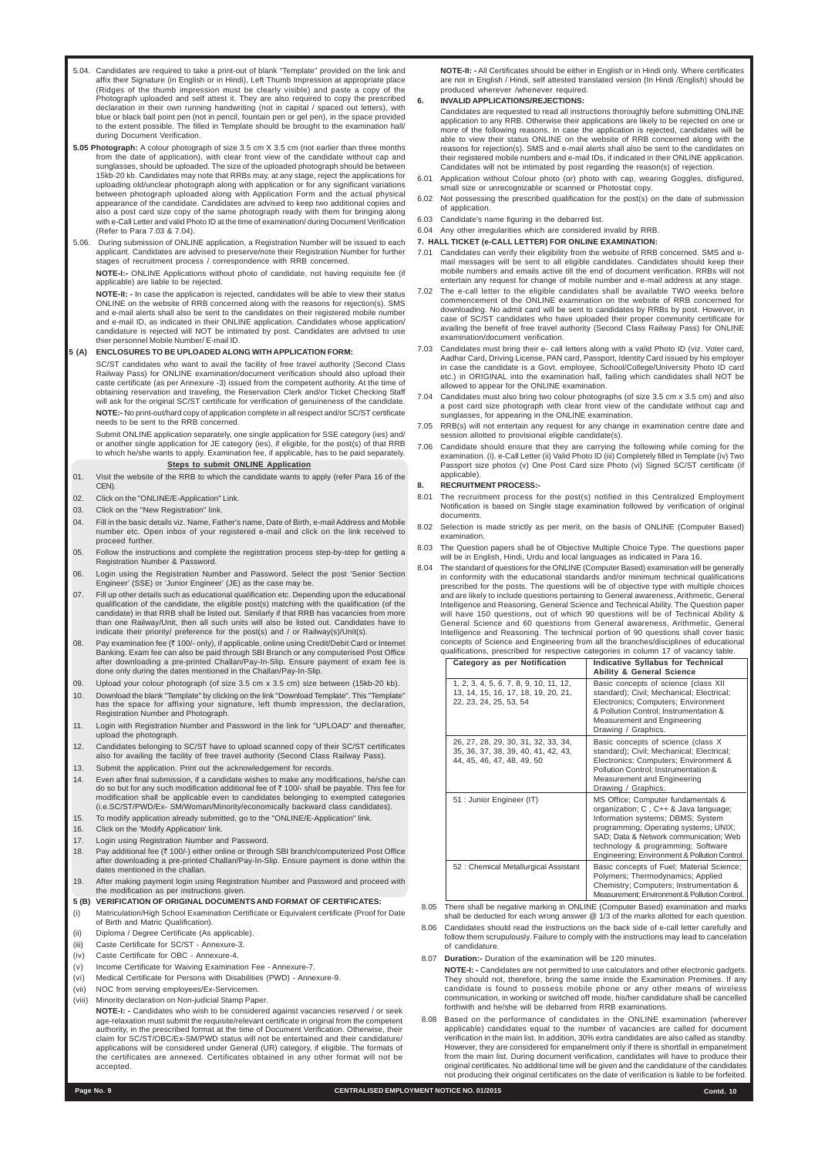**Page No. 9 CENTRALISED EMPLOYMENT NOTICE NO. 01/2015 Contd. 10**

- 5.04. Candidates are required to take a print-out of blank "Template" provided on the link and affix their Signature (in English or in Hindi), Left Thumb Impression at appropriate place (Ridges of the thumb impression must be clearly visible) and paste a copy of the Photograph uploaded and self attest it. They are also required to copy the prescribed declaration in their own running handwriting (not in capital / spaced out letters), with blue or black ball point pen (not in pencil, fountain pen or gel pen), in the space provided to the extent possible. The filled in Template should be brought to the examination hall/ during Document Verification.
- **5.05 Photograph:** A colour photograph of size 3.5 cm X 3.5 cm (not earlier than three months from the date of application), with clear front view of the candidate without cap and sunglasses, should be uploaded. The size of the uploaded photograph should be between 15kb-20 kb. Candidates may note that RRBs may, at any stage, reject the applications for uploading old/unclear photograph along with application or for any significant variations between photograph uploaded along with Application Form and the actual physical appearance of the candidate. Candidates are advised to keep two additional copies and also a post card size copy of the same photograph ready with them for bringing along with e-Call Letter and valid Photo ID at the time of examination/ during Document Verification (Refer to Para 7.03 & 7.04).
- 5.06. During submission of ONLINE application, a Registration Number will be issued to each applicant. Candidates are advised to preserve/note their Registration Number for further stages of recruitment process / correspondence with RRB concerned.

**NOTE-I:-** ONLINE Applications without photo of candidate, not having requisite fee (if applicable) are liable to be rejected.

**NOTE-II: -** In case the application is rejected, candidates will be able to view their status ONLINE on the website of RRB concerned along with the reasons for rejection(s). SMS and e-mail alerts shall also be sent to the candidates on their registered mobile number and e-mail ID, as indicated in their ONLINE application. Candidates whose application/ candidature is rejected will NOT be intimated by post. Candidates are advised to use thier personnel Mobile Number/ E-mail ID.

#### **5 (A) ENCLOSURES TO BE UPLOADED ALONG WITH APPLICATION FORM:**

SC/ST candidates who want to avail the facility of free travel authority (Second Class Railway Pass) for ONLINE examination/document verification should also upload their caste certificate (as per Annexure -3) issued from the competent authority. At the time of obtaining reservation and traveling, the Reservation Clerk and/or Ticket Checking Staff will ask for the original SC/ST certificate for verification of genuineness of the candidate.

**NOTE:-** No print-out/hard copy of application complete in all respect and/or SC/ST certificate needs to be sent to the RRB concerned.

Submit ONLINE application separately, one single application for SSE category (ies) and/ or another single application for JE category (ies), if eligible, for the post(s) of that RRB to which he/she wants to apply. Examination fee, if applicable, has to be paid separately.

#### **Steps to submit ONLINE Application**

- 01. Visit the website of the RRB to which the candidate wants to apply (refer Para 16 of the CEN).
- 02. Click on the "ONLINE/E-Application" Link.
- 03. Click on the "New Registration" link.
- 04. Fill in the basic details viz. Name, Father's name, Date of Birth, e-mail Address and Mobile number etc. Open inbox of your registered e-mail and click on the link received to proceed further.
- 05. Follow the instructions and complete the registration process step-by-step for getting a Registration Number & Password.
- 06. Login using the Registration Number and Password. Select the post 'Senior Section Engineer' (SSE) or 'Junior Engineer' (JE) as the case may be.
- 07. Fill up other details such as educational qualification etc. Depending upon the educational qualification of the candidate, the eligible post(s) matching with the qualification (of the candidate) in that RRB shall be listed out. Similarly if that RRB has vacancies from more than one Railway/Unit, then all such units will also be listed out. Candidates have to indicate their priority/ preference for the post(s) and / or Railway(s)/Unit(s).
- 08. Pay examination fee (₹ 100/- only), if applicable, online using Credit/Debit Card or Internet Banking. Exam fee can also be paid through SBI Branch or any computerised Post Office after downloading a pre-printed Challan/Pay-In-Slip. Ensure payment of exam fee is done only during the dates mentioned in the Challan/Pay-In-Slip.
- 09. Upload your colour photograph (of size 3.5 cm x 3.5 cm) size between (15kb-20 kb).
- 10. Download the blank "Template" by clicking on the link "Download Template". This "Template" has the space for affixing your signature, left thumb impression, the declaration, Registration Number and Photograph.
- 11. Login with Registration Number and Password in the link for "UPLOAD" and thereafter, upload the photograph.
- 12. Candidates belonging to SC/ST have to upload scanned copy of their SC/ST certificates also for availing the facility of free travel authority (Second Class Railway Pass).
- 13. Submit the application. Print out the acknowledgement for records
- 14. Even after final submission, if a candidate wishes to make any modifications, he/she can do so but for any such modification additional fee of ₹ 100/- shall be payable. This fee for modification shall be applicable even to candidates belonging to exempted categories (i.e.SC/ST/PWD/Ex- SM/Woman/Minority/economically backward class candidates).
- 15. To modify application already submitted, go to the "ONLINE/E-Application" link.
- 16. Click on the 'Modify Application' link.
- 17. Login using Registration Number and Password.
- 18. Pay additional fee (₹ 100/-) either online or through SBI branch/computerized Post Office after downloading a pre-printed Challan/Pay-In-Slip. Ensure payment is done within the dates mentioned in the challan.

19. After making payment login using Registration Number and Password and proceed with the modification as per instructions given.

#### **5 (B) VERIFICATION OF ORIGINAL DOCUMENTS AND FORMAT OF CERTIFICATES:**

- (i) Matriculation/High School Examination Certificate or Equivalent certificate (Proof for Date of Birth and Matric Qualification).
- (ii) Diploma / Degree Certificate (As applicable).
- (iii) Caste Certificate for SC/ST Annexure-3.
- (iv) Caste Certificate for OBC Annexure-4.
- (v) Income Certificate for Waiving Examination Fee Annexure-7.
- (vi) Medical Certificate for Persons with Disabilities (PWD) Annexure-9.
- (vii) NOC from serving employees/Ex-Servicemen.
- (viii) Minority declaration on Non-judicial Stamp Paper.

**NOTE-I: -** Candidates who wish to be considered against vacancies reserved / or seek age-relaxation must submit the requisite/relevant certificate in original from the competent authority, in the prescribed format at the time of Document Verification. Otherwise, their claim for SC/ST/OBC/Ex-SM/PWD status will not be entertained and their candidature/ applications will be considered under General (UR) category, if eligible. The formats of the certificates are annexed. Certificates obtained in any other format will not be accepted.

**NOTE-II: -** All Certificates should be either in English or in Hindi only. Where certificates are not in English / Hindi, self attested translated version (In Hindi /English) should be produced wherever /whenever required.

#### **6. INVALID APPLICATIONS/REJECTIONS:**

Candidates are requested to read all instructions thoroughly before submitting ONLINE application to any RRB. Otherwise their applications are likely to be rejected on one or more of the following reasons. In case the application is rejected, candidates will be able to view their status ONLINE on the website of RRB concerned along with the reasons for rejection(s). SMS and e-mail alerts shall also be sent to the candidates on their registered mobile numbers and e-mail IDs, if indicated in their ONLINE application. Candidates will not be intimated by post regarding the reason(s) of rejection.

- 6.01 Application without Colour photo (or) photo with cap, wearing Goggles, disfigured, small size or unrecognizable or scanned or Photostat copy.
- 6.02 Not possessing the prescribed qualification for the post(s) on the date of submission of application.
- 6.03 Candidate's name figuring in the debarred list.
- 6.04 Any other irregularities which are considered invalid by RRB.
- **7. HALL TICKET (e-CALL LETTER) FOR ONLINE EXAMINATION:**
- 7.01 Candidates can verify their eligibility from the website of RRB concerned. SMS and email messages will be sent to all eligible candidates. Candidates should keep their mobile numbers and emails active till the end of document verification. RRBs will not entertain any request for change of mobile number and e-mail address at any stage.
- 7.02 The e-call letter to the eligible candidates shall be available TWO weeks before commencement of the ONLINE examination on the website of RRB concerned for downloading. No admit card will be sent to candidates by RRBs by post. However, in case of SC/ST candidates who have uploaded their proper community certificate for availing the benefit of free travel authority (Second Class Railway Pass) for ONLINE examination/document verification.
- 7.03 Candidates must bring their e- call letters along with a valid Photo ID (viz. Voter card, Aadhar Card, Driving License, PAN card, Passport, Identity Card issued by his employer in case the candidate is a Govt. employee, School/College/University Photo ID card etc.) in ORIGINAL into the examination hall, failing which candidates shall NOT be allowed to appear for the ONLINE examination.
- 7.04 Candidates must also bring two colour photographs (of size 3.5 cm x 3.5 cm) and also a post card size photograph with clear front view of the candidate without cap and sunglasses, for appearing in the ONLINE examination.
- 7.05 RRB(s) will not entertain any request for any change in examination centre date and session allotted to provisional eligible candidate(s).
- 7.06 Candidate should ensure that they are carrying the following while coming for the examination. (i). e-Call Letter (ii) Valid Photo ID (iii) Completely filled in Template (iv) Two Passport size photos (v) One Post Card size Photo (vi) Signed SC/ST certificate (if applicable).

#### **8. RECRUITMENT PROCESS:-**

- 8.01 The recruitment process for the post(s) notified in this Centralized Employment Notification is based on Single stage examination followed by verification of original documents.
- 8.02 Selection is made strictly as per merit, on the basis of ONLINE (Computer Based) examination.
- 8.03 The Question papers shall be of Objective Multiple Choice Type. The questions paper will be in English, Hindi, Urdu and local languages as indicated in Para 16.
- 8.04 The standard of questions for the ONLINE (Computer Based) examination will be generally in conformity with the educational standards and/or minimum technical qualifications prescribed for the posts. The questions will be of objective type with multiple choices and are likely to include questions pertaining to General awareness, Arithmetic, General Intelligence and Reasoning, General Science and Technical Ability. The Question paper will have 150 questions, out of which 90 questions will be of Technical Ability & General Science and 60 questions from General awareness, Arithmetic, General Intelligence and Reasoning. The technical portion of 90 questions shall cover basic concepts of Science and Engineering from all the branches/disciplines of educational qualifications, prescribed for respective categories in column 17 of vacancy table.

| Category as per Notification                                                                             | <b>Indicative Syllabus for Technical</b><br><b>Ability &amp; General Science</b>                                                                                                                                                                                                           |
|----------------------------------------------------------------------------------------------------------|--------------------------------------------------------------------------------------------------------------------------------------------------------------------------------------------------------------------------------------------------------------------------------------------|
| 1, 2, 3, 4, 5, 6, 7, 8, 9, 10, 11, 12,<br>13, 14, 15, 16, 17, 18, 19, 20, 21,<br>22, 23, 24, 25, 53, 54  | Basic concepts of science (class XII<br>standard); Civil; Mechanical; Electrical;<br>Electronics; Computers; Environment<br>& Pollution Control; Instrumentation &<br>Measurement and Engineering<br>Drawing / Graphics.                                                                   |
| 26, 27, 28, 29, 30, 31, 32, 33, 34,<br>35, 36, 37, 38, 39, 40, 41, 42, 43,<br>44, 45, 46, 47, 48, 49, 50 | Basic concepts of science (class X<br>standard); Civil; Mechanical; Electrical;<br>Electronics; Computers; Environment &<br>Pollution Control; Instrumentation &<br>Measurement and Engineering<br>Drawing / Graphics.                                                                     |
| 51 : Junior Engineer (IT)                                                                                | MS Office; Computer fundamentals &<br>organization; C, C++ & Java language;<br>Information systems; DBMS; System<br>programming; Operating systems; UNIX;<br>SAD; Data & Network communication; Web<br>technology & programming; Software<br>Engineering; Environment & Pollution Control. |
| 52 : Chemical Metallurgical Assistant                                                                    | Basic concepts of Fuel; Material Science;                                                                                                                                                                                                                                                  |



- 8.05 There shall be negative marking in ONLINE (Computer Based) examination and marks shall be deducted for each wrong answer @ 1/3 of the marks allotted for each question.
- 8.06 Candidates should read the instructions on the back side of e-call letter carefully and follow them scrupulously. Failure to comply with the instructions may lead to cancelation of candidature.
- 8.07 **Duration:-** Duration of the examination will be 120 minutes.

**NOTE-I: -** Candidates are not permitted to use calculators and other electronic gadgets. They should not, therefore, bring the same inside the Examination Premises. If any candidate is found to possess mobile phone or any other means of wireless communication, in working or switched off mode, his/her candidature shall be cancelled forthwith and he/she will be debarred from RRB examinations.

8.08 Based on the performance of candidates in the ONLINE examination (wherever applicable) candidates equal to the number of vacancies are called for document verification in the main list. In addition, 30% extra candidates are also called as standby. However, they are considered for empanelment only if there is shortfall in empanelment from the main list. During document verification, candidates will have to produce their original certificates. No additional time will be given and the candidature of the candidates not producing their original certificates on the date of verification is liable to be forfeited.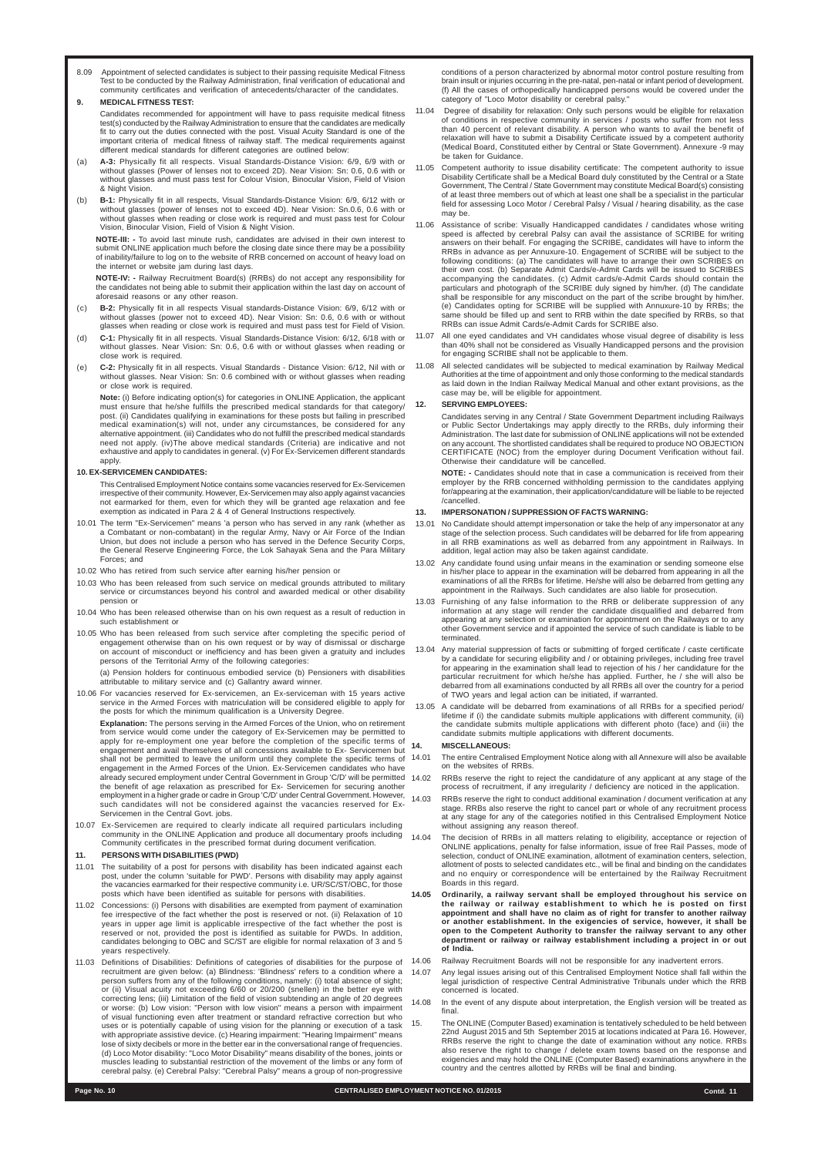8.09 Appointment of selected candidates is subject to their passing requisite Medical Fitness Test to be conducted by the Railway Administration, final verification of educational and community certificates and verification of antecedents/character of the candidates.

#### **9. MEDICAL FITNESS TEST:**

Candidates recommended for appointment will have to pass requisite medical fitness test(s) conducted by the Railway Administration to ensure that the candidates are medically fit to carry out the duties connected with the post. Visual Acuity Standard is one of the important criteria of medical fitness of railway staff. The medical requirements against different medical standards for different categories are outlined below:

- (a) **A-3:** Physically fit all respects. Visual Standards-Distance Vision: 6/9, 6/9 with or without glasses (Power of lenses not to exceed 2D). Near Vision: Sn: 0.6, 0.6 with or without glasses and must pass test for Colour Vision, Binocular Vision, Field of Vision & Night Vision.
- (b) **B-1:** Physically fit in all respects, Visual Standards-Distance Vision: 6/9, 6/12 with or without glasses (power of lenses not to exceed 4D). Near Vision: Sn.0.6, 0.6 with or without glasses when reading or close work is required and must pass test for Colour Vision, Binocular Vision, Field of Vision & Night Vision.

**NOTE-III: -** To avoid last minute rush, candidates are advised in their own interest to submit ONLINE application much before the closing date since there may be a possibility of inability/failure to log on to the website of RRB concerned on account of heavy load on the internet or website jam during last days.

**NOTE-IV: -** Railway Recruitment Board(s) (RRBs) do not accept any responsibility for the candidates not being able to submit their application within the last day on account of aforesaid reasons or any other reason.

- (c) **B-2:** Physically fit in all respects Visual standards-Distance Vision: 6/9, 6/12 with or without glasses (power not to exceed 4D). Near Vision: Sn: 0.6, 0.6 with or without glasses when reading or close work is required and must pass test for Field of Vision.
- (d) **C-1:** Physically fit in all respects. Visual Standards-Distance Vision: 6/12, 6/18 with or without glasses. Near Vision: Sn: 0.6, 0.6 with or without glasses when reading or close work is required.
- (e) **C-2:** Physically fit in all respects. Visual Standards Distance Vision: 6/12, Nil with or without glasses. Near Vision: Sn: 0.6 combined with or without glasses when reading or close work is required.

**Note:** (i) Before indicating option(s) for categories in ONLINE Application, the applicant must ensure that he/she fulfills the prescribed medical standards for that category/ post. (ii) Candidates qualifying in examinations for these posts but failing in prescribed medical examination(s) will not, under any circumstances, be considered for any alternative appointment. (iii) Candidates who do not fulfill the prescribed medical standards need not apply. (iv)The above medical standards (Criteria) are indicative and not exhaustive and apply to candidates in general. (v) For Ex-Servicemen different standards apply.

#### **10. EX-SERVICEMEN CANDIDATES:**

This Centralised Employment Notice contains some vacancies reserved for Ex-Servicemen irrespective of their community. However, Ex-Servicemen may also apply against vacancies not earmarked for them, even for which they will be granted age relaxation and fee exemption as indicated in Para 2 & 4 of General Instructions respectively.

- 10.01 The term "Ex-Servicemen" means 'a person who has served in any rank (whether as a Combatant or non-combatant) in the regular Army, Navy or Air Force of the Indian Union, but does not include a person who has served in the Defence Security Corps, the General Reserve Engineering Force, the Lok Sahayak Sena and the Para Military Forces; and
- 10.02 Who has retired from such service after earning his/her pension or
- 10.03 Who has been released from such service on medical grounds attributed to military service or circumstances beyond his control and awarded medical or other disability pension or
- 10.04 Who has been released otherwise than on his own request as a result of reduction in such establishment or
- 10.05 Who has been released from such service after completing the specific period of engagement otherwise than on his own request or by way of dismissal or discharge on account of misconduct or inefficiency and has been given a gratuity and includes persons of the Territorial Army of the following categories:

(a) Pension holders for continuous embodied service (b) Pensioners with disabilities attributable to military service and (c) Gallantry award winner.

10.06 For vacancies reserved for Ex-servicemen, an Ex-serviceman with 15 years active service in the Armed Forces with matriculation will be considered eligible to apply for the posts for which the minimum qualification is a University Degree.

**Explanation:** The persons serving in the Armed Forces of the Union, who on retirement from service would come under the category of Ex-Servicemen may be permitted to apply for re-employment one year before the completion of the specific terms of engagement and avail themselves of all concessions available to Ex- Servicemen but shall not be permitted to leave the uniform until they complete the specific terms of engagement in the Armed Forces of the Union. Ex-Servicemen candidates who have already secured employment under Central Government in Group 'C/D' will be permitted the benefit of age relaxation as prescribed for Ex- Servicemen for securing another employment in a higher grade or cadre in Group 'C/D' under Central Government. However, such candidates will not be considered against the vacancies reserved for Ex-Servicemen in the Central Govt. jobs.

10.07 Ex-Servicemen are required to clearly indicate all required particulars including community in the ONLINE Application and produce all documentary proofs including Community certificates in the prescribed format during document verification.

#### **11. PERSONS WITH DISABILITIES (PWD)**

11.01 The suitability of a post for persons with disability has been indicated against each

conditions of a person characterized by abnormal motor control posture resulting from brain insult or injuries occurring in the pre-natal, pen-natal or infant period of development. (f) All the cases of orthopedically handicapped persons would be covered under the category of "Loco Motor disability or cerebral palsy."

- 11.04 Degree of disability for relaxation: Only such persons would be eligible for relaxation of conditions in respective community in services / posts who suffer from not less than 40 percent of relevant disability. A person who wants to avail the benefit of relaxation will have to submit a Disability Certificate issued by a competent authority (Medical Board, Constituted either by Central or State Government). Annexure -9 may be taken for Guidance.
- 11.05 Competent authority to issue disability certificate: The competent authority to issue Disability Certificate shall be a Medical Board duly constituted by the Central or a State Government, The Central / State Government may constitute Medical Board(s) consisting of at least three members out of which at least one shall be a specialist in the particular field for assessing Loco Motor / Cerebral Palsy / Visual / hearing disability, as the case may be.
- 11.06 Assistance of scribe: Visually Handicapped candidates / candidates whose writing speed is affected by cerebral Palsy can avail the assistance of SCRIBE for writing answers on their behalf. For engaging the SCRIBE, candidates will have to inform the RRBs in advance as per Annuxure-10. Engagement of SCRIBE will be subject to the following conditions: (a) The candidates will have to arrange their own SCRIBES on their own cost. (b) Separate Admit Cards/e-Admit Cards will be issued to SCRIBES accompanying the candidates. (c) Admit cards/e-Admit Cards should contain the particulars and photograph of the SCRIBE duly signed by him/her. (d) The candidate shall be responsible for any misconduct on the part of the scribe brought by him/her. (e) Candidates opting for SCRIBE will be supplied with Annuxure-10 by RRBs; the same should be filled up and sent to RRB within the date specified by RRBs, so that RRBs can issue Admit Cards/e-Admit Cards for SCRIBE also.
- 11.07 All one eyed candidates and VH candidates whose visual degree of disability is less than 40% shall not be considered as Visually Handicapped persons and the provision for engaging SCRIBE shall not be applicable to them.
- 11.08 All selected candidates will be subjected to medical examination by Railway Medical Authorities at the time of appointment and only those conforming to the medical standards as laid down in the Indian Railway Medical Manual and other extant provisions, as the case may be, will be eligible for appointment.

#### **12. SERVING EMPLOYEES:**

Candidates serving in any Central / State Government Department including Railways or Public Sector Undertakings may apply directly to the RRBs, duly informing their Administration. The last date for submission of ONLINE applications will not be extended on any account. The shortlisted candidates shall be required to produce NO OBJECTION CERTIFICATE (NOC) from the employer during Document Verification without fail. Otherwise their candidature will be cancelled.

**NOTE: -** Candidates should note that in case a communication is received from their employer by the RRB concerned withholding permission to the candidates applying for/appearing at the examination, their application/candidature will be liable to be rejected /cancelled.

#### **13. IMPERSONATION / SUPPRESSION OF FACTS WARNING:**

- 13.01 No Candidate should attempt impersonation or take the help of any impersonator at any stage of the selection process. Such candidates will be debarred for life from appearing in all RRB examinations as well as debarred from any appointment in Railways. In addition, legal action may also be taken against candidate.
- 13.02 Any candidate found using unfair means in the examination or sending someone else in his/her place to appear in the examination will be debarred from appearing in all the examinations of all the RRBs for lifetime. He/she will also be debarred from getting any appointment in the Railways. Such candidates are also liable for prosecution.
- 13.03 Furnishing of any false information to the RRB or deliberate suppression of any information at any stage will render the candidate disqualified and debarred from appearing at any selection or examination for appointment on the Railways or to any other Government service and if appointed the service of such candidate is liable to be terminated.
- 13.04 Any material suppression of facts or submitting of forged certificate / caste certificate by a candidate for securing eligibility and / or obtaining privileges, including free travel for appearing in the examination shall lead to rejection of his / her candidature for the particular recruitment for which he/she has applied. Further, he / she will also be debarred from all examinations conducted by all RRBs all over the country for a period of TWO years and legal action can be initiated, if warranted.
- 13.05 A candidate will be debarred from examinations of all RRBs for a specified period/ lifetime if (i) the candidate submits multiple applications with different community, (ii) the candidate submits multiple applications with different photo (face) and (iii) the candidate submits multiple applications with different documents.

#### **14. MISCELLANEOUS:**

- 14.01 The entire Centralised Employment Notice along with all Annexure will also be available on the websites of RRBs.
	- RRBs reserve the right to reject the candidature of any applicant at any stage of the process of recruitment, if any irregularity / deficiency are noticed in the application.
- 14.03 RRBs reserve the right to conduct additional examination / document verification at any stage. RRBs also reserve the right to cancel part or whole of any recruitment process at any stage for any of the categories notified in this Centralised Employment Notice without assigning any reason thereof.
- 14.04 The decision of RRBs in all matters relating to eligibility, acceptance or rejection of ONLINE applications, penalty for false information, issue of free Rail Passes, mode of selection, conduct of ONLINE examination, allotment of examination centers, selection, allotment of posts to selected candidates etc., will be final and binding on the candidates and no enquiry or correspondence will be entertained by the Railway Recruitment Boards in this regard.
- post, under the column 'suitable for PWD'. Persons with disability may apply against the vacancies earmarked for their respective community i.e. UR/SC/ST/OBC, for those posts which have been identified as suitable for persons with disabilities.
- 11.02 Concessions: (i) Persons with disabilities are exempted from payment of examination fee irrespective of the fact whether the post is reserved or not. (ii) Relaxation of 10 years in upper age limit is applicable irrespective of the fact whether the post is reserved or not, provided the post is identified as suitable for PWDs. In addition, candidates belonging to OBC and SC/ST are eligible for normal relaxation of 3 and 5 years respectively.
- 11.03 Definitions of Disabilities: Definitions of categories of disabilities for the purpose of 14.06 recruitment are given below: (a) Blindness: 'Blindness' refers to a condition where a person suffers from any of the following conditions, namely: (i) total absence of sight; or (ii) Visual acuity not exceeding 6/60 or 20/200 (snellen) in the better eye with correcting lens; (iii) Limitation of the field of vision subtending an angle of 20 degrees or worse: (b) Low vision: "Person with low vision" means a person with impairment of visual functioning even after treatment or standard refractive correction but who uses or is potentially capable of using vision for the planning or execution of a task with appropriate assistive device. (c) Hearing impairment: "Hearing Impairment" means lose of sixty decibels or more in the better ear in the conversational range of frequencies. (d) Loco Motor disability: "Loco Motor Disability" means disability of the bones, joints or muscles leading to substantial restriction of the movement of the limbs or any form of cerebral palsy. (e) Cerebral Palsy: "Cerebral Palsy" means a group of non-progressive
- **14.05 Ordinarily, a railway servant shall be employed throughout his service on the railway or railway establishment to which he is posted on first appointment and shall have no claim as of right for transfer to another railway or another establishment. In the exigencies of service, however, it shall be open to the Competent Authority to transfer the railway servant to any other department or railway or railway establishment including a project in or out of India.**
- Railway Recruitment Boards will not be responsible for any inadvertent errors.
	- 14.07 Any legal issues arising out of this Centralised Employment Notice shall fall within the legal jurisdiction of respective Central Administrative Tribunals under which the RRB concerned is located.
	- 14.08 In the event of any dispute about interpretation, the English version will be treated as final.
	- 15. The ONLINE (Computer Based) examination is tentatively scheduled to be held between 22nd August 2015 and 5th September 2015 at locations indicated at Para 16. However, RRBs reserve the right to change the date of examination without any notice. RRBs also reserve the right to change / delete exam towns based on the response and exigencies and may hold the ONLINE (Computer Based) examinations anywhere in the country and the centres allotted by RRBs will be final and binding.

#### **Page No. 10 CENTRALISED EMPLOYMENT NOTICE NO. 01/2015 CONTRALISED EMPLOYMENT NOTICE NO. 01/2015**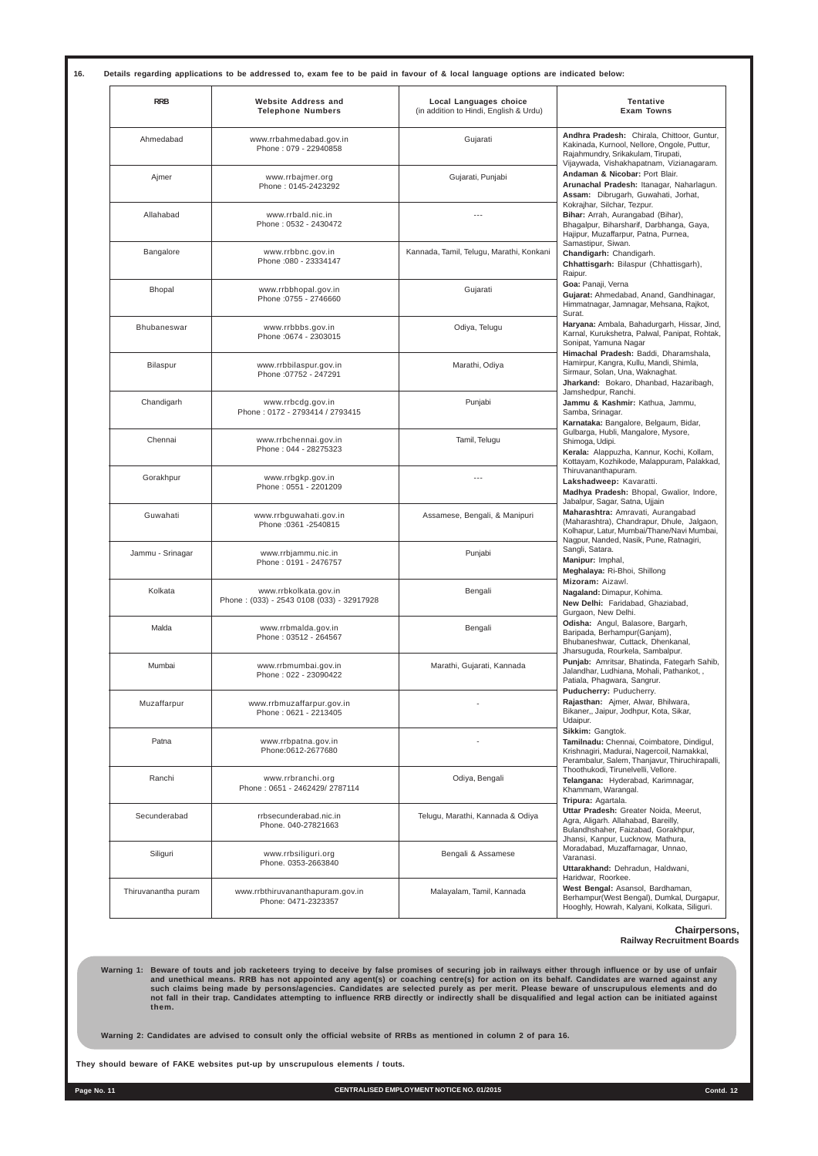| <b>RRB</b>          | <b>Website Address and</b><br><b>Telephone Numbers</b>                                                                                                                                                                                                                                                                                                                                                                                                                                                                                                                                                     | Local Languages choice<br>(in addition to Hindi, English & Urdu) | <b>Tentative</b><br><b>Exam Towns</b>                                                                                                                           |
|---------------------|------------------------------------------------------------------------------------------------------------------------------------------------------------------------------------------------------------------------------------------------------------------------------------------------------------------------------------------------------------------------------------------------------------------------------------------------------------------------------------------------------------------------------------------------------------------------------------------------------------|------------------------------------------------------------------|-----------------------------------------------------------------------------------------------------------------------------------------------------------------|
| Ahmedabad           | www.rrbahmedabad.gov.in<br>Phone: 079 - 22940858                                                                                                                                                                                                                                                                                                                                                                                                                                                                                                                                                           | Gujarati                                                         | Andhra Pradesh: Chirala, Chittoor, Guntur,<br>Kakinada, Kurnool, Nellore, Ongole, Puttur,<br>Rajahmundry, Srikakulam, Tirupati,                                 |
| Ajmer               | www.rrbajmer.org<br>Phone: 0145-2423292                                                                                                                                                                                                                                                                                                                                                                                                                                                                                                                                                                    | Gujarati, Punjabi                                                | Vijaywada, Vishakhapatnam, Vizianagaram.<br>Andaman & Nicobar: Port Blair.<br>Arunachal Pradesh: Itanagar, Naharlagun.<br>Assam: Dibrugarh, Guwahati, Jorhat,   |
| Allahabad           | www.rrbald.nic.in<br>Phone: 0532 - 2430472                                                                                                                                                                                                                                                                                                                                                                                                                                                                                                                                                                 | $- - -$                                                          | Kokrajhar, Silchar, Tezpur.<br>Bihar: Arrah, Aurangabad (Bihar),<br>Bhagalpur, Biharsharif, Darbhanga, Gaya,<br>Hajipur, Muzaffarpur, Patna, Purnea,            |
| Bangalore           | www.rrbbnc.gov.in<br>Phone : 080 - 23334147                                                                                                                                                                                                                                                                                                                                                                                                                                                                                                                                                                | Kannada, Tamil, Telugu, Marathi, Konkani                         | Samastipur, Siwan.<br>Chandigarh: Chandigarh.<br>Chhattisgarh: Bilaspur (Chhattisgarh),<br>Raipur.                                                              |
| <b>Bhopal</b>       | www.rrbbhopal.gov.in<br>Phone: 0755 - 2746660                                                                                                                                                                                                                                                                                                                                                                                                                                                                                                                                                              | Gujarati                                                         | Goa: Panaji, Verna<br>Gujarat: Ahmedabad, Anand, Gandhinagar,<br>Himmatnagar, Jamnagar, Mehsana, Rajkot,                                                        |
| <b>Bhubaneswar</b>  | www.rrbbbs.gov.in<br>Phone : 0674 - 2303015                                                                                                                                                                                                                                                                                                                                                                                                                                                                                                                                                                | Odiya, Telugu                                                    | Surat.<br>Haryana: Ambala, Bahadurgarh, Hissar, Jind,<br>Karnal, Kurukshetra, Palwal, Panipat, Rohtak,<br>Sonipat, Yamuna Nagar                                 |
| Bilaspur            | www.rrbbilaspur.gov.in<br>Phone: 07752 - 247291                                                                                                                                                                                                                                                                                                                                                                                                                                                                                                                                                            | Marathi, Odiya                                                   | Himachal Pradesh: Baddi, Dharamshala,<br>Hamirpur, Kangra, Kullu, Mandi, Shimla,<br>Sirmaur, Solan, Una, Waknaghat.<br>Jharkand: Bokaro, Dhanbad, Hazaribagh,   |
| Chandigarh          | www.rrbcdg.gov.in<br>Phone: 0172 - 2793414 / 2793415                                                                                                                                                                                                                                                                                                                                                                                                                                                                                                                                                       | Punjabi                                                          | Jamshedpur, Ranchi.<br>Jammu & Kashmir: Kathua, Jammu,<br>Samba, Srinagar.<br>Karnataka: Bangalore, Belgaum, Bidar,                                             |
| Chennai             | www.rrbchennai.gov.in<br>Phone: 044 - 28275323                                                                                                                                                                                                                                                                                                                                                                                                                                                                                                                                                             | Tamil, Telugu                                                    | Gulbarga, Hubli, Mangalore, Mysore,<br>Shimoga, Udipi.<br>Kerala: Alappuzha, Kannur, Kochi, Kollam,<br>Kottayam, Kozhikode, Malappuram, Palakkad,               |
| Gorakhpur           | www.rrbgkp.gov.in<br>Phone: 0551 - 2201209                                                                                                                                                                                                                                                                                                                                                                                                                                                                                                                                                                 | ---                                                              | Thiruvananthapuram.<br>Lakshadweep: Kavaratti.<br>Madhya Pradesh: Bhopal, Gwalior, Indore,                                                                      |
| Guwahati            | www.rrbguwahati.gov.in<br>Phone: 0361 - 2540815                                                                                                                                                                                                                                                                                                                                                                                                                                                                                                                                                            | Assamese, Bengali, & Manipuri                                    | Jabalpur, Sagar, Satna, Ujjain<br>Maharashtra: Amravati, Aurangabad<br>(Maharashtra), Chandrapur, Dhule, Jalgaon,<br>Kolhapur, Latur, Mumbai/Thane/Navi Mumbai, |
| Jammu - Srinagar    | www.rrbjammu.nic.in<br>Phone: 0191 - 2476757                                                                                                                                                                                                                                                                                                                                                                                                                                                                                                                                                               | Punjabi                                                          | Nagpur, Nanded, Nasik, Pune, Ratnagiri,<br>Sangli, Satara.<br>Manipur: Imphal,<br>Meghalaya: Ri-Bhoi, Shillong                                                  |
| Kolkata             | www.rrbkolkata.gov.in<br>Phone: (033) - 2543 0108 (033) - 32917928                                                                                                                                                                                                                                                                                                                                                                                                                                                                                                                                         | Bengali                                                          | Mizoram: Aizawl.<br>Nagaland: Dimapur, Kohima.<br>New Delhi: Faridabad, Ghaziabad,                                                                              |
| Malda               | www.rrbmalda.gov.in<br>Phone: 03512 - 264567                                                                                                                                                                                                                                                                                                                                                                                                                                                                                                                                                               | Bengali                                                          | Gurgaon, New Delhi.<br>Odisha: Angul, Balasore, Bargarh,<br>Baripada, Berhampur(Ganjam),<br>Bhubaneshwar, Cuttack, Dhenkanal,                                   |
| Mumbai              | www.rrbmumbai.gov.in<br>Phone: 022 - 23090422                                                                                                                                                                                                                                                                                                                                                                                                                                                                                                                                                              | Marathi, Gujarati, Kannada                                       | Jharsuguda, Rourkela, Sambalpur.<br>Punjab: Amritsar, Bhatinda, Fategarh Sahib,<br>Jalandhar, Ludhiana, Mohali, Pathankot,,<br>Patiala, Phagwara, Sangrur.      |
| Muzaffarpur         | www.rrbmuzaffarpur.gov.in<br>Phone: 0621 - 2213405                                                                                                                                                                                                                                                                                                                                                                                                                                                                                                                                                         |                                                                  | Puducherry: Puducherry.<br>Rajasthan: Ajmer, Alwar, Bhilwara,<br>Bikaner,, Jaipur, Jodhpur, Kota, Sikar,<br>Udaipur.                                            |
| Patna               | www.rrbpatna.gov.in<br>Phone:0612-2677680                                                                                                                                                                                                                                                                                                                                                                                                                                                                                                                                                                  |                                                                  | Sikkim: Gangtok.<br>Tamilnadu: Chennai, Coimbatore, Dindigul,<br>Krishnagiri, Madurai, Nagercoil, Namakkal,<br>Perambalur, Salem, Thanjavur, Thiruchirapalli,   |
| Ranchi              | www.rrbranchi.org<br>Phone: 0651 - 2462429/2787114                                                                                                                                                                                                                                                                                                                                                                                                                                                                                                                                                         | Odiya, Bengali                                                   | Thoothukodi, Tirunelvelli, Vellore.<br>Telangana: Hyderabad, Karimnagar,<br>Khammam, Warangal.                                                                  |
| Secunderabad        | rrbsecunderabad.nic.in<br>Phone. 040-27821663                                                                                                                                                                                                                                                                                                                                                                                                                                                                                                                                                              | Telugu, Marathi, Kannada & Odiya                                 | Tripura: Agartala.<br>Uttar Pradesh: Greater Noida, Meerut,<br>Agra, Aligarh. Allahabad, Bareilly,<br>Bulandhshaher, Faizabad, Gorakhpur,                       |
| Siliguri            | www.rrbsiliguri.org<br>Phone, 0353-2663840                                                                                                                                                                                                                                                                                                                                                                                                                                                                                                                                                                 | Bengali & Assamese                                               | Jhansi, Kanpur, Lucknow, Mathura,<br>Moradabad, Muzaffarnagar, Unnao,<br>Varanasi.<br>Uttarakhand: Dehradun, Haldwani,                                          |
| Thiruvanantha puram | www.rrbthiruvananthapuram.gov.in<br>Phone: 0471-2323357                                                                                                                                                                                                                                                                                                                                                                                                                                                                                                                                                    | Malayalam, Tamil, Kannada                                        | Haridwar, Roorkee.<br>West Bengal: Asansol, Bardhaman,<br>Berhampur(West Bengal), Dumkal, Durgapur,<br>Hooghly, Howrah, Kalyani, Kolkata, Siliguri.             |
|                     |                                                                                                                                                                                                                                                                                                                                                                                                                                                                                                                                                                                                            |                                                                  | Chairpersons,<br><b>Railway Recruitment Boards</b>                                                                                                              |
| them.               | Warning 1: Beware of touts and job racketeers trying to deceive by false promises of securing job in railways either through influence or by use of unfair<br>and unethical means. RRB has not appointed any agent(s) or coaching centre(s) for action on its behalf. Candidates are warned against any<br>such claims being made by persons/agencies. Candidates are selected purely as per merit. Please beware of unscrupulous elements and do<br>not fall in their trap. Candidates attempting to influence RRB directly or indirectly shall be disqualified and legal action can be initiated against |                                                                  |                                                                                                                                                                 |
|                     | Warning 2: Candidates are advised to consult only the official website of RRBs as mentioned in column 2 of para 16.                                                                                                                                                                                                                                                                                                                                                                                                                                                                                        |                                                                  |                                                                                                                                                                 |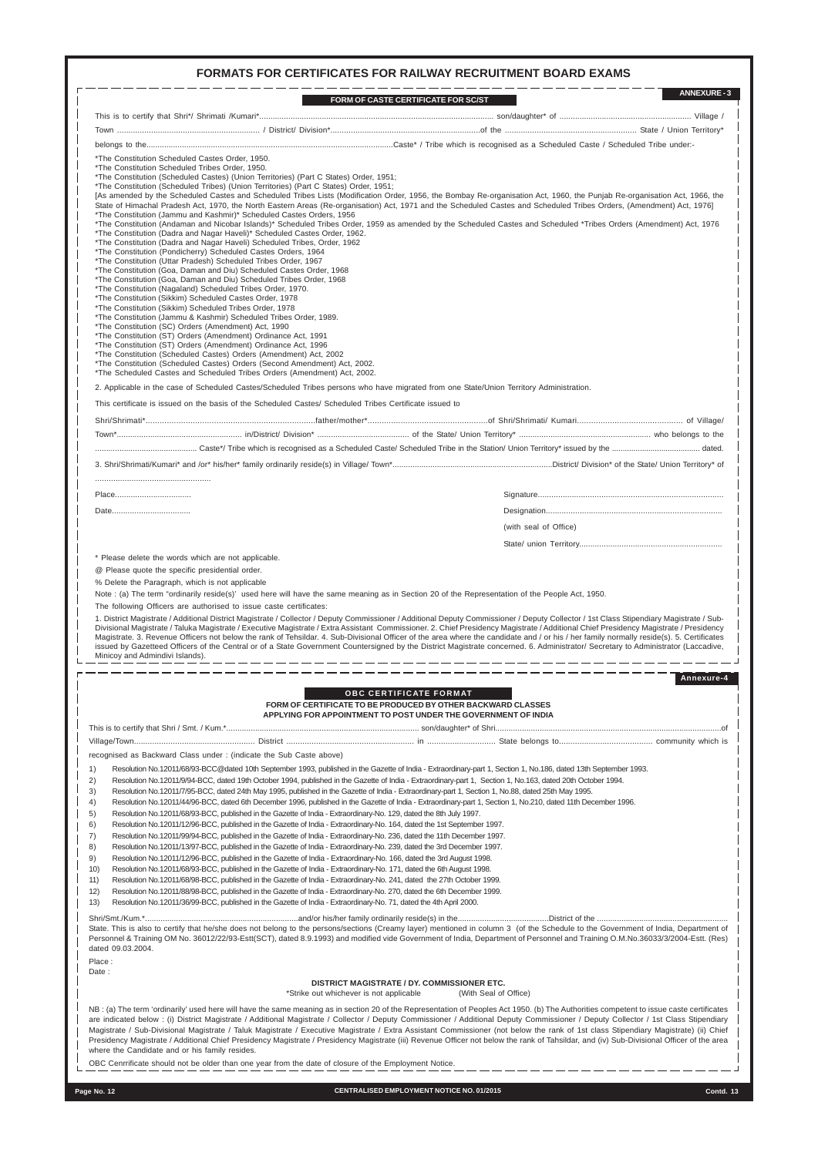**Page No. 12 CENTRALISED EMPLOYMENT NOTICE NO. 01/2015 Contd. 13**

|                                                                                                                                                                                                                                                                                                                                                                                                                                                                                                                                                                                                                                                                                                                                                                                                                                                                                                                                                                                                                                                                                                                                                                                                                                                                                                                                                                                                                                                              |                        | FORM OF CASTE CERTIFICATE FOR SC/ST                                                                                            | <b>ANNEXURE-3</b> |
|--------------------------------------------------------------------------------------------------------------------------------------------------------------------------------------------------------------------------------------------------------------------------------------------------------------------------------------------------------------------------------------------------------------------------------------------------------------------------------------------------------------------------------------------------------------------------------------------------------------------------------------------------------------------------------------------------------------------------------------------------------------------------------------------------------------------------------------------------------------------------------------------------------------------------------------------------------------------------------------------------------------------------------------------------------------------------------------------------------------------------------------------------------------------------------------------------------------------------------------------------------------------------------------------------------------------------------------------------------------------------------------------------------------------------------------------------------------|------------------------|--------------------------------------------------------------------------------------------------------------------------------|-------------------|
|                                                                                                                                                                                                                                                                                                                                                                                                                                                                                                                                                                                                                                                                                                                                                                                                                                                                                                                                                                                                                                                                                                                                                                                                                                                                                                                                                                                                                                                              |                        |                                                                                                                                |                   |
|                                                                                                                                                                                                                                                                                                                                                                                                                                                                                                                                                                                                                                                                                                                                                                                                                                                                                                                                                                                                                                                                                                                                                                                                                                                                                                                                                                                                                                                              |                        |                                                                                                                                |                   |
|                                                                                                                                                                                                                                                                                                                                                                                                                                                                                                                                                                                                                                                                                                                                                                                                                                                                                                                                                                                                                                                                                                                                                                                                                                                                                                                                                                                                                                                              |                        |                                                                                                                                |                   |
| *The Constitution Scheduled Castes Order, 1950.<br>*The Constitution Scheduled Tribes Order, 1950.<br>*The Constitution (Scheduled Castes) (Union Territories) (Part C States) Order, 1951;<br>*The Constitution (Scheduled Tribes) (Union Territories) (Part C States) Order, 1951;<br>[As amended by the Scheduled Castes and Scheduled Tribes Lists (Modification Order, 1956, the Bombay Re-organisation Act, 1960, the Punjab Re-organisation Act, 1966, the<br>State of Himachal Pradesh Act, 1970, the North Eastern Areas (Re-organisation) Act, 1971 and the Scheduled Castes and Scheduled Tribes Orders, (Amendment) Act, 1976]<br>*The Constitution (Jammu and Kashmir)* Scheduled Castes Orders, 1956<br>*The Constitution (Andaman and Nicobar Islands)* Scheduled Tribes Order, 1959 as amended by the Scheduled Castes and Scheduled *Tribes Orders (Amendment) Act, 1976<br>*The Constitution (Dadra and Nagar Haveli)* Scheduled Castes Order, 1962.<br>*The Constitution (Dadra and Nagar Haveli) Scheduled Tribes, Order, 1962<br>*The Constitution (Pondicherry) Scheduled Castes Orders, 1964<br>*The Constitution (Uttar Pradesh) Scheduled Tribes Order, 1967<br>*The Constitution (Goa, Daman and Diu) Scheduled Castes Order, 1968<br>*The Constitution (Goa, Daman and Diu) Scheduled Tribes Order, 1968<br>*The Constitution (Nagaland) Scheduled Tribes Order, 1970.<br>*The Constitution (Sikkim) Scheduled Castes Order, 1978 |                        |                                                                                                                                |                   |
| *The Constitution (Sikkim) Scheduled Tribes Order, 1978<br>*The Constitution (Jammu & Kashmir) Scheduled Tribes Order, 1989.<br>*The Constitution (SC) Orders (Amendment) Act, 1990<br>*The Constitution (ST) Orders (Amendment) Ordinance Act, 1991<br>*The Constitution (ST) Orders (Amendment) Ordinance Act, 1996<br>*The Constitution (Scheduled Castes) Orders (Amendment) Act, 2002<br>*The Constitution (Scheduled Castes) Orders (Second Amendment) Act, 2002.<br>*The Scheduled Castes and Scheduled Tribes Orders (Amendment) Act, 2002.                                                                                                                                                                                                                                                                                                                                                                                                                                                                                                                                                                                                                                                                                                                                                                                                                                                                                                          |                        |                                                                                                                                |                   |
| 2. Applicable in the case of Scheduled Castes/Scheduled Tribes persons who have migrated from one State/Union Territory Administration.<br>This certificate is issued on the basis of the Scheduled Castes/ Scheduled Tribes Certificate issued to                                                                                                                                                                                                                                                                                                                                                                                                                                                                                                                                                                                                                                                                                                                                                                                                                                                                                                                                                                                                                                                                                                                                                                                                           |                        |                                                                                                                                |                   |
|                                                                                                                                                                                                                                                                                                                                                                                                                                                                                                                                                                                                                                                                                                                                                                                                                                                                                                                                                                                                                                                                                                                                                                                                                                                                                                                                                                                                                                                              |                        |                                                                                                                                |                   |
|                                                                                                                                                                                                                                                                                                                                                                                                                                                                                                                                                                                                                                                                                                                                                                                                                                                                                                                                                                                                                                                                                                                                                                                                                                                                                                                                                                                                                                                              |                        |                                                                                                                                |                   |
|                                                                                                                                                                                                                                                                                                                                                                                                                                                                                                                                                                                                                                                                                                                                                                                                                                                                                                                                                                                                                                                                                                                                                                                                                                                                                                                                                                                                                                                              |                        |                                                                                                                                |                   |
|                                                                                                                                                                                                                                                                                                                                                                                                                                                                                                                                                                                                                                                                                                                                                                                                                                                                                                                                                                                                                                                                                                                                                                                                                                                                                                                                                                                                                                                              |                        |                                                                                                                                |                   |
| Place                                                                                                                                                                                                                                                                                                                                                                                                                                                                                                                                                                                                                                                                                                                                                                                                                                                                                                                                                                                                                                                                                                                                                                                                                                                                                                                                                                                                                                                        |                        |                                                                                                                                |                   |
|                                                                                                                                                                                                                                                                                                                                                                                                                                                                                                                                                                                                                                                                                                                                                                                                                                                                                                                                                                                                                                                                                                                                                                                                                                                                                                                                                                                                                                                              |                        |                                                                                                                                |                   |
|                                                                                                                                                                                                                                                                                                                                                                                                                                                                                                                                                                                                                                                                                                                                                                                                                                                                                                                                                                                                                                                                                                                                                                                                                                                                                                                                                                                                                                                              |                        | (with seal of Office)                                                                                                          |                   |
|                                                                                                                                                                                                                                                                                                                                                                                                                                                                                                                                                                                                                                                                                                                                                                                                                                                                                                                                                                                                                                                                                                                                                                                                                                                                                                                                                                                                                                                              |                        |                                                                                                                                |                   |
|                                                                                                                                                                                                                                                                                                                                                                                                                                                                                                                                                                                                                                                                                                                                                                                                                                                                                                                                                                                                                                                                                                                                                                                                                                                                                                                                                                                                                                                              |                        |                                                                                                                                |                   |
| * Please delete the words which are not applicable.<br>@ Please quote the specific presidential order.                                                                                                                                                                                                                                                                                                                                                                                                                                                                                                                                                                                                                                                                                                                                                                                                                                                                                                                                                                                                                                                                                                                                                                                                                                                                                                                                                       |                        |                                                                                                                                |                   |
| % Delete the Paragraph, which is not applicable                                                                                                                                                                                                                                                                                                                                                                                                                                                                                                                                                                                                                                                                                                                                                                                                                                                                                                                                                                                                                                                                                                                                                                                                                                                                                                                                                                                                              |                        |                                                                                                                                |                   |
| Note : (a) The term "ordinarily reside(s)' used here will have the same meaning as in Section 20 of the Representation of the People Act, 1950.                                                                                                                                                                                                                                                                                                                                                                                                                                                                                                                                                                                                                                                                                                                                                                                                                                                                                                                                                                                                                                                                                                                                                                                                                                                                                                              |                        |                                                                                                                                |                   |
| The following Officers are authorised to issue caste certificates:                                                                                                                                                                                                                                                                                                                                                                                                                                                                                                                                                                                                                                                                                                                                                                                                                                                                                                                                                                                                                                                                                                                                                                                                                                                                                                                                                                                           |                        |                                                                                                                                |                   |
| 1. District Magistrate / Additional District Magistrate / Collector / Deputy Commissioner / Additional Deputy Commissioner / Deputy Collector / 1st Class Stipendiary Magistrate / Sub-<br>Divisional Magistrate / Taluka Magistrate / Executive Magistrate / Extra Assistant Commissioner. 2. Chief Presidency Magistrate / Additional Chief Presidency Magistrate / Presidency<br>Magistrate. 3. Revenue Officers not below the rank of Tehsildar. 4. Sub-Divisional Officer of the area where the candidate and / or his / her family normally reside(s). 5. Certificates<br>issued by Gazetteed Officers of the Central or of a State Government Countersigned by the District Magistrate concerned. 6. Administrator/ Secretary to Administrator (Laccadive,<br>Minicoy and Admindivi Islands).                                                                                                                                                                                                                                                                                                                                                                                                                                                                                                                                                                                                                                                         |                        |                                                                                                                                |                   |
|                                                                                                                                                                                                                                                                                                                                                                                                                                                                                                                                                                                                                                                                                                                                                                                                                                                                                                                                                                                                                                                                                                                                                                                                                                                                                                                                                                                                                                                              |                        |                                                                                                                                | Annexure-4        |
|                                                                                                                                                                                                                                                                                                                                                                                                                                                                                                                                                                                                                                                                                                                                                                                                                                                                                                                                                                                                                                                                                                                                                                                                                                                                                                                                                                                                                                                              | OBC CERTIFICATE FORMAT | FORM OF CERTIFICATE TO BE PRODUCED BY OTHER BACKWARD CLASSES<br>APPLYING FOR APPOINTMENT TO POST UNDER THE GOVERNMENT OF INDIA |                   |
|                                                                                                                                                                                                                                                                                                                                                                                                                                                                                                                                                                                                                                                                                                                                                                                                                                                                                                                                                                                                                                                                                                                                                                                                                                                                                                                                                                                                                                                              |                        |                                                                                                                                |                   |
|                                                                                                                                                                                                                                                                                                                                                                                                                                                                                                                                                                                                                                                                                                                                                                                                                                                                                                                                                                                                                                                                                                                                                                                                                                                                                                                                                                                                                                                              |                        |                                                                                                                                |                   |
| recognised as Backward Class under: (indicate the Sub Caste above)<br>Resolution No.12011/68/93-BCC@dated 10th September 1993, published in the Gazette of India - Extraordinary-part 1, Section 1, No.186, dated 13th September 1993.<br>1)<br>Resolution No.12011/9/94-BCC, dated 19th October 1994, published in the Gazette of India - Extraordinary-part 1, Section 1, No.163, dated 20th October 1994.<br>2)<br>Resolution No.12011/7/95-BCC, dated 24th May 1995, published in the Gazette of India - Extraordinary-part 1, Section 1, No.88, dated 25th May 1995.<br>3)<br>Resolution No.12011/44/96-BCC, dated 6th December 1996, published in the Gazette of India - Extraordinary-part 1, Section 1, No.210, dated 11th December 1996.<br>4)<br>Resolution No.12011/68/93-BCC, published in the Gazette of India - Extraordinary-No. 129, dated the 8th July 1997.<br>5)<br>6)<br>Resolution No.12011/12/96-BCC, published in the Gazette of India - Extraordinary-No. 164, dated the 1st September 1997.<br>Resolution No.12011/99/94-BCC, published in the Gazette of India - Extraordinary-No. 236, dated the 11th December 1997.<br>7)                                                                                                                                                                                                                                                                                                        |                        |                                                                                                                                |                   |
| Resolution No.12011/13/97-BCC, published in the Gazette of India - Extraordinary-No. 239, dated the 3rd December 1997.<br>8)<br>Resolution No.12011/12/96-BCC, published in the Gazette of India - Extraordinary-No. 166, dated the 3rd August 1998.                                                                                                                                                                                                                                                                                                                                                                                                                                                                                                                                                                                                                                                                                                                                                                                                                                                                                                                                                                                                                                                                                                                                                                                                         |                        |                                                                                                                                |                   |
| 9)<br>Resolution No.12011/68/93-BCC, published in the Gazette of India - Extraordinary-No. 171, dated the 6th August 1998.<br>10)                                                                                                                                                                                                                                                                                                                                                                                                                                                                                                                                                                                                                                                                                                                                                                                                                                                                                                                                                                                                                                                                                                                                                                                                                                                                                                                            |                        |                                                                                                                                |                   |

NB : (a) The term 'ordinarily' used here will have the same meaning as in section 20 of the Representation of Peoples Act 1950. (b) The Authorities competent to issue caste certificates are indicated below : (i) District Magistrate / Additional Magistrate / Collector / Deputy Commissioner / Additional Deputy Commissioner / Deputy Collector / 1st Class Stipendiary Magistrate / Sub-Divisional Magistrate / Taluk Magistrate / Executive Magistrate / Extra Assistant Commissioner (not below the rank of 1st class Stipendiary Magistrate) (ii) Chief Presidency Magistrate / Additional Chief Presidency Magistrate / Presidency Magistrate (iii) Revenue Officer not below the rank of Tahsildar, and (iv) Sub-Divisional Officer of the area where the Candidate and or his family resides.

### **FORMATS FOR CERTIFICATES FOR RAILWAY RECRUITMENT BOARD EXAMS**

11) Resolution No.12011/68/98-BCC, published in the Gazette of India - Extraordinary-No. 241, dated the 27th October 1999.

12) Resolution No.12011/88/98-BCC, published in the Gazette of India - Extraordinary-No. 270, dated the 6th December 1999.

13) Resolution No.12011/36/99-BCC, published in the Gazette of India - Extraordinary-No. 71, dated the 4th April 2000.

Shri/Smt./Kum.\*.....................................................................and/or his/her family ordinarily reside(s) in the.........................................District of the ........................................................... State. This is also to certify that he/she does not belong to the persons/sections (Creamy layer) mentioned in column 3 (of the Schedule to the Government of India, Department of Personnel & Training OM No. 36012/22/93-Estt(SCT), dated 8.9.1993) and modified vide Government of India, Department of Personnel and Training O.M.No.36033/3/2004-Estt. (Res) dated 09.03.2004.

Place :

Date :

#### **DISTRICT MAGISTRATE / DY. COMMISSIONER ETC.**

\*Strike out whichever is not applicable (With Seal of Office)

OBC Cenrrificate should not be older than one year from the date of closure of the Employment Notice.